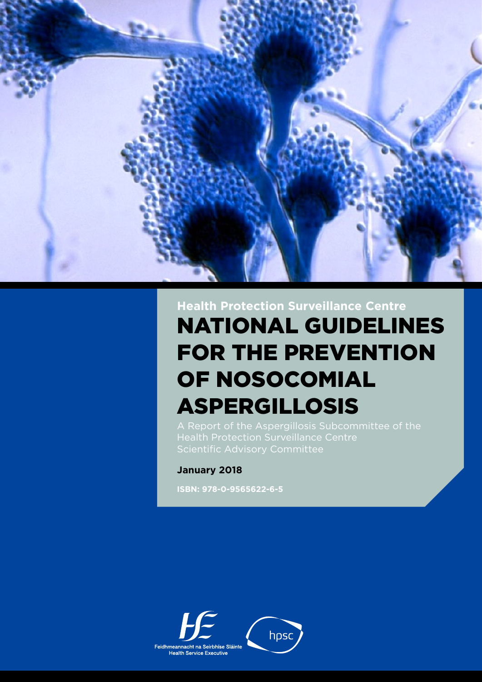

# National Guidelines for the Prevention of Nosocomial Aspergillosis **Health Protection Surveillance Centre**

## **January 2018**

**ISBN: 978-0-9565622-6-5**

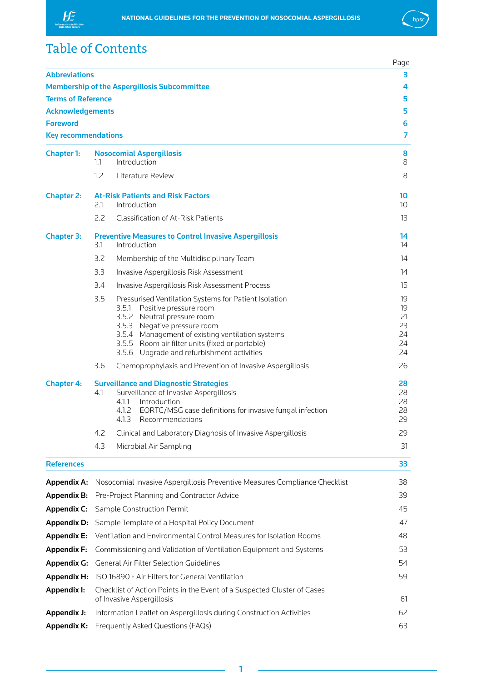



## Table of Contents

|                            |                                                                                |                                                                                                                                                                                                                                                                                                              | Page                                   |  |  |  |
|----------------------------|--------------------------------------------------------------------------------|--------------------------------------------------------------------------------------------------------------------------------------------------------------------------------------------------------------------------------------------------------------------------------------------------------------|----------------------------------------|--|--|--|
| <b>Abbreviations</b>       |                                                                                |                                                                                                                                                                                                                                                                                                              | 3                                      |  |  |  |
|                            |                                                                                | <b>Membership of the Aspergillosis Subcommittee</b>                                                                                                                                                                                                                                                          | 4                                      |  |  |  |
| <b>Terms of Reference</b>  |                                                                                |                                                                                                                                                                                                                                                                                                              | 5                                      |  |  |  |
| <b>Acknowledgements</b>    |                                                                                |                                                                                                                                                                                                                                                                                                              | 5                                      |  |  |  |
| <b>Foreword</b>            |                                                                                |                                                                                                                                                                                                                                                                                                              | 6                                      |  |  |  |
| <b>Key recommendations</b> |                                                                                |                                                                                                                                                                                                                                                                                                              | 7                                      |  |  |  |
| <b>Chapter 1:</b>          | 1.1                                                                            | <b>Nosocomial Aspergillosis</b><br>Introduction                                                                                                                                                                                                                                                              | 8<br>8                                 |  |  |  |
|                            | 1.2                                                                            | Literature Review                                                                                                                                                                                                                                                                                            | 8                                      |  |  |  |
| <b>Chapter 2:</b>          | 2.1                                                                            | <b>At-Risk Patients and Risk Factors</b><br>Introduction                                                                                                                                                                                                                                                     | 10<br>10 <sup>°</sup>                  |  |  |  |
|                            | 2.2                                                                            | Classification of At-Risk Patients                                                                                                                                                                                                                                                                           | 13                                     |  |  |  |
| <b>Chapter 3:</b>          | 3.1                                                                            | <b>Preventive Measures to Control Invasive Aspergillosis</b><br>Introduction                                                                                                                                                                                                                                 | 14<br>14                               |  |  |  |
|                            | 3.2                                                                            | Membership of the Multidisciplinary Team                                                                                                                                                                                                                                                                     | 14                                     |  |  |  |
|                            | 3.3                                                                            | Invasive Aspergillosis Risk Assessment                                                                                                                                                                                                                                                                       | 14                                     |  |  |  |
|                            | 3.4                                                                            | Invasive Aspergillosis Risk Assessment Process                                                                                                                                                                                                                                                               | 15                                     |  |  |  |
|                            | 3.5                                                                            | Pressurised Ventilation Systems for Patient Isolation<br>3.5.1<br>Positive pressure room<br>3.5.2 Neutral pressure room<br>3.5.3 Negative pressure room<br>3.5.4 Management of existing ventilation systems<br>3.5.5 Room air filter units (fixed or portable)<br>3.5.6 Upgrade and refurbishment activities | 19<br>19<br>21<br>23<br>24<br>24<br>24 |  |  |  |
|                            | 3.6                                                                            | Chemoprophylaxis and Prevention of Invasive Aspergillosis                                                                                                                                                                                                                                                    | 26                                     |  |  |  |
| <b>Chapter 4:</b>          | 4.1                                                                            | <b>Surveillance and Diagnostic Strategies</b><br>Surveillance of Invasive Aspergillosis<br>4.1.1<br>Introduction<br>4.1.2<br>EORTC/MSG case definitions for invasive fungal infection<br>4.1.3 Recommendations                                                                                               | 28<br>28<br>28<br>28<br>29             |  |  |  |
|                            | 4.2                                                                            | Clinical and Laboratory Diagnosis of Invasive Aspergillosis                                                                                                                                                                                                                                                  | 29                                     |  |  |  |
|                            | 4.3                                                                            | Microbial Air Sampling                                                                                                                                                                                                                                                                                       | 31                                     |  |  |  |
| <b>References</b>          |                                                                                |                                                                                                                                                                                                                                                                                                              | 33                                     |  |  |  |
| <b>Appendix A:</b>         |                                                                                | Nosocomial Invasive Aspergillosis Preventive Measures Compliance Checklist                                                                                                                                                                                                                                   | 38                                     |  |  |  |
| <b>Appendix B:</b>         |                                                                                | Pre-Project Planning and Contractor Advice                                                                                                                                                                                                                                                                   | 39                                     |  |  |  |
| <b>Appendix C:</b>         |                                                                                | Sample Construction Permit                                                                                                                                                                                                                                                                                   |                                        |  |  |  |
| Appendix D:                | Sample Template of a Hospital Policy Document                                  |                                                                                                                                                                                                                                                                                                              |                                        |  |  |  |
| <b>Appendix E:</b>         | 47<br>Ventilation and Environmental Control Measures for Isolation Rooms<br>48 |                                                                                                                                                                                                                                                                                                              |                                        |  |  |  |
| <b>Appendix F:</b>         | Commissioning and Validation of Ventilation Equipment and Systems              |                                                                                                                                                                                                                                                                                                              |                                        |  |  |  |
| <b>Appendix G:</b>         | <b>General Air Filter Selection Guidelines</b>                                 |                                                                                                                                                                                                                                                                                                              |                                        |  |  |  |
| <b>Appendix H:</b>         |                                                                                | 54<br>ISO 16890 - Air Filters for General Ventilation<br>59                                                                                                                                                                                                                                                  |                                        |  |  |  |
| Appendix I:                |                                                                                | Checklist of Action Points in the Event of a Suspected Cluster of Cases<br>of Invasive Aspergillosis<br>61                                                                                                                                                                                                   |                                        |  |  |  |
| <b>Appendix J:</b>         |                                                                                | Information Leaflet on Aspergillosis during Construction Activities                                                                                                                                                                                                                                          | 62                                     |  |  |  |
| <b>Appendix K:</b>         | Frequently Asked Questions (FAQs)                                              |                                                                                                                                                                                                                                                                                                              |                                        |  |  |  |

1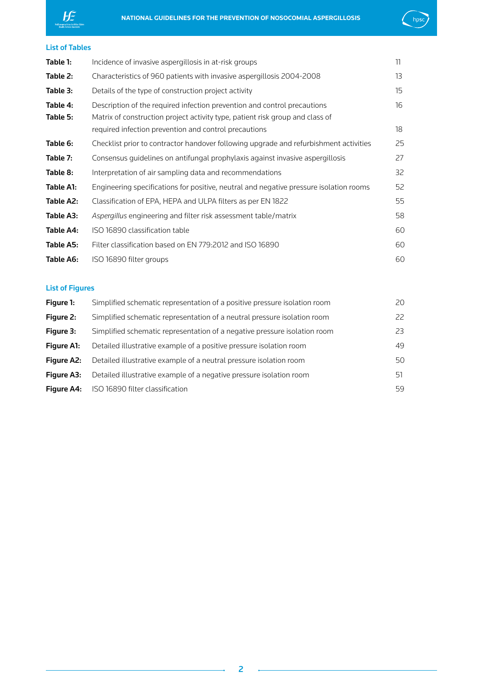



## List of Tables

| Table 1:             | Incidence of invasive aspergillosis in at-risk groups                                                                                                                                                              | 11       |
|----------------------|--------------------------------------------------------------------------------------------------------------------------------------------------------------------------------------------------------------------|----------|
| Table 2:             | Characteristics of 960 patients with invasive aspergillosis 2004-2008                                                                                                                                              | 13       |
| Table 3:             | Details of the type of construction project activity                                                                                                                                                               | 15       |
| Table 4:<br>Table 5: | Description of the required infection prevention and control precautions<br>Matrix of construction project activity type, patient risk group and class of<br>required infection prevention and control precautions | 16<br>18 |
| Table 6:             | Checklist prior to contractor handover following upgrade and refurbishment activities                                                                                                                              | 25       |
| Table 7:             | Consensus guidelines on antifungal prophylaxis against invasive aspergillosis                                                                                                                                      | 27       |
| Table 8:             | Interpretation of air sampling data and recommendations                                                                                                                                                            | 32       |
| Table A1:            | Engineering specifications for positive, neutral and negative pressure isolation rooms                                                                                                                             | 52       |
| Table A2:            | Classification of EPA, HEPA and ULPA filters as per EN 1822                                                                                                                                                        | 55       |
| Table A3:            | Aspergillus engineering and filter risk assessment table/matrix                                                                                                                                                    | 58       |
| Table A4:            | ISO 16890 classification table                                                                                                                                                                                     | 60       |
| Table A5:            | Filter classification based on EN 779:2012 and ISO 16890                                                                                                                                                           | 60       |
| Table A6:            | ISO 16890 filter groups                                                                                                                                                                                            | 60       |

## List of Figures

| Figure 1:         | Simplified schematic representation of a positive pressure isolation room | 20 |
|-------------------|---------------------------------------------------------------------------|----|
| Figure 2:         | Simplified schematic representation of a neutral pressure isolation room  | 22 |
| Figure 3:         | Simplified schematic representation of a negative pressure isolation room | 23 |
| <b>Figure A1:</b> | Detailed illustrative example of a positive pressure isolation room       | 49 |
| <b>Figure A2:</b> | Detailed illustrative example of a neutral pressure isolation room        | 50 |
| <b>Figure A3:</b> | Detailed illustrative example of a negative pressure isolation room       | 51 |
| <b>Figure A4:</b> | ISO 16890 filter classification                                           | 59 |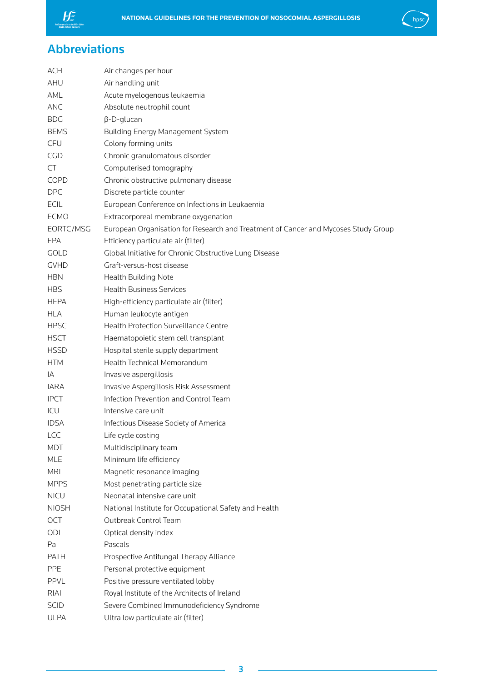<span id="page-3-0"></span>



## Abbreviations

| <b>ACH</b>   | Air changes per hour                                                               |
|--------------|------------------------------------------------------------------------------------|
| AHU          | Air handling unit                                                                  |
| AML          | Acute myelogenous leukaemia                                                        |
| ANC          | Absolute neutrophil count                                                          |
| <b>BDG</b>   | $\beta$ -D-glucan                                                                  |
| <b>BEMS</b>  | <b>Building Energy Management System</b>                                           |
| CFU          | Colony forming units                                                               |
| <b>CGD</b>   | Chronic granulomatous disorder                                                     |
| CT           | Computerised tomography                                                            |
| <b>COPD</b>  | Chronic obstructive pulmonary disease                                              |
| <b>DPC</b>   | Discrete particle counter                                                          |
| <b>ECIL</b>  | European Conference on Infections in Leukaemia                                     |
| <b>ECMO</b>  | Extracorporeal membrane oxygenation                                                |
| EORTC/MSG    | European Organisation for Research and Treatment of Cancer and Mycoses Study Group |
| EPA          | Efficiency particulate air (filter)                                                |
| <b>GOLD</b>  | Global Initiative for Chronic Obstructive Lung Disease                             |
| <b>GVHD</b>  | Graft-versus-host disease                                                          |
| <b>HBN</b>   | Health Building Note                                                               |
| <b>HBS</b>   | <b>Health Business Services</b>                                                    |
| <b>HEPA</b>  | High-efficiency particulate air (filter)                                           |
| <b>HLA</b>   | Human leukocyte antigen                                                            |
| <b>HPSC</b>  | <b>Health Protection Surveillance Centre</b>                                       |
| <b>HSCT</b>  | Haematopoietic stem cell transplant                                                |
| <b>HSSD</b>  | Hospital sterile supply department                                                 |
| <b>HTM</b>   | Health Technical Memorandum                                                        |
| IA           | Invasive aspergillosis                                                             |
| <b>IARA</b>  | Invasive Aspergillosis Risk Assessment                                             |
| <b>IPCT</b>  | Infection Prevention and Control Team                                              |
| ICU          | Intensive care unit                                                                |
| <b>IDSA</b>  | Infectious Disease Society of America                                              |
| <b>LCC</b>   | Life cycle costing                                                                 |
| <b>MDT</b>   | Multidisciplinary team                                                             |
| <b>MLE</b>   | Minimum life efficiency                                                            |
| <b>MRI</b>   | Magnetic resonance imaging                                                         |
| <b>MPPS</b>  | Most penetrating particle size                                                     |
| <b>NICU</b>  | Neonatal intensive care unit                                                       |
| <b>NIOSH</b> | National Institute for Occupational Safety and Health                              |
| OCT          | Outbreak Control Team                                                              |
| ODI          | Optical density index                                                              |
| Pa           | Pascals                                                                            |
| <b>PATH</b>  | Prospective Antifungal Therapy Alliance                                            |
| <b>PPE</b>   | Personal protective equipment                                                      |
| <b>PPVL</b>  | Positive pressure ventilated lobby                                                 |
| RIAI         | Royal Institute of the Architects of Ireland                                       |
|              |                                                                                    |
| <b>SCID</b>  | Severe Combined Immunodeficiency Syndrome                                          |
| <b>ULPA</b>  | Ultra low particulate air (filter)                                                 |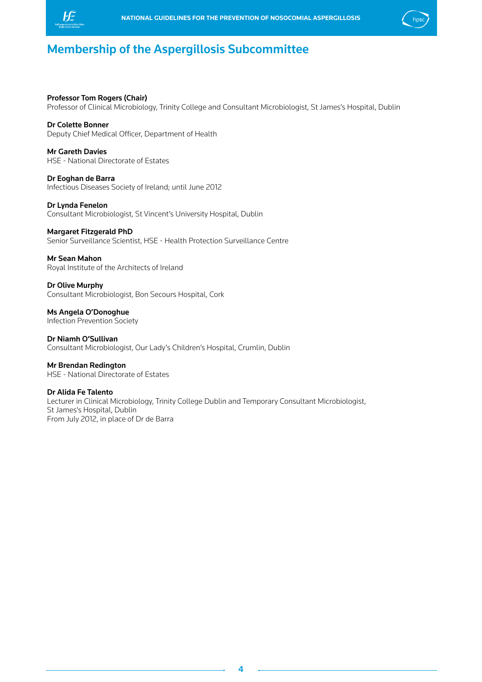<span id="page-4-0"></span>



## Membership of the Aspergillosis Subcommittee

### Professor Tom Rogers (Chair)

Professor of Clinical Microbiology, Trinity College and Consultant Microbiologist, St James's Hospital, Dublin

## Dr Colette Bonner

Deputy Chief Medical Officer, Department of Health

Mr Gareth Davies HSE - National Directorate of Estates

Dr Eoghan de Barra Infectious Diseases Society of Ireland; until June 2012

Dr Lynda Fenelon Consultant Microbiologist, St Vincent's University Hospital, Dublin

#### Margaret Fitzgerald PhD

Senior Surveillance Scientist, HSE - Health Protection Surveillance Centre

#### Mr Sean Mahon

Royal Institute of the Architects of Ireland

### Dr Olive Murphy

Consultant Microbiologist, Bon Secours Hospital, Cork

Ms Angela O'Donoghue Infection Prevention Society

Dr Niamh O'Sullivan Consultant Microbiologist, Our Lady's Children's Hospital, Crumlin, Dublin

Mr Brendan Redington HSE - National Directorate of Estates

#### Dr Alida Fe Talento

Lecturer in Clinical Microbiology, Trinity College Dublin and Temporary Consultant Microbiologist, St James's Hospital, Dublin From July 2012, in place of Dr de Barra

4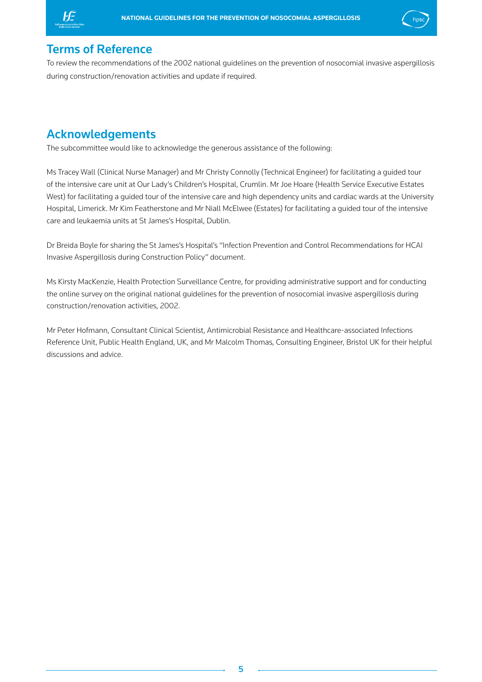<span id="page-5-0"></span>



## Terms of Reference

To review the recommendations of the 2002 national guidelines on the prevention of nosocomial invasive aspergillosis during construction/renovation activities and update if required.

## Acknowledgements

The subcommittee would like to acknowledge the generous assistance of the following:

Ms Tracey Wall (Clinical Nurse Manager) and Mr Christy Connolly (Technical Engineer) for facilitating a guided tour of the intensive care unit at Our Lady's Children's Hospital, Crumlin. Mr Joe Hoare (Health Service Executive Estates West) for facilitating a guided tour of the intensive care and high dependency units and cardiac wards at the University Hospital, Limerick. Mr Kim Featherstone and Mr Niall McElwee (Estates) for facilitating a guided tour of the intensive care and leukaemia units at St James's Hospital, Dublin.

Dr Breida Boyle for sharing the St James's Hospital's "Infection Prevention and Control Recommendations for HCAI Invasive Aspergillosis during Construction Policy" document.

Ms Kirsty MacKenzie, Health Protection Surveillance Centre, for providing administrative support and for conducting the online survey on the original national guidelines for the prevention of nosocomial invasive aspergillosis during construction/renovation activities, 2002.

Mr Peter Hofmann, Consultant Clinical Scientist, Antimicrobial Resistance and Healthcare-associated Infections Reference Unit, Public Health England, UK, and Mr Malcolm Thomas, Consulting Engineer, Bristol UK for their helpful discussions and advice.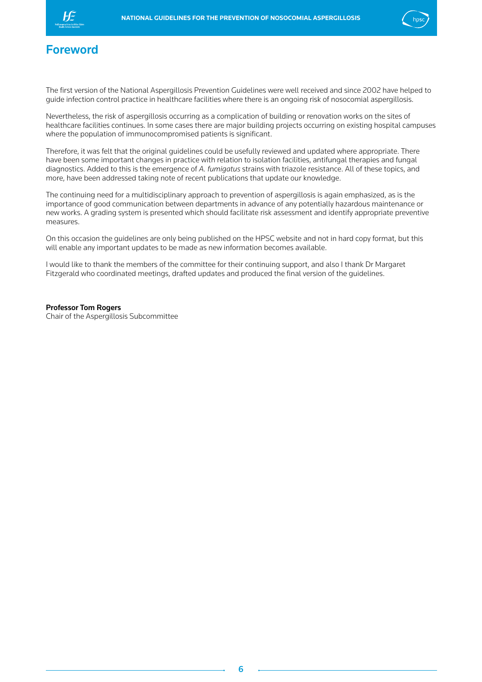<span id="page-6-0"></span>



## Foreword

The first version of the National Aspergillosis Prevention Guidelines were well received and since 2002 have helped to guide infection control practice in healthcare facilities where there is an ongoing risk of nosocomial aspergillosis.

Nevertheless, the risk of aspergillosis occurring as a complication of building or renovation works on the sites of healthcare facilities continues. In some cases there are major building projects occurring on existing hospital campuses where the population of immunocompromised patients is significant.

Therefore, it was felt that the original guidelines could be usefully reviewed and updated where appropriate. There have been some important changes in practice with relation to isolation facilities, antifungal therapies and fungal diagnostics. Added to this is the emergence of *A. fumigatus* strains with triazole resistance. All of these topics, and more, have been addressed taking note of recent publications that update our knowledge.

The continuing need for a multidisciplinary approach to prevention of aspergillosis is again emphasized, as is the importance of good communication between departments in advance of any potentially hazardous maintenance or new works. A grading system is presented which should facilitate risk assessment and identify appropriate preventive measures.

On this occasion the guidelines are only being published on the HPSC website and not in hard copy format, but this will enable any important updates to be made as new information becomes available.

I would like to thank the members of the committee for their continuing support, and also I thank Dr Margaret Fitzgerald who coordinated meetings, drafted updates and produced the final version of the guidelines.

#### Professor Tom Rogers

Chair of the Aspergillosis Subcommittee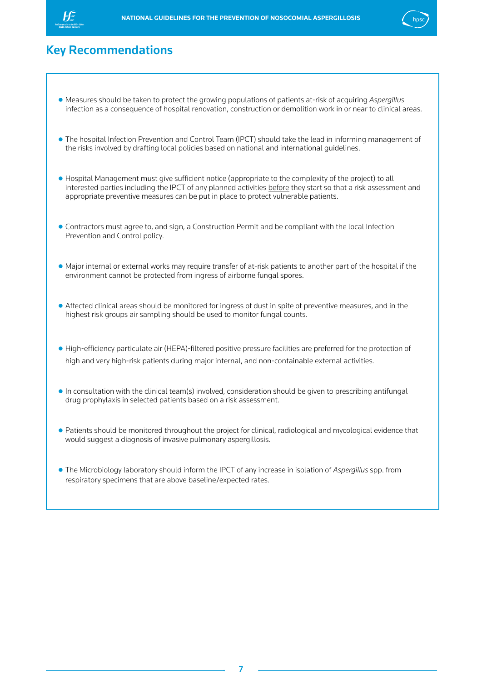<span id="page-7-0"></span>



## Key Recommendations

- **●** Measures should be taken to protect the growing populations of patients at-risk of acquiring *Aspergillus* infection as a consequence of hospital renovation, construction or demolition work in or near to clinical areas.
- **●** The hospital Infection Prevention and Control Team (IPCT) should take the lead in informing management of the risks involved by drafting local policies based on national and international guidelines.
- **●** Hospital Management must give sufficient notice (appropriate to the complexity of the project) to all interested parties including the IPCT of any planned activities before they start so that a risk assessment and appropriate preventive measures can be put in place to protect vulnerable patients.
- **●** Contractors must agree to, and sign, a Construction Permit and be compliant with the local Infection Prevention and Control policy.
- **●** Major internal or external works may require transfer of at-risk patients to another part of the hospital if the environment cannot be protected from ingress of airborne fungal spores.
- **●** Affected clinical areas should be monitored for ingress of dust in spite of preventive measures, and in the highest risk groups air sampling should be used to monitor fungal counts.
- **●** High-efficiency particulate air (HEPA)-filtered positive pressure facilities are preferred for the protection of high and very high-risk patients during major internal, and non-containable external activities.
- **●** In consultation with the clinical team(s) involved, consideration should be given to prescribing antifungal drug prophylaxis in selected patients based on a risk assessment.
- **●** Patients should be monitored throughout the project for clinical, radiological and mycological evidence that would suggest a diagnosis of invasive pulmonary aspergillosis.
- **●** The Microbiology laboratory should inform the IPCT of any increase in isolation of *Aspergillus* spp. from respiratory specimens that are above baseline/expected rates.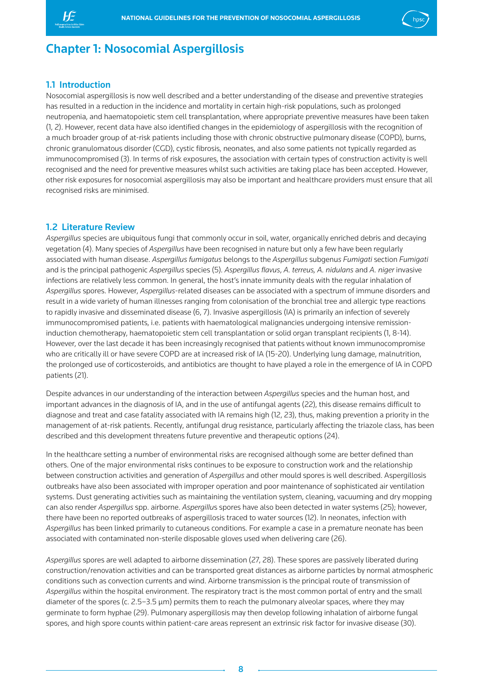<span id="page-8-0"></span>



## Chapter 1: Nosocomial Aspergillosis

## 1.1 Introduction

Nosocomial aspergillosis is now well described and a better understanding of the disease and preventive strategies has resulted in a reduction in the incidence and mortality in certain high-risk populations, such as prolonged neutropenia, and haematopoietic stem cell transplantation, where appropriate preventive measures have been taken (1, 2). However, recent data have also identified changes in the epidemiology of aspergillosis with the recognition of a much broader group of at-risk patients including those with chronic obstructive pulmonary disease (COPD), burns, chronic granulomatous disorder (CGD), cystic fibrosis, neonates, and also some patients not typically regarded as immunocompromised (3). In terms of risk exposures, the association with certain types of construction activity is well recognised and the need for preventive measures whilst such activities are taking place has been accepted. However, other risk exposures for nosocomial aspergillosis may also be important and healthcare providers must ensure that all recognised risks are minimised.

## 1.2 Literature Review

*Aspergillus* species are ubiquitous fungi that commonly occur in soil, water, organically enriched debris and decaying vegetation (4). Many species of *Aspergillus* have been recognised in nature but only a few have been regularly associated with human disease. *Aspergillus fumigatus* belongs to the *Aspergillus* subgenu*s Fumigati* section *Fumigati*  and is the principal pathogenic *Aspergillus* species (5)*. Aspergillus flavus*, *A. terreus, A. nidulans* and *A. niger* invasive infections are relatively less common. In general, the host's innate immunity deals with the regular inhalation of *Aspergillus* spores. However, *Aspergillus*-related diseases can be associated with a spectrum of immune disorders and result in a wide variety of human illnesses ranging from colonisation of the bronchial tree and allergic type reactions to rapidly invasive and disseminated disease (6, 7). Invasive aspergillosis (IA) is primarily an infection of severely immunocompromised patients, i.e. patients with haematological malignancies undergoing intensive remissioninduction chemotherapy, haematopoietic stem cell transplantation or solid organ transplant recipients (1, 8-14). However, over the last decade it has been increasingly recognised that patients without known immunocompromise who are critically ill or have severe COPD are at increased risk of IA (15-20). Underlying lung damage, malnutrition, the prolonged use of corticosteroids, and antibiotics are thought to have played a role in the emergence of IA in COPD patients (21).

Despite advances in our understanding of the interaction between *Aspergillus* species and the human host, and important advances in the diagnosis of IA, and in the use of antifungal agents (22), this disease remains difficult to diagnose and treat and case fatality associated with IA remains high (12, 23), thus, making prevention a priority in the management of at-risk patients. Recently, antifungal drug resistance, particularly affecting the triazole class, has been described and this development threatens future preventive and therapeutic options (24).

In the healthcare setting a number of environmental risks are recognised although some are better defined than others. One of the major environmental risks continues to be exposure to construction work and the relationship between construction activities and generation of *Aspergillus* and other mould spores is well described. Aspergillosis outbreaks have also been associated with improper operation and poor maintenance of sophisticated air ventilation systems. Dust generating activities such as maintaining the ventilation system, cleaning, vacuuming and dry mopping can also render *Aspergillus* spp. airborne. *Aspergillu*s spores have also been detected in water systems (25); however, there have been no reported outbreaks of aspergillosis traced to water sources (12). In neonates, infection with *Aspergillus* has been linked primarily to cutaneous conditions. For example a case in a premature neonate has been associated with contaminated non-sterile disposable gloves used when delivering care (26).

*Aspergillus* spores are well adapted to airborne dissemination (27, 28). These spores are passively liberated during construction/renovation activities and can be transported great distances as airborne particles by normal atmospheric conditions such as convection currents and wind. Airborne transmission is the principal route of transmission of *Aspergillus* within the hospital environment. The respiratory tract is the most common portal of entry and the small diameter of the spores (c. 2.5–3.5 µm) permits them to reach the pulmonary alveolar spaces, where they may germinate to form hyphae (29). Pulmonary aspergillosis may then develop following inhalation of airborne fungal spores, and high spore counts within patient-care areas represent an extrinsic risk factor for invasive disease (30).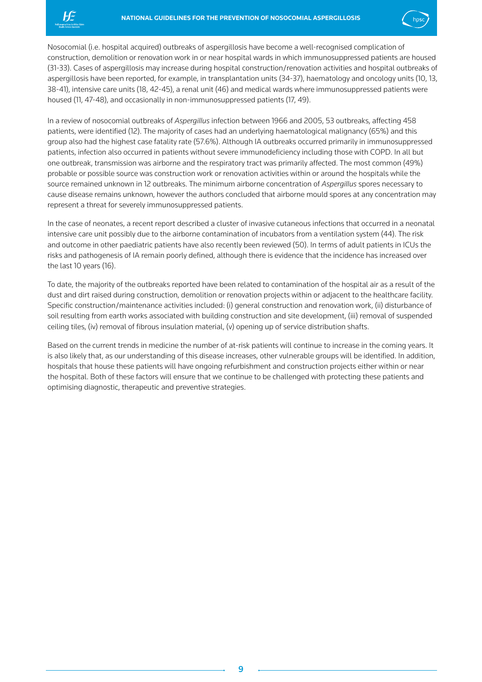



Nosocomial (i.e. hospital acquired) outbreaks of aspergillosis have become a well-recognised complication of construction, demolition or renovation work in or near hospital wards in which immunosuppressed patients are housed (31-33). Cases of aspergillosis may increase during hospital construction/renovation activities and hospital outbreaks of aspergillosis have been reported, for example, in transplantation units (34-37), haematology and oncology units (10, 13, 38-41), intensive care units (18, 42-45), a renal unit (46) and medical wards where immunosuppressed patients were housed (11, 47-48), and occasionally in non-immunosuppressed patients (17, 49).

In a review of nosocomial outbreaks of *Aspergillus* infection between 1966 and 2005, 53 outbreaks, affecting 458 patients, were identified (12). The majority of cases had an underlying haematological malignancy (65%) and this group also had the highest case fatality rate (57.6%). Although IA outbreaks occurred primarily in immunosuppressed patients, infection also occurred in patients without severe immunodeficiency including those with COPD. In all but one outbreak, transmission was airborne and the respiratory tract was primarily affected. The most common (49%) probable or possible source was construction work or renovation activities within or around the hospitals while the source remained unknown in 12 outbreaks. The minimum airborne concentration of *Aspergillus* spores necessary to cause disease remains unknown, however the authors concluded that airborne mould spores at any concentration may represent a threat for severely immunosuppressed patients.

In the case of neonates, a recent report described a cluster of invasive cutaneous infections that occurred in a neonatal intensive care unit possibly due to the airborne contamination of incubators from a ventilation system (44). The risk and outcome in other paediatric patients have also recently been reviewed (50). In terms of adult patients in ICUs the risks and pathogenesis of IA remain poorly defined, although there is evidence that the incidence has increased over the last 10 years (16).

To date, the majority of the outbreaks reported have been related to contamination of the hospital air as a result of the dust and dirt raised during construction, demolition or renovation projects within or adjacent to the healthcare facility. Specific construction/maintenance activities included: (i) general construction and renovation work, (ii) disturbance of soil resulting from earth works associated with building construction and site development, (iii) removal of suspended ceiling tiles, (iv) removal of fibrous insulation material, (v) opening up of service distribution shafts.

Based on the current trends in medicine the number of at-risk patients will continue to increase in the coming years. It is also likely that, as our understanding of this disease increases, other vulnerable groups will be identified. In addition, hospitals that house these patients will have ongoing refurbishment and construction projects either within or near the hospital. Both of these factors will ensure that we continue to be challenged with protecting these patients and optimising diagnostic, therapeutic and preventive strategies.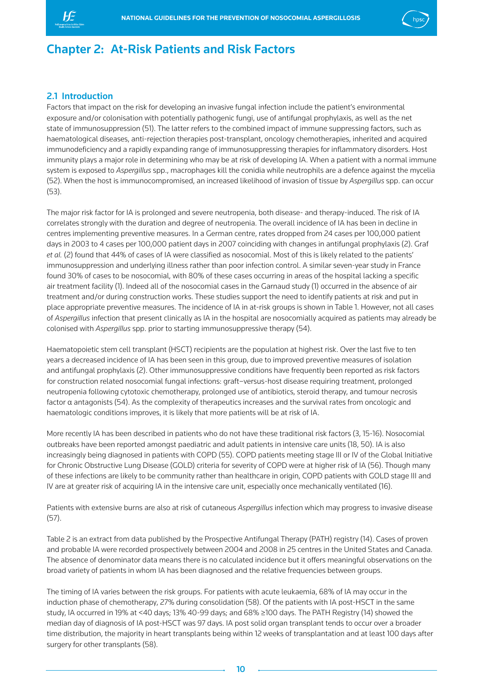<span id="page-10-0"></span>



## Chapter 2: At-Risk Patients and Risk Factors

## 2.1 Introduction

Factors that impact on the risk for developing an invasive fungal infection include the patient's environmental exposure and/or colonisation with potentially pathogenic fungi, use of antifungal prophylaxis, as well as the net state of immunosuppression (51). The latter refers to the combined impact of immune suppressing factors, such as haematological diseases, anti-rejection therapies post-transplant, oncology chemotherapies, inherited and acquired immunodeficiency and a rapidly expanding range of immunosuppressing therapies for inflammatory disorders. Host immunity plays a major role in determining who may be at risk of developing IA. When a patient with a normal immune system is exposed to *Aspergillus* spp., macrophages kill the conidia while neutrophils are a defence against the mycelia (52). When the host is immunocompromised, an increased likelihood of invasion of tissue by *Aspergillus* spp. can occur (53).

The major risk factor for IA is prolonged and severe neutropenia, both disease- and therapy-induced. The risk of IA correlates strongly with the duration and degree of neutropenia. The overall incidence of IA has been in decline in centres implementing preventive measures. In a German centre, rates dropped from 24 cases per 100,000 patient days in 2003 to 4 cases per 100,000 patient days in 2007 coinciding with changes in antifungal prophylaxis (2). Graf *et al.* (2) found that 44% of cases of IA were classified as nosocomial. Most of this is likely related to the patients' immunosuppression and underlying illness rather than poor infection control. A similar seven-year study in France found 30% of cases to be nosocomial, with 80% of these cases occurring in areas of the hospital lacking a specific air treatment facility (1). Indeed all of the nosocomial cases in the Garnaud study (1) occurred in the absence of air treatment and/or during construction works. These studies support the need to identify patients at risk and put in place appropriate preventive measures. The incidence of IA in at-risk groups is shown in Table 1. However, not all cases of *Aspergillus* infection that present clinically as IA in the hospital are nosocomially acquired as patients may already be colonised with *Aspergillus* spp. prior to starting immunosuppressive therapy (54).

Haematopoietic stem cell transplant (HSCT) recipients are the population at highest risk. Over the last five to ten years a decreased incidence of IA has been seen in this group, due to improved preventive measures of isolation and antifungal prophylaxis (2). Other immunosuppressive conditions have frequently been reported as risk factors for construction related nosocomial fungal infections: graft–versus-host disease requiring treatment, prolonged neutropenia following cytotoxic chemotherapy, prolonged use of antibiotics, steroid therapy, and tumour necrosis factor α antagonists (54). As the complexity of therapeutics increases and the survival rates from oncologic and haematologic conditions improves, it is likely that more patients will be at risk of IA.

More recently IA has been described in patients who do not have these traditional risk factors (3, 15-16). Nosocomial outbreaks have been reported amongst paediatric and adult patients in intensive care units (18, 50). IA is also increasingly being diagnosed in patients with COPD (55). COPD patients meeting stage III or IV of the Global Initiative for Chronic Obstructive Lung Disease (GOLD) criteria for severity of COPD were at higher risk of IA (56). Though many of these infections are likely to be community rather than healthcare in origin, COPD patients with GOLD stage III and IV are at greater risk of acquiring IA in the intensive care unit, especially once mechanically ventilated (16).

Patients with extensive burns are also at risk of cutaneous *Aspergillus* infection which may progress to invasive disease (57).

Table 2 is an extract from data published by the Prospective Antifungal Therapy (PATH) registry (14). Cases of proven and probable IA were recorded prospectively between 2004 and 2008 in 25 centres in the United States and Canada. The absence of denominator data means there is no calculated incidence but it offers meaningful observations on the broad variety of patients in whom IA has been diagnosed and the relative frequencies between groups.

The timing of IA varies between the risk groups. For patients with acute leukaemia, 68% of IA may occur in the induction phase of chemotherapy, 27% during consolidation (58). Of the patients with IA post-HSCT in the same study, IA occurred in 19% at <40 days; 13% 40-99 days; and 68% ≥100 days. The PATH Registry (14) showed the median day of diagnosis of IA post-HSCT was 97 days. IA post solid organ transplant tends to occur over a broader time distribution, the majority in heart transplants being within 12 weeks of transplantation and at least 100 days after surgery for other transplants (58).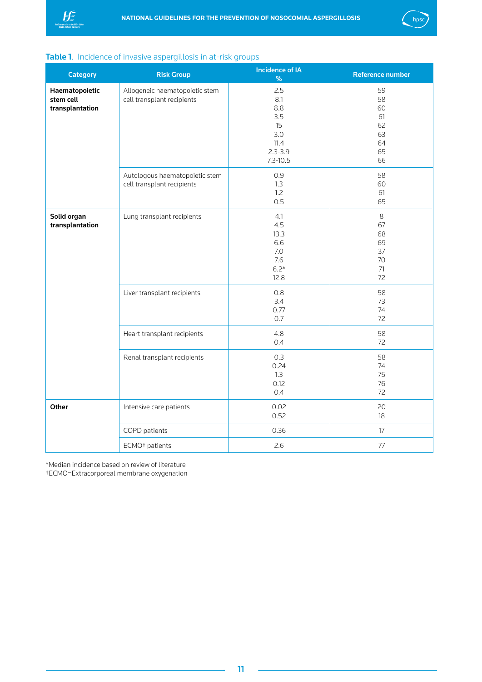<span id="page-11-0"></span>



| <b>Papie 1.</b> Including of invasive aspergntosis in at now groups | <b>Incidence of IA</b>                                       |                                                                              |                                                    |  |  |
|---------------------------------------------------------------------|--------------------------------------------------------------|------------------------------------------------------------------------------|----------------------------------------------------|--|--|
| <b>Category</b>                                                     | <b>Risk Group</b>                                            | $\%$                                                                         | <b>Reference number</b>                            |  |  |
| Haematopoietic<br>stem cell<br>transplantation                      | Allogeneic haematopoietic stem<br>cell transplant recipients | 2.5<br>8.1<br>8.8<br>3.5<br>15<br>3.0<br>11.4<br>$2.3 - 3.9$<br>$7.3 - 10.5$ | 59<br>58<br>60<br>61<br>62<br>63<br>64<br>65<br>66 |  |  |
|                                                                     | Autologous haematopoietic stem<br>cell transplant recipients | 0.9<br>1.3<br>1.2<br>0.5                                                     | 58<br>60<br>61<br>65                               |  |  |
| Solid organ<br>transplantation                                      | Lung transplant recipients                                   | 4.1<br>4.5<br>13.3<br>6.6<br>7.0<br>7.6<br>$6.2*$<br>12.8                    | $\,8\,$<br>67<br>68<br>69<br>37<br>70<br>71<br>72  |  |  |
|                                                                     | Liver transplant recipients                                  | 0.8<br>3.4<br>0.77<br>0.7                                                    | 58<br>73<br>74<br>72                               |  |  |
|                                                                     | Heart transplant recipients                                  | 4.8<br>0.4                                                                   | 58<br>72                                           |  |  |
|                                                                     | Renal transplant recipients                                  | 0.3<br>0.24<br>1.3<br>0.12<br>0.4                                            | 58<br>74<br>75<br>76<br>72                         |  |  |
| Other                                                               | Intensive care patients                                      | 0.02<br>0.52                                                                 | 20<br>18                                           |  |  |
|                                                                     | COPD patients                                                | 0.36                                                                         | 17                                                 |  |  |
|                                                                     | ECMO <sup>+</sup> patients                                   | 2.6                                                                          | $77\,$                                             |  |  |

## Table 1. Incidence of invasive aspergillosis in at-risk groups

\*Median incidence based on review of literature

†ECMO=Extracorporeal membrane oxygenation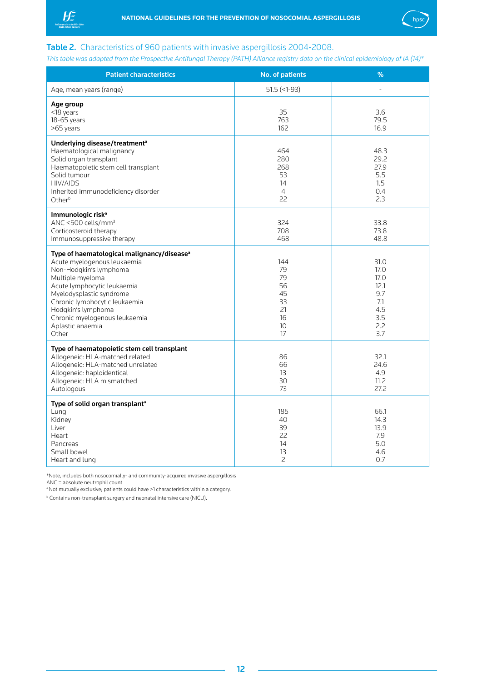<span id="page-12-0"></span>



## Table 2. Characteristics of 960 patients with invasive aspergillosis 2004-2008.

*This table was adapted from the Prospective Antifungal Therapy (PATH) Alliance registry data on the clinical epidemiology of IA (14)\**

| <b>Patient characteristics</b>                                                                                                                                                                                                                                                                                      | <b>No. of patients</b>                                    | %                                                                      |
|---------------------------------------------------------------------------------------------------------------------------------------------------------------------------------------------------------------------------------------------------------------------------------------------------------------------|-----------------------------------------------------------|------------------------------------------------------------------------|
| Age, mean years (range)                                                                                                                                                                                                                                                                                             | $51.5$ (<1-93)                                            | ä,                                                                     |
| Age group<br><18 years<br>$18-65$ years<br>>65 years                                                                                                                                                                                                                                                                | 35<br>763<br>162                                          | 3.6<br>79.5<br>16.9                                                    |
| Underlying disease/treatment <sup>a</sup><br>Haematological malignancy<br>Solid organ transplant<br>Haematopoietic stem cell transplant<br>Solid tumour<br>HIV/AIDS<br>Inherited immunodeficiency disorder<br>Otherb                                                                                                | 464<br>280<br>268<br>53<br>14<br>$\overline{4}$<br>22     | 48.3<br>29.2<br>27.9<br>5.5<br>1.5<br>0.4<br>2.3                       |
| Immunologic risk <sup>a</sup><br>ANC <500 cells/mm <sup>3</sup><br>Corticosteroid therapy<br>Immunosuppressive therapy                                                                                                                                                                                              | 324<br>708<br>468                                         | 33.8<br>73.8<br>48.8                                                   |
| Type of haematological malignancy/disease <sup>a</sup><br>Acute myelogenous leukaemia<br>Non-Hodgkin's lymphoma<br>Multiple myeloma<br>Acute lymphocytic leukaemia<br>Myelodysplastic syndrome<br>Chronic lymphocytic leukaemia<br>Hodgkin's lymphoma<br>Chronic myelogenous leukaemia<br>Aplastic anaemia<br>Other | 144<br>79<br>79<br>56<br>45<br>33<br>21<br>16<br>10<br>17 | 31.0<br>17.0<br>17.0<br>12.1<br>9.7<br>7.1<br>4.5<br>3.5<br>2.2<br>3.7 |
| Type of haematopoietic stem cell transplant<br>Allogeneic: HLA-matched related<br>Allogeneic: HLA-matched unrelated<br>Allogeneic: haploidentical<br>Allogeneic: HLA mismatched<br>Autologous                                                                                                                       | 86<br>66<br>13<br>30<br>73                                | 32.1<br>24.6<br>4.9<br>11.2<br>27.2                                    |
| Type of solid organ transplant <sup>a</sup><br>Lung<br>Kidney<br>Liver<br>Heart<br>Pancreas<br>Small bowel<br>Heart and lung                                                                                                                                                                                        | 185<br>40<br>39<br>22<br>14<br>13<br>$\overline{c}$       | 66.1<br>14.3<br>13.9<br>7.9<br>5.0<br>4.6<br>0.7                       |

\*Note, includes both nosocomially- and community-acquired invasive aspergillosis ANC = absolute neutrophil count

a Not mutually exclusive; patients could have >1 characteristics within a category.

b Contains non-transplant surgery and neonatal intensive care (NICU).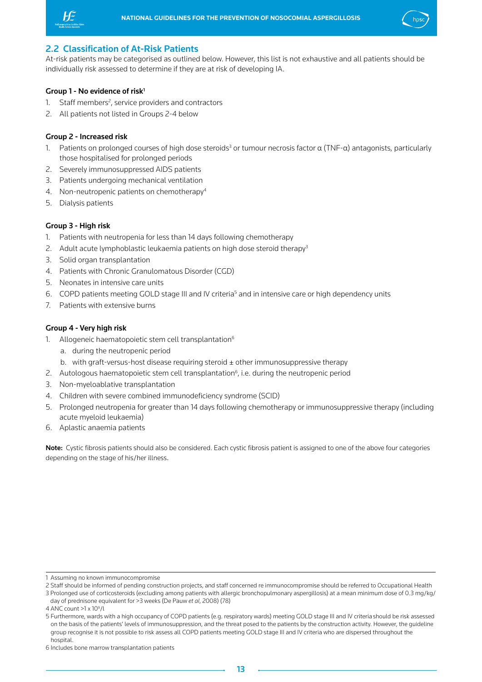<span id="page-13-0"></span>



## 2.2 Classification of At-Risk Patients

At-risk patients may be categorised as outlined below. However, this list is not exhaustive and all patients should be individually risk assessed to determine if they are at risk of developing IA.

## Group  $1$  - No evidence of risk<sup>1</sup>

- 1. Staff members<sup>2</sup>, service providers and contractors
- 2. All patients not listed in Groups 2-4 below

### Group 2 - Increased risk

- 1. Patients on prolonged courses of high dose steroids<sup>3</sup> or tumour necrosis factor α (TNF-α) antagonists, particularly those hospitalised for prolonged periods
- 2. Severely immunosuppressed AIDS patients
- 3. Patients undergoing mechanical ventilation
- 4. Non-neutropenic patients on chemotherapy<sup>4</sup>
- 5. Dialysis patients

## Group 3 - High risk

- 1. Patients with neutropenia for less than 14 days following chemotherapy
- 2. Adult acute lymphoblastic leukaemia patients on high dose steroid therapy<sup>3</sup>
- 3. Solid organ transplantation
- 4. Patients with Chronic Granulomatous Disorder (CGD)
- 5. Neonates in intensive care units
- 6. COPD patients meeting GOLD stage III and IV criteria<sup>5</sup> and in intensive care or high dependency units
- 7. Patients with extensive burns

## Group 4 - Very high risk

- 1. Allogeneic haematopoietic stem cell transplantation<sup>6</sup>
	- a. during the neutropenic period
	- b. with graft-versus-host disease requiring steroid  $\pm$  other immunosuppressive therapy
- 2. Autologous haematopoietic stem cell transplantation<sup>6</sup>, i.e. during the neutropenic period
- 3. Non-myeloablative transplantation
- 4. Children with severe combined immunodeficiency syndrome (SCID)
- 5. Prolonged neutropenia for greater than 14 days following chemotherapy or immunosuppressive therapy (including acute myeloid leukaemia)
- 6. Aplastic anaemia patients

Note: Cystic fibrosis patients should also be considered. Each cystic fibrosis patient is assigned to one of the above four categories depending on the stage of his/her illness.

<sup>1</sup> Assuming no known immunocompromise

<sup>2</sup> Staff should be informed of pending construction projects, and staff concerned re immunocompromise should be referred to Occupational Health

<sup>3</sup> Prolonged use of corticosteroids (excluding among patients with allergic bronchopulmonary aspergillosis) at a mean minimum dose of 0.3 mg/kg/ day of prednisone equivalent for >3 weeks (De Pauw *et al*, 2008) (78)

<sup>4</sup> ANC count >1 x 109 /l

<sup>5</sup> Furthermore, wards with a high occupancy of COPD patients (e.g. respiratory wards) meeting GOLD stage III and IV criteria should be risk assessed on the basis of the patients' levels of immunosuppression, and the threat posed to the patients by the construction activity. However, the guideline group recognise it is not possible to risk assess all COPD patients meeting GOLD stage III and IV criteria who are dispersed throughout the hospital

<sup>6</sup> Includes bone marrow transplantation patients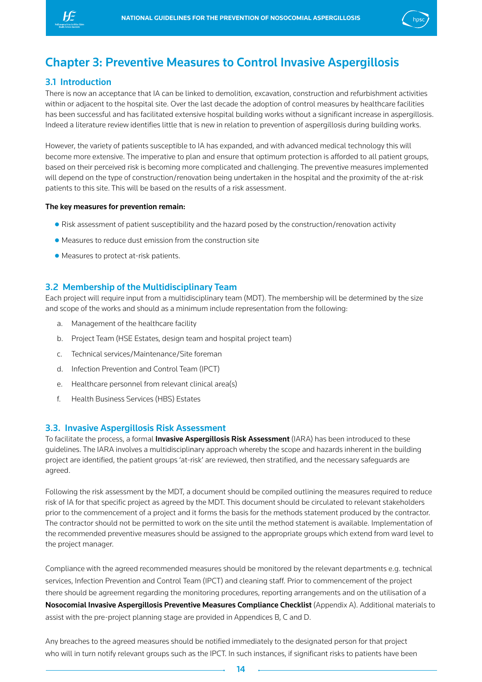<span id="page-14-0"></span>



## Chapter 3: Preventive Measures to Control Invasive Aspergillosis

## 3.1 Introduction

There is now an acceptance that IA can be linked to demolition, excavation, construction and refurbishment activities within or adjacent to the hospital site. Over the last decade the adoption of control measures by healthcare facilities has been successful and has facilitated extensive hospital building works without a significant increase in aspergillosis. Indeed a literature review identifies little that is new in relation to prevention of aspergillosis during building works.

However, the variety of patients susceptible to IA has expanded, and with advanced medical technology this will become more extensive. The imperative to plan and ensure that optimum protection is afforded to all patient groups, based on their perceived risk is becoming more complicated and challenging. The preventive measures implemented will depend on the type of construction/renovation being undertaken in the hospital and the proximity of the at-risk patients to this site. This will be based on the results of a risk assessment.

#### The key measures for prevention remain:

- **●** Risk assessment of patient susceptibility and the hazard posed by the construction/renovation activity
- **●** Measures to reduce dust emission from the construction site
- **●** Measures to protect at-risk patients.

## 3.2 Membership of the Multidisciplinary Team

Each project will require input from a multidisciplinary team (MDT). The membership will be determined by the size and scope of the works and should as a minimum include representation from the following:

- a. Management of the healthcare facility
- b. Project Team (HSE Estates, design team and hospital project team)
- c. Technical services/Maintenance/Site foreman
- d. Infection Prevention and Control Team (IPCT)
- e. Healthcare personnel from relevant clinical area(s)
- f. Health Business Services (HBS) Estates

#### 3.3. Invasive Aspergillosis Risk Assessment

To facilitate the process, a formal *Invasive Aspergillosis Risk Assessment* (IARA) has been introduced to these guidelines. The IARA involves a multidisciplinary approach whereby the scope and hazards inherent in the building project are identified, the patient groups 'at-risk' are reviewed, then stratified, and the necessary safeguards are agreed.

Following the risk assessment by the MDT, a document should be compiled outlining the measures required to reduce risk of IA for that specific project as agreed by the MDT. This document should be circulated to relevant stakeholders prior to the commencement of a project and it forms the basis for the methods statement produced by the contractor. The contractor should not be permitted to work on the site until the method statement is available. Implementation of the recommended preventive measures should be assigned to the appropriate groups which extend from ward level to the project manager.

Compliance with the agreed recommended measures should be monitored by the relevant departments e.g. technical services, Infection Prevention and Control Team (IPCT) and cleaning staff. Prior to commencement of the project there should be agreement regarding the monitoring procedures, reporting arrangements and on the utilisation of a Nosocomial Invasive Aspergillosis Preventive Measures Compliance Checklist (Appendix A). Additional materials to assist with the pre-project planning stage are provided in Appendices B, C and D.

Any breaches to the agreed measures should be notified immediately to the designated person for that project who will in turn notify relevant groups such as the IPCT. In such instances, if significant risks to patients have been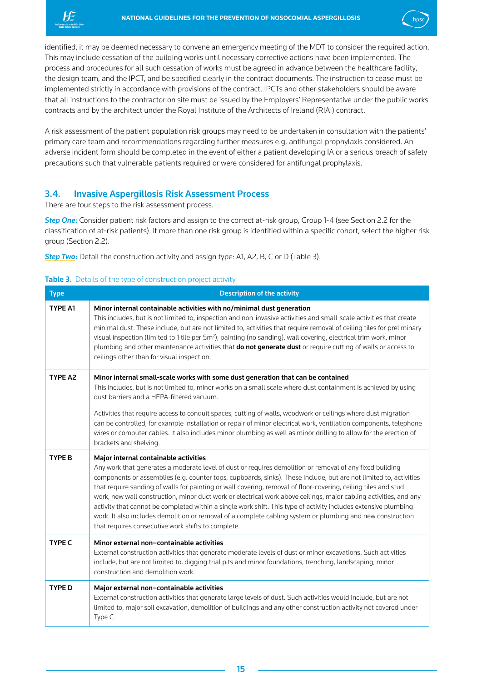<span id="page-15-0"></span>



identified, it may be deemed necessary to convene an emergency meeting of the MDT to consider the required action. This may include cessation of the building works until necessary corrective actions have been implemented. The process and procedures for all such cessation of works must be agreed in advance between the healthcare facility, the design team, and the IPCT, and be specified clearly in the contract documents. The instruction to cease must be implemented strictly in accordance with provisions of the contract. IPCTs and other stakeholders should be aware that all instructions to the contractor on site must be issued by the Employers' Representative under the public works contracts and by the architect under the Royal Institute of the Architects of Ireland (RIAI) contract.

A risk assessment of the patient population risk groups may need to be undertaken in consultation with the patients' primary care team and recommendations regarding further measures e.g. antifungal prophylaxis considered. An adverse incident form should be completed in the event of either a patient developing IA or a serious breach of safety precautions such that vulnerable patients required or were considered for antifungal prophylaxis.

## 3.4. Invasive Aspergillosis Risk Assessment Process

There are four steps to the risk assessment process.

**Step One:** Consider patient risk factors and assign to the correct at-risk group, Group 1-4 (see Section 2.2 for the classification of at-risk patients). If more than one risk group is identified within a specific cohort, select the higher risk group (Section 2.2).

*Step Two:* Detail the construction activity and assign type: A1, A2, B, C or D (Table 3).

## Table 3. Details of the type of construction project activity

| <b>Type</b>   | <b>Description of the activity</b>                                                                                                                                                                                                                                                                                                                                                                                                                                                                                                                                                                                                                                                                                                                                                                   |
|---------------|------------------------------------------------------------------------------------------------------------------------------------------------------------------------------------------------------------------------------------------------------------------------------------------------------------------------------------------------------------------------------------------------------------------------------------------------------------------------------------------------------------------------------------------------------------------------------------------------------------------------------------------------------------------------------------------------------------------------------------------------------------------------------------------------------|
| TYPE A1       | Minor internal containable activities with no/minimal dust generation<br>This includes, but is not limited to, inspection and non-invasive activities and small-scale activities that create<br>minimal dust. These include, but are not limited to, activities that require removal of ceiling tiles for preliminary<br>visual inspection (limited to 1 tile per 5m <sup>2</sup> ), painting (no sanding), wall covering, electrical trim work, minor<br>plumbing and other maintenance activities that do not generate dust or require cutting of walls or access to<br>ceilings other than for visual inspection.                                                                                                                                                                                 |
| TYPE A2       | Minor internal small-scale works with some dust generation that can be contained<br>This includes, but is not limited to, minor works on a small scale where dust containment is achieved by using<br>dust barriers and a HEPA-filtered vacuum.<br>Activities that require access to conduit spaces, cutting of walls, woodwork or ceilings where dust migration<br>can be controlled, for example installation or repair of minor electrical work, ventilation components, telephone<br>wires or computer cables. It also includes minor plumbing as well as minor drilling to allow for the erection of<br>brackets and shelving.                                                                                                                                                                  |
| <b>TYPE B</b> | Major internal containable activities<br>Any work that generates a moderate level of dust or requires demolition or removal of any fixed building<br>components or assemblies (e.g. counter tops, cupboards, sinks). These include, but are not limited to, activities<br>that require sanding of walls for painting or wall covering, removal of floor-covering, ceiling tiles and stud<br>work, new wall construction, minor duct work or electrical work above ceilings, major cabling activities, and any<br>activity that cannot be completed within a single work shift. This type of activity includes extensive plumbing<br>work. It also includes demolition or removal of a complete cabling system or plumbing and new construction<br>that requires consecutive work shifts to complete. |
| <b>TYPE C</b> | Minor external non-containable activities<br>External construction activities that generate moderate levels of dust or minor excavations. Such activities<br>include, but are not limited to, digging trial pits and minor foundations, trenching, landscaping, minor<br>construction and demolition work.                                                                                                                                                                                                                                                                                                                                                                                                                                                                                           |
| <b>TYPE D</b> | Major external non-containable activities<br>External construction activities that generate large levels of dust. Such activities would include, but are not<br>limited to, major soil excavation, demolition of buildings and any other construction activity not covered under<br>Type C.                                                                                                                                                                                                                                                                                                                                                                                                                                                                                                          |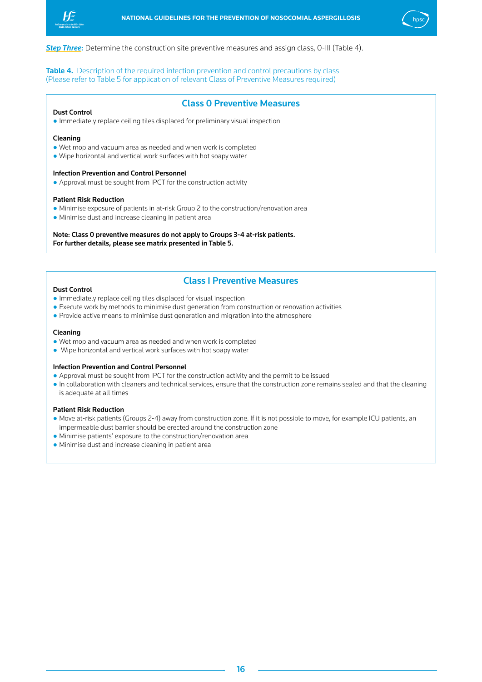<span id="page-16-0"></span>



**Step Three:** Determine the construction site preventive measures and assign class, 0-III (Table 4).

Table 4. Description of the required infection prevention and control precautions by class (Please refer to Table 5 for application of relevant Class of Preventive Measures required)

## Class 0 Preventive Measures

### Dust Control

● Immediately replace ceiling tiles displaced for preliminary visual inspection

#### Cleaning

- Wet mop and vacuum area as needed and when work is completed
- Wipe horizontal and vertical work surfaces with hot soapy water

#### Infection Prevention and Control Personnel

● Approval must be sought from IPCT for the construction activity

#### Patient Risk Reduction

- Minimise exposure of patients in at-risk Group 2 to the construction/renovation area
- Minimise dust and increase cleaning in patient area

Note: Class 0 preventive measures do not apply to Groups 3-4 at-risk patients. For further details, please see matrix presented in Table 5.

## Class I Preventive Measures

#### Dust Control

- Immediately replace ceiling tiles displaced for visual inspection
- Execute work by methods to minimise dust generation from construction or renovation activities
- Provide active means to minimise dust generation and migration into the atmosphere

#### Cleaning

- Wet mop and vacuum area as needed and when work is completed
- Wipe horizontal and vertical work surfaces with hot soapy water

#### Infection Prevention and Control Personnel

- Approval must be sought from IPCT for the construction activity and the permit to be issued
- In collaboration with cleaners and technical services, ensure that the construction zone remains sealed and that the cleaning is adequate at all times

#### Patient Risk Reduction

- Move at-risk patients (Groups 2-4) away from construction zone. If it is not possible to move, for example ICU patients, an impermeable dust barrier should be erected around the construction zone
- Minimise patients' exposure to the construction/renovation area
- Minimise dust and increase cleaning in patient area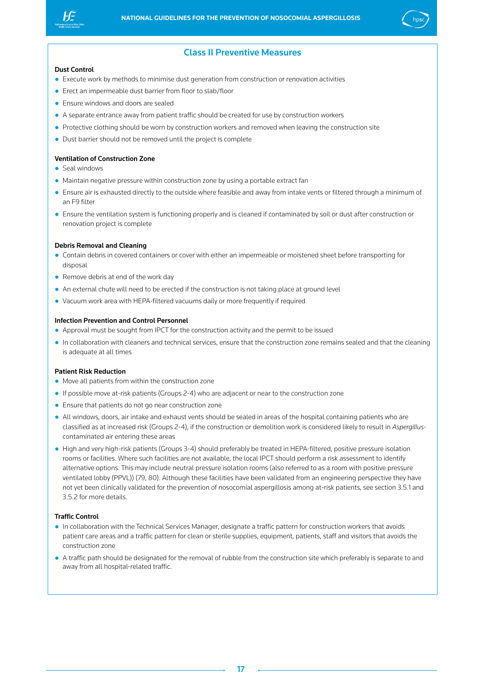



## Class II Preventive Measures

#### Dust Control

- Execute work by methods to minimise dust generation from construction or renovation activities
- Erect an impermeable dust barrier from floor to slab/floor
- Ensure windows and doors are sealed
- A separate entrance away from patient traffic should be created for use by construction workers
- Protective clothing should be worn by construction workers and removed when leaving the construction site
- Dust barrier should not be removed until the project is complete

#### Ventilation of Construction Zone

- Seal windows
- Maintain negative pressure within construction zone by using a portable extract fan
- Ensure air is exhausted directly to the outside where feasible and away from intake vents or filtered through a minimum of an F9 filter
- Ensure the ventilation system is functioning properly and is cleaned if contaminated by soil or dust after construction or renovation project is complete

#### Debris Removal and Cleaning

- Contain debris in covered containers or cover with either an impermeable or moistened sheet before transporting for disposal
- Remove debris at end of the work day
- An external chute will need to be erected if the construction is not taking place at ground level
- Vacuum work area with HEPA-filtered vacuums daily or more frequently if required

#### Infection Prevention and Control Personnel

- Approval must be sought from IPCT for the construction activity and the permit to be issued
- In collaboration with cleaners and technical services, ensure that the construction zone remains sealed and that the cleaning is adequate at all times

#### Patient Risk Reduction

- Move all patients from within the construction zone
- If possible move at-risk patients (Groups 2-4) who are adjacent or near to the construction zone
- Ensure that patients do not go near construction zone
- All windows, doors, air intake and exhaust vents should be sealed in areas of the hospital containing patients who are classified as at increased risk (Groups 2-4), if the construction or demolition work is considered likely to result in *Aspergillus*contaminated air entering these areas
- High and very high-risk patients (Groups 3-4) should preferably be treated in HEPA-filtered, positive pressure isolation rooms or facilities. Where such facilities are not available, the local IPCT should perform a risk assessment to identify alternative options. This may include neutral pressure isolation rooms (also referred to as a room with positive pressure ventilated lobby (PPVL)) (79, 80). Although these facilities have been validated from an engineering perspective they have not yet been clinically validated for the prevention of nosocomial aspergillosis among at-risk patients, see section 3.5.1 and 3.5.2 for more details.

#### Traffic Control

- In collaboration with the Technical Services Manager, designate a traffic pattern for construction workers that avoids patient care areas and a traffic pattern for clean or sterile supplies, equipment, patients, staff and visitors that avoids the construction zone
- A traffic path should be designated for the removal of rubble from the construction site which preferably is separate to and away from all hospital-related traffic.

17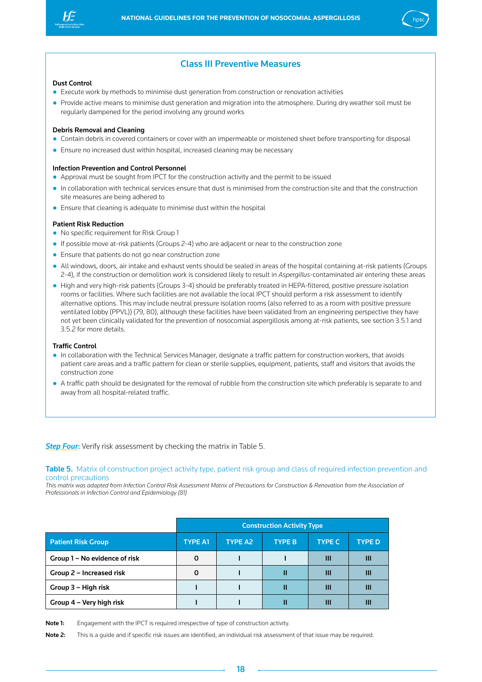<span id="page-18-0"></span>



## Class III Preventive Measures

#### Dust Control

- Execute work by methods to minimise dust generation from construction or renovation activities
- Provide active means to minimise dust generation and migration into the atmosphere. During dry weather soil must be regularly dampened for the period involving any ground works

#### Debris Removal and Cleaning

- Contain debris in covered containers or cover with an impermeable or moistened sheet before transporting for disposal
- Ensure no increased dust within hospital, increased cleaning may be necessary

#### Infection Prevention and Control Personnel

- Approval must be sought from IPCT for the construction activity and the permit to be issued
- In collaboration with technical services ensure that dust is minimised from the construction site and that the construction site measures are being adhered to
- Ensure that cleaning is adequate to minimise dust within the hospital

#### Patient Risk Reduction

- No specific requirement for Risk Group 1
- If possible move at-risk patients (Groups 2-4) who are adjacent or near to the construction zone
- Ensure that patients do not go near construction zone
- All windows, doors, air intake and exhaust vents should be sealed in areas of the hospital containing at-risk patients (Groups 2-4), if the construction or demolition work is considered likely to result in *Aspergillus*-contaminated air entering these areas
- High and very high-risk patients (Groups 3-4) should be preferably treated in HEPA-filtered, positive pressure isolation rooms or facilities. Where such facilities are not available the local IPCT should perform a risk assessment to identify alternative options. This may include neutral pressure isolation rooms (also referred to as a room with positive pressure ventilated lobby (PPVL)) (79, 80), although these facilities have been validated from an engineering perspective they have not yet been clinically validated for the prevention of nosocomial aspergillosis among at-risk patients, see section 3.5.1 and 3.5.2 for more details.

#### Traffic Control

- In collaboration with the Technical Services Manager, designate a traffic pattern for construction workers, that avoids patient care areas and a traffic pattern for clean or sterile supplies, equipment, patients, staff and visitors that avoids the construction zone
- A traffic path should be designated for the removal of rubble from the construction site which preferably is separate to and away from all hospital-related traffic.

**Step Four:** Verify risk assessment by checking the matrix in Table 5.

Table 5. Matrix of construction project activity type, patient risk group and class of required infection prevention and control precautions

*This matrix was adapted from Infection Control Risk Assessment Matrix of Precautions for Construction & Renovation from the Association of Professionals in Infection Control and Epidemiology (81)*

|                               | <b>Construction Activity Type</b> |                |               |               |               |  |
|-------------------------------|-----------------------------------|----------------|---------------|---------------|---------------|--|
| <b>Patient Risk Group</b>     | <b>TYPE A1</b>                    | <b>TYPE A2</b> | <b>TYPE B</b> | <b>TYPE C</b> | <b>TYPE D</b> |  |
| Group 1 – No evidence of risk | $\Omega$                          |                |               | Ш             | Ш             |  |
| Group 2 – Increased risk      | 0                                 |                | Ш             | Ш             | ш             |  |
| Group 3 – High risk           |                                   |                | Ш             | Ш             | Ш             |  |
| Group 4 – Very high risk      |                                   |                | Ш             | Ш             | Ш             |  |

Note 1: Engagement with the IPCT is required irrespective of type of construction activity.

Note 2: This is a quide and if specific risk issues are identified, an individual risk assessment of that issue may be required.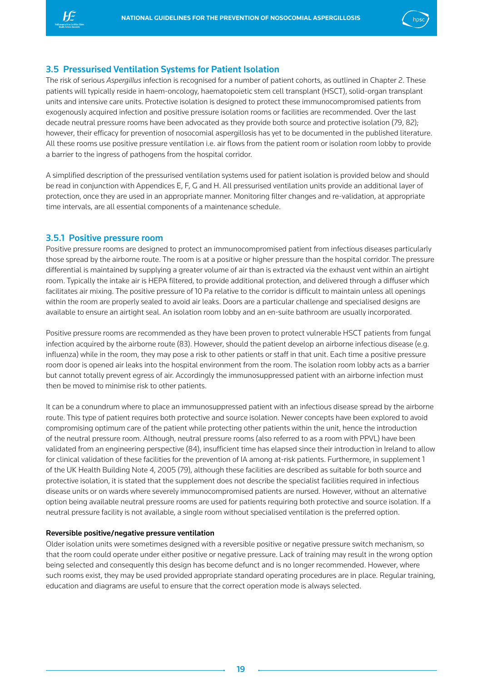<span id="page-19-0"></span>



## 3.5 Pressurised Ventilation Systems for Patient Isolation

The risk of serious *Aspergillus* infection is recognised for a number of patient cohorts, as outlined in Chapter 2. These patients will typically reside in haem-oncology, haematopoietic stem cell transplant (HSCT), solid-organ transplant units and intensive care units. Protective isolation is designed to protect these immunocompromised patients from exogenously acquired infection and positive pressure isolation rooms or facilities are recommended. Over the last decade neutral pressure rooms have been advocated as they provide both source and protective isolation (79, 82); however, their efficacy for prevention of nosocomial aspergillosis has yet to be documented in the published literature. All these rooms use positive pressure ventilation i.e. air flows from the patient room or isolation room lobby to provide a barrier to the ingress of pathogens from the hospital corridor.

A simplified description of the pressurised ventilation systems used for patient isolation is provided below and should be read in conjunction with Appendices E, F, G and H. All pressurised ventilation units provide an additional layer of protection, once they are used in an appropriate manner. Monitoring filter changes and re-validation, at appropriate time intervals, are all essential components of a maintenance schedule.

## 3.5.1 Positive pressure room

Positive pressure rooms are designed to protect an immunocompromised patient from infectious diseases particularly those spread by the airborne route. The room is at a positive or higher pressure than the hospital corridor. The pressure differential is maintained by supplying a greater volume of air than is extracted via the exhaust vent within an airtight room. Typically the intake air is HEPA filtered, to provide additional protection, and delivered through a diffuser which facilitates air mixing. The positive pressure of 10 Pa relative to the corridor is difficult to maintain unless all openings within the room are properly sealed to avoid air leaks. Doors are a particular challenge and specialised designs are available to ensure an airtight seal. An isolation room lobby and an en-suite bathroom are usually incorporated.

Positive pressure rooms are recommended as they have been proven to protect vulnerable HSCT patients from fungal infection acquired by the airborne route (83). However, should the patient develop an airborne infectious disease (e.g. influenza) while in the room, they may pose a risk to other patients or staff in that unit. Each time a positive pressure room door is opened air leaks into the hospital environment from the room. The isolation room lobby acts as a barrier but cannot totally prevent egress of air. Accordingly the immunosuppressed patient with an airborne infection must then be moved to minimise risk to other patients.

It can be a conundrum where to place an immunosuppressed patient with an infectious disease spread by the airborne route. This type of patient requires both protective and source isolation. Newer concepts have been explored to avoid compromising optimum care of the patient while protecting other patients within the unit, hence the introduction of the neutral pressure room. Although, neutral pressure rooms (also referred to as a room with PPVL) have been validated from an engineering perspective (84), insufficient time has elapsed since their introduction in Ireland to allow for clinical validation of these facilities for the prevention of IA among at-risk patients. Furthermore, in supplement 1 of the UK Health Building Note 4, 2005 (79), although these facilities are described as suitable for both source and protective isolation, it is stated that the supplement does not describe the specialist facilities required in infectious disease units or on wards where severely immunocompromised patients are nursed. However, without an alternative option being available neutral pressure rooms are used for patients requiring both protective and source isolation. If a neutral pressure facility is not available, a single room without specialised ventilation is the preferred option.

#### Reversible positive/negative pressure ventilation

Older isolation units were sometimes designed with a reversible positive or negative pressure switch mechanism, so that the room could operate under either positive or negative pressure. Lack of training may result in the wrong option being selected and consequently this design has become defunct and is no longer recommended. However, where such rooms exist, they may be used provided appropriate standard operating procedures are in place. Regular training, education and diagrams are useful to ensure that the correct operation mode is always selected.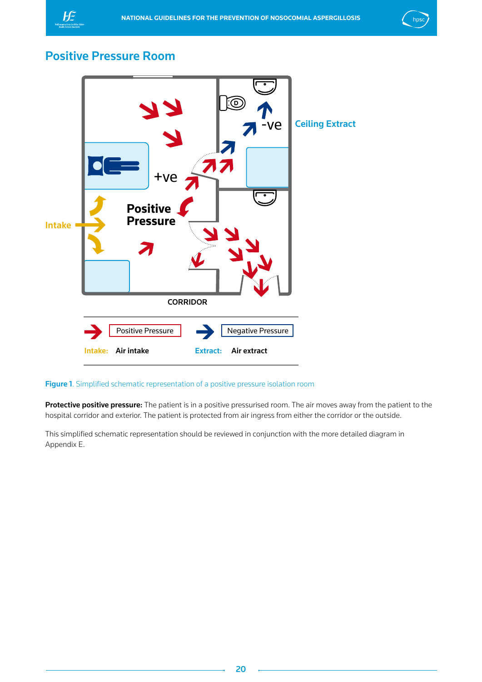<span id="page-20-0"></span>



## Positive Pressure Room



## Figure 1. Simplified schematic representation of a positive pressure isolation room

Protective positive pressure: The patient is in a positive pressurised room. The air moves away from the patient to the hospital corridor and exterior. The patient is protected from air ingress from either the corridor or the outside.

This simplified schematic representation should be reviewed in conjunction with the more detailed diagram in Appendix E.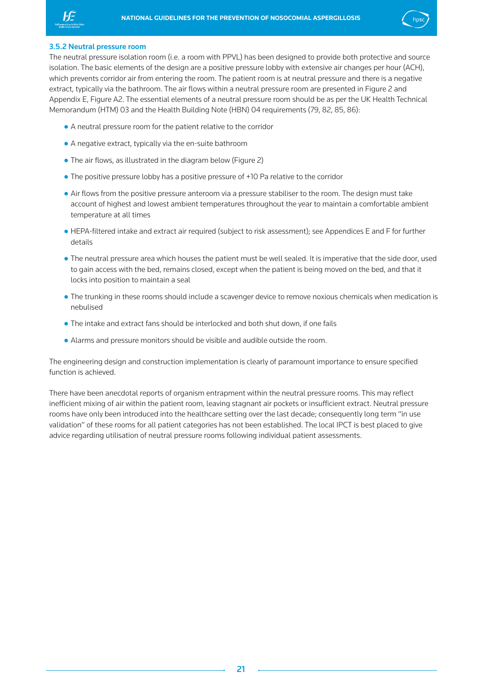<span id="page-21-0"></span>



#### 3.5.2 Neutral pressure room

The neutral pressure isolation room (i.e. a room with PPVL) has been designed to provide both protective and source isolation. The basic elements of the design are a positive pressure lobby with extensive air changes per hour (ACH), which prevents corridor air from entering the room. The patient room is at neutral pressure and there is a negative extract, typically via the bathroom. The air flows within a neutral pressure room are presented in Figure 2 and Appendix E, Figure A2. The essential elements of a neutral pressure room should be as per the UK Health Technical Memorandum (HTM) 03 and the Health Building Note (HBN) 04 requirements (79, 82, 85, 86):

- A neutral pressure room for the patient relative to the corridor
- A negative extract, typically via the en-suite bathroom
- The air flows, as illustrated in the diagram below (Figure 2)
- The positive pressure lobby has a positive pressure of +10 Pa relative to the corridor
- Air flows from the positive pressure anteroom via a pressure stabiliser to the room. The design must take account of highest and lowest ambient temperatures throughout the year to maintain a comfortable ambient temperature at all times
- HEPA-filtered intake and extract air required (subject to risk assessment); see Appendices E and F for further details
- The neutral pressure area which houses the patient must be well sealed. It is imperative that the side door, used to gain access with the bed, remains closed, except when the patient is being moved on the bed, and that it locks into position to maintain a seal
- The trunking in these rooms should include a scavenger device to remove noxious chemicals when medication is nebulised
- The intake and extract fans should be interlocked and both shut down, if one fails
- Alarms and pressure monitors should be visible and audible outside the room.

The engineering design and construction implementation is clearly of paramount importance to ensure specified function is achieved.

There have been anecdotal reports of organism entrapment within the neutral pressure rooms. This may reflect inefficient mixing of air within the patient room, leaving stagnant air pockets or insufficient extract. Neutral pressure rooms have only been introduced into the healthcare setting over the last decade; consequently long term "in use validation" of these rooms for all patient categories has not been established. The local IPCT is best placed to give advice regarding utilisation of neutral pressure rooms following individual patient assessments.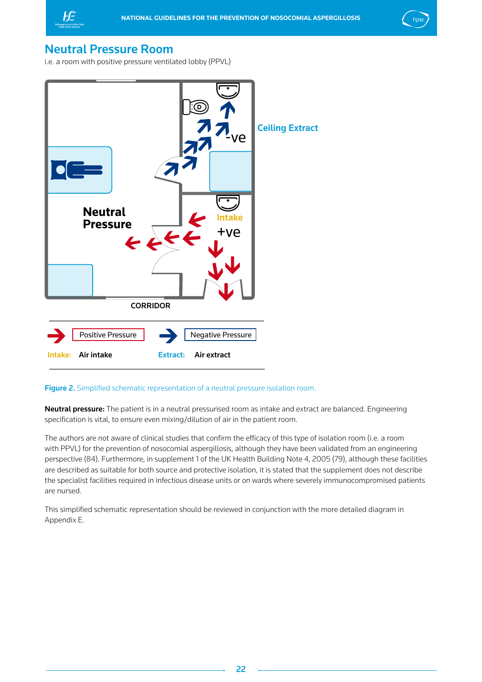<span id="page-22-0"></span>



## Neutral Pressure Room

i.e. a room with positive pressure ventilated lobby (PPVL)



## Figure 2. Simplified schematic representation of a neutral pressure isolation room.

Neutral pressure: The patient is in a neutral pressurised room as intake and extract are balanced. Engineering specification is vital, to ensure even mixing/dilution of air in the patient room.

The authors are not aware of clinical studies that confirm the efficacy of this type of isolation room (i.e. a room with PPVL) for the prevention of nosocomial aspergillosis, although they have been validated from an engineering perspective (84). Furthermore, in supplement 1 of the UK Health Building Note 4, 2005 (79), although these facilities are described as suitable for both source and protective isolation, it is stated that the supplement does not describe the specialist facilities required in infectious disease units or on wards where severely immunocompromised patients are nursed.

This simplified schematic representation should be reviewed in conjunction with the more detailed diagram in Appendix E.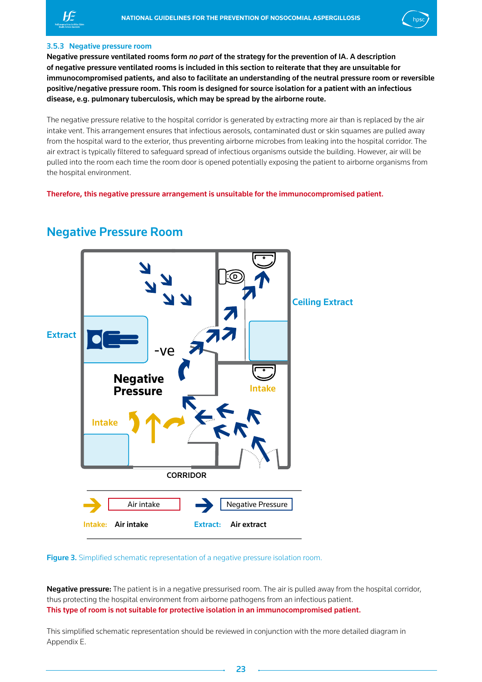<span id="page-23-0"></span>



#### 3.5.3 Negative pressure room

Negative pressure ventilated rooms form *no part* of the strategy for the prevention of IA. A description of negative pressure ventilated rooms is included in this section to reiterate that they are unsuitable for immunocompromised patients, and also to facilitate an understanding of the neutral pressure room or reversible positive/negative pressure room. This room is designed for source isolation for a patient with an infectious disease, e.g. pulmonary tuberculosis, which may be spread by the airborne route.

The negative pressure relative to the hospital corridor is generated by extracting more air than is replaced by the air intake vent. This arrangement ensures that infectious aerosols, contaminated dust or skin squames are pulled away from the hospital ward to the exterior, thus preventing airborne microbes from leaking into the hospital corridor. The air extract is typically filtered to safeguard spread of infectious organisms outside the building. However, air will be pulled into the room each time the room door is opened potentially exposing the patient to airborne organisms from the hospital environment.

Therefore, this negative pressure arrangement is unsuitable for the immunocompromised patient.



## Negative Pressure Room

**Figure 3.** Simplified schematic representation of a negative pressure isolation room.

Negative pressure: The patient is in a negative pressurised room. The air is pulled away from the hospital corridor, thus protecting the hospital environment from airborne pathogens from an infectious patient. This type of room is not suitable for protective isolation in an immunocompromised patient.

This simplified schematic representation should be reviewed in conjunction with the more detailed diagram in Appendix E.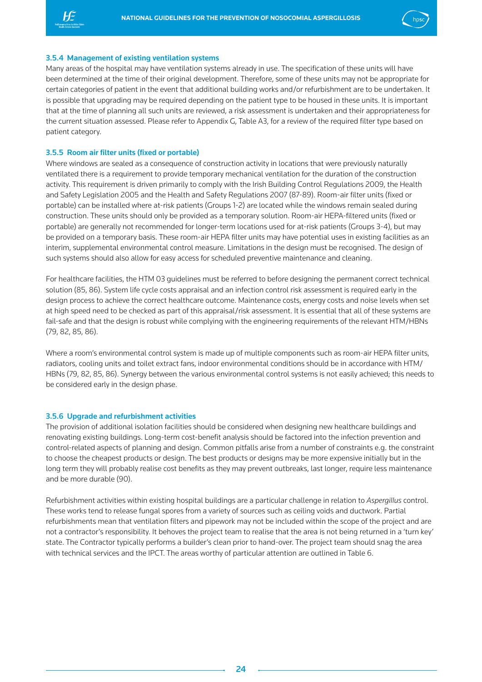<span id="page-24-0"></span>



#### 3.5.4 Management of existing ventilation systems

Many areas of the hospital may have ventilation systems already in use. The specification of these units will have been determined at the time of their original development. Therefore, some of these units may not be appropriate for certain categories of patient in the event that additional building works and/or refurbishment are to be undertaken. It is possible that upgrading may be required depending on the patient type to be housed in these units. It is important that at the time of planning all such units are reviewed, a risk assessment is undertaken and their appropriateness for the current situation assessed. Please refer to Appendix G, Table A3, for a review of the required filter type based on patient category.

#### 3.5.5 Room air filter units (fixed or portable)

Where windows are sealed as a consequence of construction activity in locations that were previously naturally ventilated there is a requirement to provide temporary mechanical ventilation for the duration of the construction activity. This requirement is driven primarily to comply with the Irish Building Control Regulations 2009, the Health and Safety Legislation 2005 and the Health and Safety Regulations 2007 (87-89). Room-air filter units (fixed or portable) can be installed where at-risk patients (Groups 1-2) are located while the windows remain sealed during construction. These units should only be provided as a temporary solution. Room-air HEPA-filtered units (fixed or portable) are generally not recommended for longer-term locations used for at-risk patients (Groups 3-4), but may be provided on a temporary basis. These room-air HEPA filter units may have potential uses in existing facilities as an interim, supplemental environmental control measure. Limitations in the design must be recognised. The design of such systems should also allow for easy access for scheduled preventive maintenance and cleaning.

For healthcare facilities, the HTM 03 guidelines must be referred to before designing the permanent correct technical solution (85, 86). System life cycle costs appraisal and an infection control risk assessment is required early in the design process to achieve the correct healthcare outcome. Maintenance costs, energy costs and noise levels when set at high speed need to be checked as part of this appraisal/risk assessment. It is essential that all of these systems are fail-safe and that the design is robust while complying with the engineering requirements of the relevant HTM/HBNs (79, 82, 85, 86).

Where a room's environmental control system is made up of multiple components such as room-air HEPA filter units, radiators, cooling units and toilet extract fans, indoor environmental conditions should be in accordance with HTM/ HBNs (79, 82, 85, 86). Synergy between the various environmental control systems is not easily achieved; this needs to be considered early in the design phase.

#### 3.5.6 Upgrade and refurbishment activities

The provision of additional isolation facilities should be considered when designing new healthcare buildings and renovating existing buildings. Long-term cost-benefit analysis should be factored into the infection prevention and control-related aspects of planning and design. Common pitfalls arise from a number of constraints e.g. the constraint to choose the cheapest products or design. The best products or designs may be more expensive initially but in the long term they will probably realise cost benefits as they may prevent outbreaks, last longer, require less maintenance and be more durable (90).

Refurbishment activities within existing hospital buildings are a particular challenge in relation to *Aspergillus* control. These works tend to release fungal spores from a variety of sources such as ceiling voids and ductwork. Partial refurbishments mean that ventilation filters and pipework may not be included within the scope of the project and are not a contractor's responsibility. It behoves the project team to realise that the area is not being returned in a 'turn key' state. The Contractor typically performs a builder's clean prior to hand-over. The project team should snag the area with technical services and the IPCT. The areas worthy of particular attention are outlined in Table 6.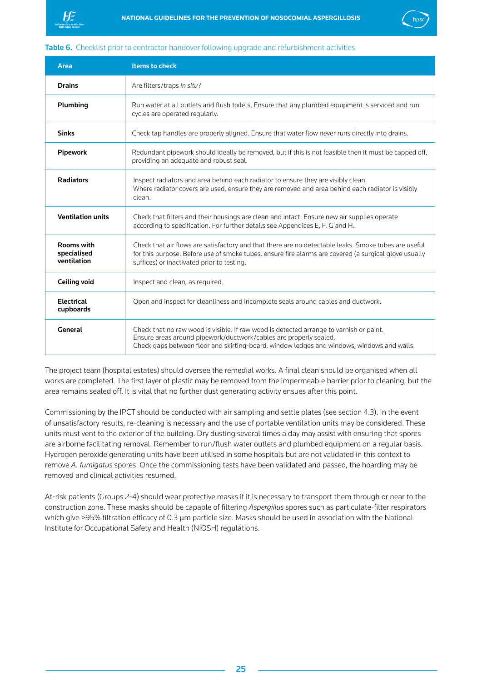<span id="page-25-0"></span>



## Table 6. Checklist prior to contractor handover following upgrade and refurbishment activities

| Area                                            | <b>Items to check</b>                                                                                                                                                                                                                                       |
|-------------------------------------------------|-------------------------------------------------------------------------------------------------------------------------------------------------------------------------------------------------------------------------------------------------------------|
| <b>Drains</b>                                   | Are filters/traps in situ?                                                                                                                                                                                                                                  |
| Plumbing                                        | Run water at all outlets and flush toilets. Ensure that any plumbed equipment is serviced and run<br>cycles are operated regularly.                                                                                                                         |
| <b>Sinks</b>                                    | Check tap handles are properly aligned. Ensure that water flow never runs directly into drains.                                                                                                                                                             |
| <b>Pipework</b>                                 | Redundant pipework should ideally be removed, but if this is not feasible then it must be capped off,<br>providing an adequate and robust seal.                                                                                                             |
| <b>Radiators</b>                                | Inspect radiators and area behind each radiator to ensure they are visibly clean.<br>Where radiator covers are used, ensure they are removed and area behind each radiator is visibly<br>clean.                                                             |
| <b>Ventilation units</b>                        | Check that filters and their housings are clean and intact. Ensure new air supplies operate<br>according to specification. For further details see Appendices E, F, G and H.                                                                                |
| <b>Rooms with</b><br>specialised<br>ventilation | Check that air flows are satisfactory and that there are no detectable leaks. Smoke tubes are useful<br>for this purpose. Before use of smoke tubes, ensure fire alarms are covered (a surgical glove usually<br>suffices) or inactivated prior to testing. |
| <b>Ceiling void</b>                             | Inspect and clean, as required.                                                                                                                                                                                                                             |
| <b>Electrical</b><br>cupboards                  | Open and inspect for cleanliness and incomplete seals around cables and ductwork.                                                                                                                                                                           |
| General                                         | Check that no raw wood is visible. If raw wood is detected arrange to varnish or paint.<br>Ensure areas around pipework/ductwork/cables are properly sealed.<br>Check gaps between floor and skirting-board, window ledges and windows, windows and walls.  |

The project team (hospital estates) should oversee the remedial works. A final clean should be organised when all works are completed. The first layer of plastic may be removed from the impermeable barrier prior to cleaning, but the area remains sealed off. It is vital that no further dust generating activity ensues after this point.

Commissioning by the IPCT should be conducted with air sampling and settle plates (see section 4.3). In the event of unsatisfactory results, re-cleaning is necessary and the use of portable ventilation units may be considered. These units must vent to the exterior of the building. Dry dusting several times a day may assist with ensuring that spores are airborne facilitating removal. Remember to run/flush water outlets and plumbed equipment on a regular basis. Hydrogen peroxide generating units have been utilised in some hospitals but are not validated in this context to remove *A. fumigatus* spores. Once the commissioning tests have been validated and passed, the hoarding may be removed and clinical activities resumed.

At-risk patients (Groups 2-4) should wear protective masks if it is necessary to transport them through or near to the construction zone. These masks should be capable of filtering *Aspergillus* spores such as particulate-filter respirators which give >95% filtration efficacy of 0.3 μm particle size. Masks should be used in association with the National Institute for Occupational Safety and Health (NIOSH) regulations.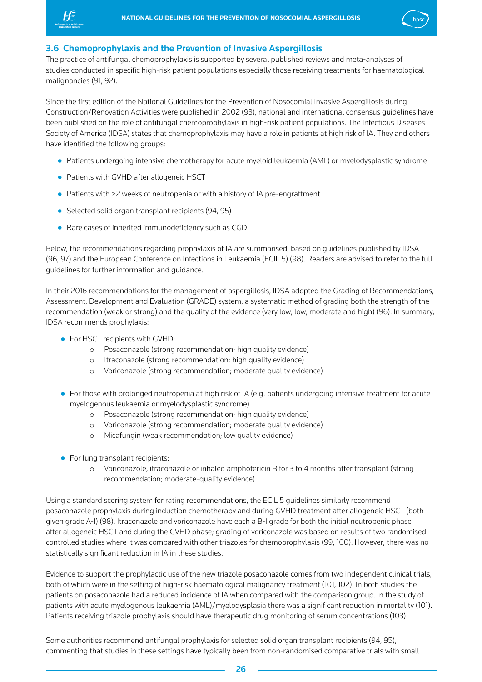<span id="page-26-0"></span>



## 3.6 Chemoprophylaxis and the Prevention of Invasive Aspergillosis

The practice of antifungal chemoprophylaxis is supported by several published reviews and meta-analyses of studies conducted in specific high-risk patient populations especially those receiving treatments for haematological malignancies (91, 92).

Since the first edition of the National Guidelines for the Prevention of Nosocomial Invasive Aspergillosis during Construction/Renovation Activities were published in 2002 (93), national and international consensus guidelines have been published on the role of antifungal chemoprophylaxis in high-risk patient populations. The Infectious Diseases Society of America (IDSA) states that chemoprophylaxis may have a role in patients at high risk of IA. They and others have identified the following groups:

- Patients undergoing intensive chemotherapy for acute myeloid leukaemia (AML) or myelodysplastic syndrome
- Patients with GVHD after allogeneic HSCT
- Patients with ≥2 weeks of neutropenia or with a history of IA pre-engraftment
- Selected solid organ transplant recipients (94, 95)
- Rare cases of inherited immunodeficiency such as CGD.

Below, the recommendations regarding prophylaxis of IA are summarised, based on guidelines published by IDSA (96, 97) and the European Conference on Infections in Leukaemia (ECIL 5) (98). Readers are advised to refer to the full guidelines for further information and guidance.

In their 2016 recommendations for the management of aspergillosis, IDSA adopted the Grading of Recommendations, Assessment, Development and Evaluation (GRADE) system, a systematic method of grading both the strength of the recommendation (weak or strong) and the quality of the evidence (very low, low, moderate and high) (96). In summary, IDSA recommends prophylaxis:

- For HSCT recipients with GVHD:
	- o Posaconazole (strong recommendation; high quality evidence)
	- o Itraconazole (strong recommendation; high quality evidence)
	- o Voriconazole (strong recommendation; moderate quality evidence)
- For those with prolonged neutropenia at high risk of IA (e.g. patients undergoing intensive treatment for acute myelogenous leukaemia or myelodysplastic syndrome)
	- o Posaconazole (strong recommendation; high quality evidence)
	- o Voriconazole (strong recommendation; moderate quality evidence)
	- o Micafungin (weak recommendation; low quality evidence)
- For lung transplant recipients:
	- o Voriconazole, itraconazole or inhaled amphotericin B for 3 to 4 months after transplant (strong recommendation; moderate-quality evidence)

Using a standard scoring system for rating recommendations, the ECIL 5 guidelines similarly recommend posaconazole prophylaxis during induction chemotherapy and during GVHD treatment after allogeneic HSCT (both given grade A-I) (98). Itraconazole and voriconazole have each a B-I grade for both the initial neutropenic phase after allogeneic HSCT and during the GVHD phase; grading of voriconazole was based on results of two randomised controlled studies where it was compared with other triazoles for chemoprophylaxis (99, 100). However, there was no statistically significant reduction in IA in these studies.

Evidence to support the prophylactic use of the new triazole posaconazole comes from two independent clinical trials, both of which were in the setting of high-risk haematological malignancy treatment (101, 102). In both studies the patients on posaconazole had a reduced incidence of IA when compared with the comparison group. In the study of patients with acute myelogenous leukaemia (AML)/myelodysplasia there was a significant reduction in mortality (101). Patients receiving triazole prophylaxis should have therapeutic drug monitoring of serum concentrations (103).

Some authorities recommend antifungal prophylaxis for selected solid organ transplant recipients (94, 95), commenting that studies in these settings have typically been from non-randomised comparative trials with small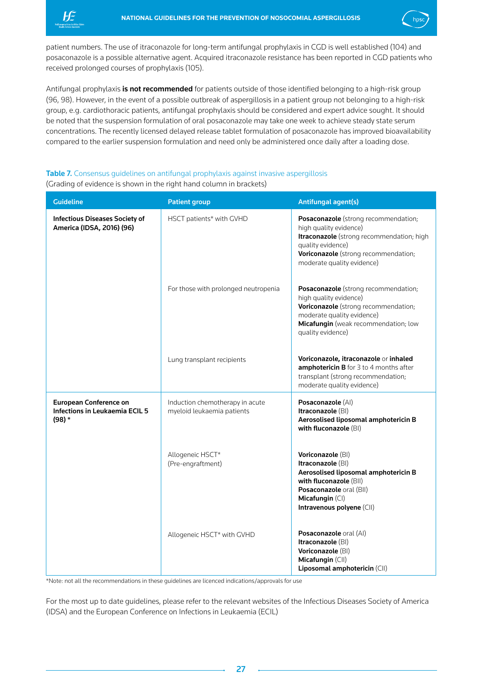<span id="page-27-0"></span>



Antifungal prophylaxis is not recommended for patients outside of those identified belonging to a high-risk group (96, 98). However, in the event of a possible outbreak of aspergillosis in a patient group not belonging to a high-risk group, e.g. cardiothoracic patients, antifungal prophylaxis should be considered and expert advice sought. It should be noted that the suspension formulation of oral posaconazole may take one week to achieve steady state serum concentrations. The recently licensed delayed release tablet formulation of posaconazole has improved bioavailability compared to the earlier suspension formulation and need only be administered once daily after a loading dose.

## Table 7. Consensus guidelines on antifungal prophylaxis against invasive aspergillosis (Grading of evidence is shown in the right hand column in brackets)

| <b>Guideline</b>                                                                  | <b>Patient group</b>                                          | <b>Antifungal agent(s)</b>                                                                                                                                                                             |
|-----------------------------------------------------------------------------------|---------------------------------------------------------------|--------------------------------------------------------------------------------------------------------------------------------------------------------------------------------------------------------|
| <b>Infectious Diseases Society of</b><br>America (IDSA, 2016) (96)                | HSCT patients* with GVHD                                      | Posaconazole (strong recommendation;<br>high quality evidence)<br>Itraconazole (strong recommendation; high<br>quality evidence)<br>Voriconazole (strong recommendation;<br>moderate quality evidence) |
|                                                                                   | For those with prolonged neutropenia                          | Posaconazole (strong recommendation;<br>high quality evidence)<br>Voriconazole (strong recommendation;<br>moderate quality evidence)<br>Micafungin (weak recommendation; low<br>quality evidence)      |
|                                                                                   | Lung transplant recipients                                    | Voriconazole, itraconazole or inhaled<br>amphotericin B for 3 to 4 months after<br>transplant (strong recommendation;<br>moderate quality evidence)                                                    |
| <b>European Conference on</b><br><b>Infections in Leukaemia ECIL 5</b><br>$(98)*$ | Induction chemotherapy in acute<br>myeloid leukaemia patients | Posaconazole (AI)<br>Itraconazole (BI)<br>Aerosolised liposomal amphotericin B<br>with fluconazole (BI)                                                                                                |
|                                                                                   | Allogeneic HSCT*<br>(Pre-engraftment)                         | Voriconazole (BI)<br>Itraconazole (BI)<br>Aerosolised liposomal amphotericin B<br>with fluconazole (BII)<br>Posaconazole oral (BII)<br>Micafungin (CI)<br>Intravenous polyene (CII)                    |
|                                                                                   | Allogeneic HSCT* with GVHD                                    | Posaconazole oral (AI)<br>Itraconazole (BI)<br>Voriconazole (BI)<br>Micafungin (CII)<br>Liposomal amphotericin (CII)                                                                                   |

\*Note: not all the recommendations in these guidelines are licenced indications/approvals for use

For the most up to date guidelines, please refer to the relevant websites of the Infectious Diseases Society of America (IDSA) and the European Conference on Infections in Leukaemia (ECIL)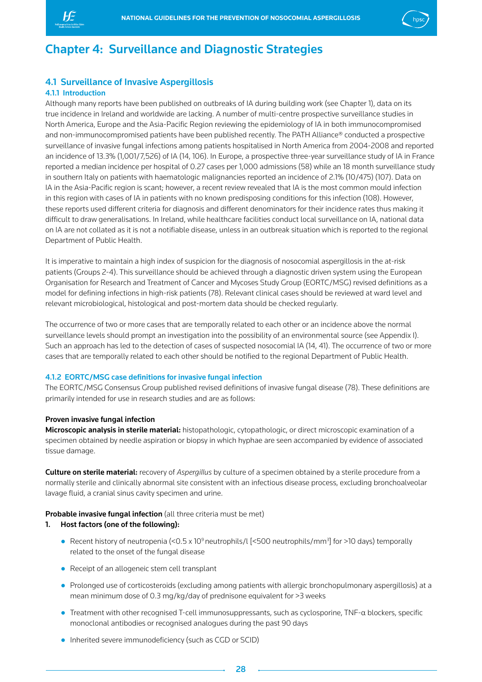<span id="page-28-0"></span>

## Chapter 4: Surveillance and Diagnostic Strategies

## 4.1 Surveillance of Invasive Aspergillosis

## 4.1.1 Introduction

Although many reports have been published on outbreaks of IA during building work (see Chapter 1), data on its true incidence in Ireland and worldwide are lacking. A number of multi-centre prospective surveillance studies in North America, Europe and the Asia-Pacific Region reviewing the epidemiology of IA in both immunocompromised and non-immunocompromised patients have been published recently. The PATH Alliance® conducted a prospective surveillance of invasive fungal infections among patients hospitalised in North America from 2004-2008 and reported an incidence of 13.3% (1,001/7,526) of IA (14, 106). In Europe, a prospective three-year surveillance study of IA in France reported a median incidence per hospital of 0.27 cases per 1,000 admissions (58) while an 18 month surveillance study in southern Italy on patients with haematologic malignancies reported an incidence of 2.1% (10/475) (107). Data on IA in the Asia-Pacific region is scant; however, a recent review revealed that IA is the most common mould infection in this region with cases of IA in patients with no known predisposing conditions for this infection (108). However, these reports used different criteria for diagnosis and different denominators for their incidence rates thus making it difficult to draw generalisations. In Ireland, while healthcare facilities conduct local surveillance on IA, national data on IA are not collated as it is not a notifiable disease, unless in an outbreak situation which is reported to the regional Department of Public Health.

It is imperative to maintain a high index of suspicion for the diagnosis of nosocomial aspergillosis in the at-risk patients (Groups 2-4). This surveillance should be achieved through a diagnostic driven system using the European Organisation for Research and Treatment of Cancer and Mycoses Study Group (EORTC/MSG) revised definitions as a model for defining infections in high-risk patients (78). Relevant clinical cases should be reviewed at ward level and relevant microbiological, histological and post-mortem data should be checked regularly.

The occurrence of two or more cases that are temporally related to each other or an incidence above the normal surveillance levels should prompt an investigation into the possibility of an environmental source (see Appendix I). Such an approach has led to the detection of cases of suspected nosocomial IA (14, 41). The occurrence of two or more cases that are temporally related to each other should be notified to the regional Department of Public Health.

## 4.1.2 EORTC/MSG case definitions for invasive fungal infection

The EORTC/MSG Consensus Group published revised definitions of invasive fungal disease (78). These definitions are primarily intended for use in research studies and are as follows:

#### Proven invasive fungal infection

Microscopic analysis in sterile material: histopathologic, cytopathologic, or direct microscopic examination of a specimen obtained by needle aspiration or biopsy in which hyphae are seen accompanied by evidence of associated tissue damage.

Culture on sterile material: recovery of *Aspergillus* by culture of a specimen obtained by a sterile procedure from a normally sterile and clinically abnormal site consistent with an infectious disease process, excluding bronchoalveolar lavage fluid, a cranial sinus cavity specimen and urine.

## Probable invasive fungal infection (all three criteria must be met)

## 1. Host factors (one of the following):

- Recent history of neutropenia (<0.5 x 10<sup>9</sup> neutrophils/l [<500 neutrophils/mm<sup>3</sup>] for >10 days) temporally related to the onset of the fungal disease
- Receipt of an allogeneic stem cell transplant
- Prolonged use of corticosteroids (excluding among patients with allergic bronchopulmonary aspergillosis) at a mean minimum dose of 0.3 mg/kg/day of prednisone equivalent for >3 weeks
- Treatment with other recognised T-cell immunosuppressants, such as cyclosporine, TNF-α blockers, specific monoclonal antibodies or recognised analogues during the past 90 days
- Inherited severe immunodeficiency (such as CGD or SCID)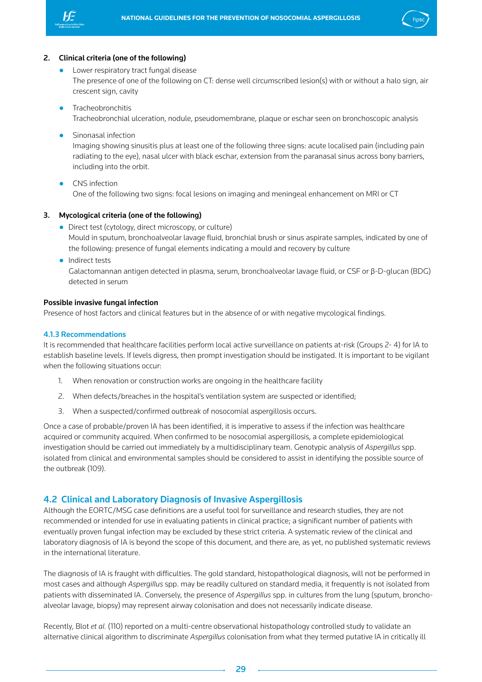<span id="page-29-0"></span>



### 2. Clinical criteria (one of the following)

- Lower respiratory tract fungal disease The presence of one of the following on CT: dense well circumscribed lesion(s) with or without a halo sign, air crescent sign, cavity
- **•** Tracheobronchitis Tracheobronchial ulceration, nodule, pseudomembrane, plaque or eschar seen on bronchoscopic analysis
- **•** Sinonasal infection Imaging showing sinusitis plus at least one of the following three signs: acute localised pain (including pain radiating to the eye), nasal ulcer with black eschar, extension from the paranasal sinus across bony barriers, including into the orbit.
- CNS infection One of the following two signs: focal lesions on imaging and meningeal enhancement on MRI or CT

## 3. Mycological criteria (one of the following)

- Direct test (cytology, direct microscopy, or culture) Mould in sputum, bronchoalveolar lavage fluid, bronchial brush or sinus aspirate samples, indicated by one of the following: presence of fungal elements indicating a mould and recovery by culture
- Indirect tests

 Galactomannan antigen detected in plasma, serum, bronchoalveolar lavage fluid, or CSF or β-D-glucan (BDG) detected in serum

#### Possible invasive fungal infection

Presence of host factors and clinical features but in the absence of or with negative mycological findings.

#### 4.1.3 Recommendations

It is recommended that healthcare facilities perform local active surveillance on patients at-risk (Groups 2- 4) for IA to establish baseline levels. If levels digress, then prompt investigation should be instigated. It is important to be vigilant when the following situations occur:

- 1. When renovation or construction works are ongoing in the healthcare facility
- 2. When defects/breaches in the hospital's ventilation system are suspected or identified;
- 3. When a suspected/confirmed outbreak of nosocomial aspergillosis occurs.

Once a case of probable/proven IA has been identified, it is imperative to assess if the infection was healthcare acquired or community acquired. When confirmed to be nosocomial aspergillosis, a complete epidemiological investigation should be carried out immediately by a multidisciplinary team. Genotypic analysis of *Aspergillus* spp. isolated from clinical and environmental samples should be considered to assist in identifying the possible source of the outbreak (109).

## 4.2 Clinical and Laboratory Diagnosis of Invasive Aspergillosis

Although the EORTC/MSG case definitions are a useful tool for surveillance and research studies, they are not recommended or intended for use in evaluating patients in clinical practice; a significant number of patients with eventually proven fungal infection may be excluded by these strict criteria. A systematic review of the clinical and laboratory diagnosis of IA is beyond the scope of this document, and there are, as yet, no published systematic reviews in the international literature.

The diagnosis of IA is fraught with difficulties. The gold standard, histopathological diagnosis, will not be performed in most cases and although *Aspergillus* spp. may be readily cultured on standard media, it frequently is not isolated from patients with disseminated IA. Conversely, the presence of *Aspergillus* spp. in cultures from the lung (sputum, bronchoalveolar lavage, biopsy) may represent airway colonisation and does not necessarily indicate disease.

Recently, Blot *et al.* (110) reported on a multi-centre observational histopathology controlled study to validate an alternative clinical algorithm to discriminate *Aspergillus* colonisation from what they termed putative IA in critically ill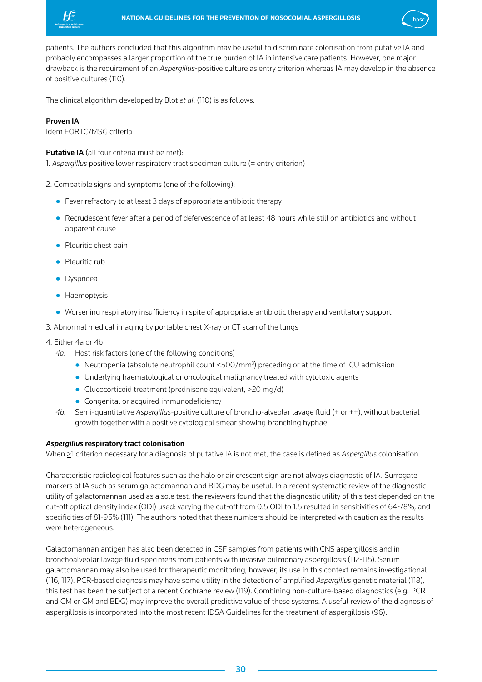



patients. The authors concluded that this algorithm may be useful to discriminate colonisation from putative IA and probably encompasses a larger proportion of the true burden of IA in intensive care patients. However, one major drawback is the requirement of an *Aspergillus*-positive culture as entry criterion whereas IA may develop in the absence of positive cultures (110).

The clinical algorithm developed by Blot *et al*. (110) is as follows:

## Proven IA

Idem EORTC/MSG criteria

Putative IA (all four criteria must be met):

1*. Aspergillus* positive lower respiratory tract specimen culture (= entry criterion)

- 2. Compatible signs and symptoms (one of the following):
	- Fever refractory to at least 3 days of appropriate antibiotic therapy
	- Recrudescent fever after a period of defervescence of at least 48 hours while still on antibiotics and without apparent cause
	- Pleuritic chest pain
	- Pleuritic rub
	- Dyspnoea
	- **•** Haemoptysis
	- Worsening respiratory insufficiency in spite of appropriate antibiotic therapy and ventilatory support
- 3. Abnormal medical imaging by portable chest X-ray or CT scan of the lungs
- 4. Either 4a or 4b
	- *4a.* Host risk factors (one of the following conditions)
		- Neutropenia (absolute neutrophil count <500/mm<sup>3</sup>) preceding or at the time of ICU admission
		- Underlying haematological or oncological malignancy treated with cytotoxic agents
		- Glucocorticoid treatment (prednisone equivalent, >20 mg/d)
		- Congenital or acquired immunodeficiency
	- *4b.* Semi-quantitative *Aspergillus*-positive culture of broncho-alveolar lavage fluid (+ or ++), without bacterial growth together with a positive cytological smear showing branching hyphae

## *Aspergillus* respiratory tract colonisation

When >1 criterion necessary for a diagnosis of putative IA is not met, the case is defined as *Aspergillus* colonisation.

Characteristic radiological features such as the halo or air crescent sign are not always diagnostic of IA. Surrogate markers of IA such as serum galactomannan and BDG may be useful. In a recent systematic review of the diagnostic utility of galactomannan used as a sole test, the reviewers found that the diagnostic utility of this test depended on the cut-off optical density index (ODI) used: varying the cut-off from 0.5 ODI to 1.5 resulted in sensitivities of 64-78%, and specificities of 81-95% (111). The authors noted that these numbers should be interpreted with caution as the results were heterogeneous.

Galactomannan antigen has also been detected in CSF samples from patients with CNS aspergillosis and in bronchoalveolar lavage fluid specimens from patients with invasive pulmonary aspergillosis (112-115). Serum galactomannan may also be used for therapeutic monitoring, however, its use in this context remains investigational (116, 117). PCR-based diagnosis may have some utility in the detection of amplified *Aspergillus* genetic material (118), this test has been the subject of a recent Cochrane review (119). Combining non-culture-based diagnostics (e.g. PCR and GM or GM and BDG) may improve the overall predictive value of these systems. A useful review of the diagnosis of aspergillosis is incorporated into the most recent IDSA Guidelines for the treatment of aspergillosis (96).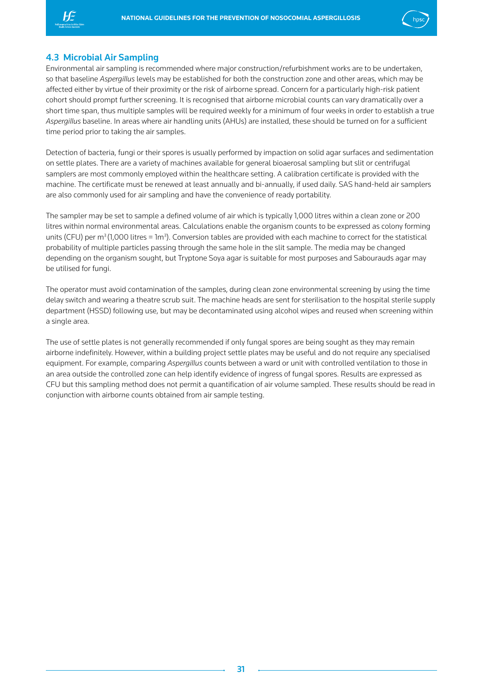<span id="page-31-0"></span>



## 4.3 Microbial Air Sampling

Environmental air sampling is recommended where major construction/refurbishment works are to be undertaken, so that baseline *Aspergillus* levels may be established for both the construction zone and other areas, which may be affected either by virtue of their proximity or the risk of airborne spread. Concern for a particularly high-risk patient cohort should prompt further screening. It is recognised that airborne microbial counts can vary dramatically over a short time span, thus multiple samples will be required weekly for a minimum of four weeks in order to establish a true *Aspergillus* baseline. In areas where air handling units (AHUs) are installed, these should be turned on for a sufficient time period prior to taking the air samples.

Detection of bacteria, fungi or their spores is usually performed by impaction on solid agar surfaces and sedimentation on settle plates. There are a variety of machines available for general bioaerosal sampling but slit or centrifugal samplers are most commonly employed within the healthcare setting. A calibration certificate is provided with the machine. The certificate must be renewed at least annually and bi-annually, if used daily. SAS hand-held air samplers are also commonly used for air sampling and have the convenience of ready portability.

The sampler may be set to sample a defined volume of air which is typically 1,000 litres within a clean zone or 200 litres within normal environmental areas. Calculations enable the organism counts to be expressed as colony forming units (CFU) per m $^3$  (1,000 litres = 1m $^3$ ). Conversion tables are provided with each machine to correct for the statistical probability of multiple particles passing through the same hole in the slit sample. The media may be changed depending on the organism sought, but Tryptone Soya agar is suitable for most purposes and Sabourauds agar may be utilised for fungi.

The operator must avoid contamination of the samples, during clean zone environmental screening by using the time delay switch and wearing a theatre scrub suit. The machine heads are sent for sterilisation to the hospital sterile supply department (HSSD) following use, but may be decontaminated using alcohol wipes and reused when screening within a single area.

The use of settle plates is not generally recommended if only fungal spores are being sought as they may remain airborne indefinitely. However, within a building project settle plates may be useful and do not require any specialised equipment. For example, comparing *Aspergillus* counts between a ward or unit with controlled ventilation to those in an area outside the controlled zone can help identify evidence of ingress of fungal spores. Results are expressed as CFU but this sampling method does not permit a quantification of air volume sampled. These results should be read in conjunction with airborne counts obtained from air sample testing.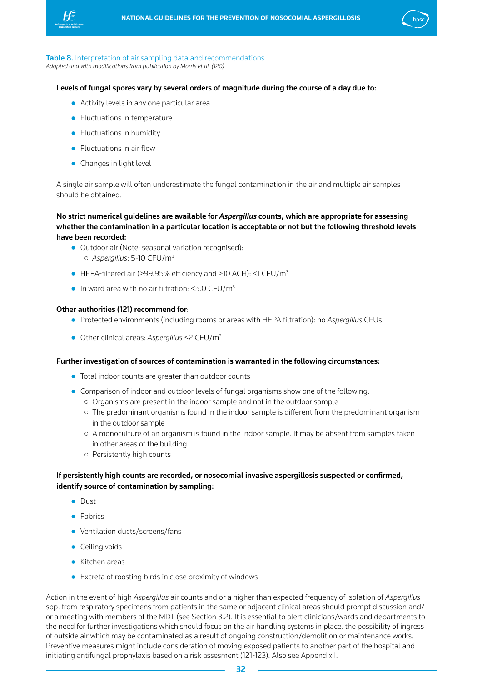<span id="page-32-0"></span>



#### Table 8. Interpretation of air sampling data and recommendations *Adapted and with modifications from publication by Morris et al. (120)*

Levels of fungal spores vary by several orders of magnitude during the course of a day due to:

- Activity levels in any one particular area
- Fluctuations in temperature
- Fluctuations in humidity
- Fluctuations in air flow
- Changes in light level

A single air sample will often underestimate the fungal contamination in the air and multiple air samples should be obtained.

No strict numerical guidelines are available for *Aspergillus* counts, which are appropriate for assessing whether the contamination in a particular location is acceptable or not but the following threshold levels have been recorded:

- Outdoor air (Note: seasonal variation recognised):
	- ○ *Aspergillus*: 5-10 CFU/m3
- $\bullet$  HEPA-filtered air (>99.95% efficiency and >10 ACH): <1 CFU/m<sup>3</sup>
- $\bullet$  In ward area with no air filtration: <5.0 CFU/m<sup>3</sup>

#### Other authorities (121) recommend for:

- Protected environments (including rooms or areas with HEPA filtration): no *Aspergillus* CFUs
- Other clinical areas: *Aspergillus* ≤2 CFU/m3

#### Further investigation of sources of contamination is warranted in the following circumstances:

- Total indoor counts are greater than outdoor counts
- Comparison of indoor and outdoor levels of fungal organisms show one of the following:
	- ○Organisms are present in the indoor sample and not in the outdoor sample
	- ○The predominant organisms found in the indoor sample is different from the predominant organism in the outdoor sample
	- ○A monoculture of an organism is found in the indoor sample. It may be absent from samples taken in other areas of the building
	- ○Persistently high counts

## If persistently high counts are recorded, or nosocomial invasive aspergillosis suspected or confirmed, identify source of contamination by sampling:

- Dust
- Fabrics
- Ventilation ducts/screens/fans
- Ceiling voids
- Kitchen areas
- Excreta of roosting birds in close proximity of windows

Action in the event of high *Aspergillus* air counts and or a higher than expected frequency of isolation of *Aspergillus*  spp. from respiratory specimens from patients in the same or adjacent clinical areas should prompt discussion and/ or a meeting with members of the MDT (see Section 3.2). It is essential to alert clinicians/wards and departments to the need for further investigations which should focus on the air handling systems in place, the possibility of ingress of outside air which may be contaminated as a result of ongoing construction/demolition or maintenance works. Preventive measures might include consideration of moving exposed patients to another part of the hospital and initiating antifungal prophylaxis based on a risk assesment (121-123). Also see Appendix I.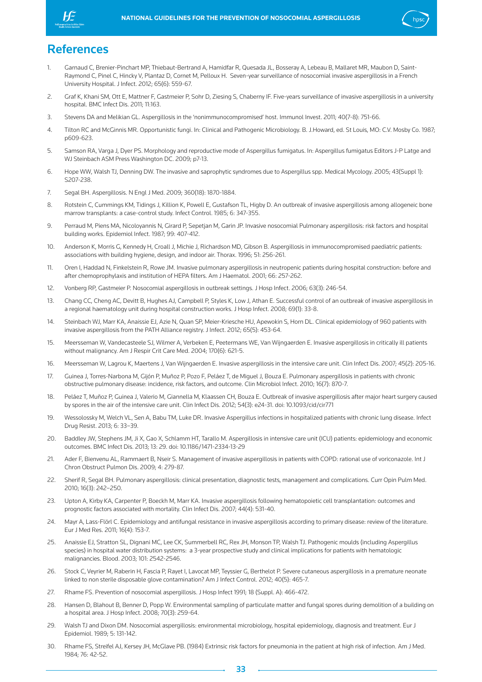<span id="page-33-0"></span>



## **References**

- 1. Garnaud C, Brenier-Pinchart MP, Thiebaut-Bertrand A, Hamidfar R, Quesada JL, Bosseray A, Lebeau B, Mallaret MR, Maubon D, Saint-Raymond C, Pinel C, Hincky V, Plantaz D, Cornet M, Pelloux H. Seven-year surveillance of nosocomial invasive aspergillosis in a French University Hospital. J Infect. 2012; 65(6): 559-67.
- 2. Graf K, Khani SM, Ott E, Mattner F, Gastmeier P, Sohr D, Ziesing S, Chaberny IF. Five-years surveillance of invasive aspergillosis in a university hospital. BMC Infect Dis. 2011; 11:163.
- 3. Stevens DA and Melikian GL. Aspergillosis in the 'nonimmunocompromised' host. Immunol Invest. 2011; 40(7-8): 751-66.
- 4. Tilton RC and McGinnis MR. Opportunistic fungi. In: Clinical and Pathogenic Microbiology. B. J.Howard, ed. St Louis, MO: C.V. Mosby Co. 1987; p609-623.
- 5. Samson RA, Varga J, Dyer PS. Morphology and reproductive mode of Aspergillus fumigatus. In: Aspergillus fumigatus Editors J-P Latge and WJ Steinbach ASM Press Washington DC. 2009; p7-13.
- 6. Hope WW, Walsh TJ, Denning DW. The invasive and saprophytic syndromes due to Aspergillus spp. Medical Mycology. 2005; 43(Suppl 1): S207-238.
- 7. Segal BH. Aspergillosis. N Engl J Med. 2009; 360(18): 1870-1884.
- 8. Rotstein C, Cummings KM, Tidings J, Killion K, Powell E, Gustafson TL, Higby D. An outbreak of invasive aspergillosis among allogeneic bone marrow transplants: a case-control study. Infect Control. 1985; 6: 347-355.
- 9. Perraud M, Piens MA, Nicoloyannis N, Girard P, Sepetjan M, Garin JP. Invasive nosocomial Pulmonary aspergillosis: risk factors and hospital building works. Epidemiol Infect. 1987; 99: 407-412.
- 10. Anderson K, Morris G, Kennedy H, Croall J, Michie J, Richardson MD, Gibson B. Aspergillosis in immunocompromised paediatric patients: associations with building hygiene, design, and indoor air. Thorax. 1996; 51: 256-261.
- 11. Oren I, Haddad N, Finkelstein R, Rowe JM. Invasive pulmonary aspergillosis in neutropenic patients during hospital construction: before and after chemoprophylaxis and institution of HEPA filters. Am J Haematol. 2001; 66: 257-262.
- 12. Vonberg RP, Gastmeier P. Nosocomial aspergillosis in outbreak settings. J Hosp Infect. 2006; 63(3): 246-54.
- 13. Chang CC, Cheng AC, Devitt B, Hughes AJ, Campbell P, Styles K, Low J, Athan E. Successful control of an outbreak of invasive aspergillosis in a regional haematology unit during hospital construction works. J Hosp Infect. 2008; 69(1): 33-8.
- 14. Steinbach WJ, Marr KA, Anaissie EJ, Azie N, Quan SP, Meier-Kriesche HU, Apewokin S, Horn DL. Clinical epidemiology of 960 patients with invasive aspergillosis from the PATH Alliance registry. J Infect. 2012; 65(5): 453-64.
- 15. Meersseman W, Vandecasteele SJ, Wilmer A, Verbeken E, Peetermans WE, Van Wijngaerden E. Invasive aspergillosis in critically ill patients without malignancy. Am J Respir Crit Care Med. 2004; 170(6): 621-5.
- 16. Meersseman W, Lagrou K, Maertens J, Van Wijngaerden E. Invasive aspergillosis in the intensive care unit. Clin Infect Dis. 2007; 45(2): 205-16.
- 17. Guinea J, Torres-Narbona M, Gijón P, Muñoz P, Pozo F, Peláez T, de Miguel J, Bouza E. Pulmonary aspergillosis in patients with chronic obstructive pulmonary disease: incidence, risk factors, and outcome. Clin Microbiol Infect. 2010; 16(7): 870-7.
- 18. Peláez T, Muñoz P, Guinea J, Valerio M, Giannella M, Klaassen CH, Bouza E. Outbreak of invasive aspergillosis after major heart surgery caused by spores in the air of the intensive care unit. Clin Infect Dis. 2012; 54(3): e24-31. doi: 10.1093/cid/cir771
- 19. Wessolossky M, Welch VL, Sen A, Babu TM, Luke DR. Invasive Aspergillus infections in hospitalized patients with chronic lung disease. Infect Drug Resist. 2013; 6: 33–39.
- 20. Baddley JW, Stephens JM, Ji X, Gao X, Schlamm HT, Tarallo M. Aspergillosis in intensive care unit (ICU) patients: epidemiology and economic outcomes. BMC Infect Dis. 2013; 13: 29. doi: 10.1186/1471-2334-13-29
- 21. Ader F, Bienvenu AL, Rammaert B, Nseir S. Management of invasive aspergillosis in patients with COPD: rational use of voriconazole. Int J Chron Obstruct Pulmon Dis. 2009; 4: 279-87.
- 22. Sherif R, Segal BH. Pulmonary aspergillosis: clinical presentation, diagnostic tests, management and complications. Curr Opin Pulm Med. 2010; 16(3): 242–250.
- 23. Upton A, Kirby KA, Carpenter P, Boeckh M, Marr KA. Invasive aspergillosis following hematopoietic cell transplantation: outcomes and prognostic factors associated with mortality. Clin Infect Dis. 2007; 44(4): 531-40.
- 24. Mayr A, Lass-Flörl C. Epidemiology and antifungal resistance in invasive aspergillosis according to primary disease: review of the literature. Eur J Med Res. 2011; 16(4): 153-7.
- 25. Anaissie EJ, Stratton SL, Dignani MC, Lee CK, Summerbell RC, Rex JH, Monson TP, Walsh TJ. Pathogenic moulds (including Aspergillus species) in hospital water distribution systems: a 3-year prospective study and clinical implications for patients with hematologic malignancies. Blood. 2003; 101: 2542-2546.
- 26. Stock C, Veyrier M, Raberin H, Fascia P, Rayet I, Lavocat MP, Teyssier G, Berthelot P. Severe cutaneous aspergillosis in a premature neonate linked to non sterile disposable glove contamination? Am J Infect Control. 2012; 40(5): 465-7.
- 27. Rhame FS. Prevention of nosocomial aspergillosis. J Hosp Infect 1991; 18 (Suppl. A): 466-472.
- 28. Hansen D, Blahout B, Benner D, Popp W. Environmental sampling of particulate matter and fungal spores during demolition of a building on a hospital area. J Hosp Infect. 2008; 70(3): 259-64.
- 29. Walsh TJ and Dixon DM. Nosocomial aspergillosis: environmental microbiology, hospital epidemiology, diagnosis and treatment. Eur J Epidemiol. 1989; 5: 131-142.
- 30. Rhame FS, Streifel AJ, Kersey JH, McGlave PB. (1984) Extrinsic risk factors for pneumonia in the patient at high risk of infection. Am J Med. 1984; 76: 42-52.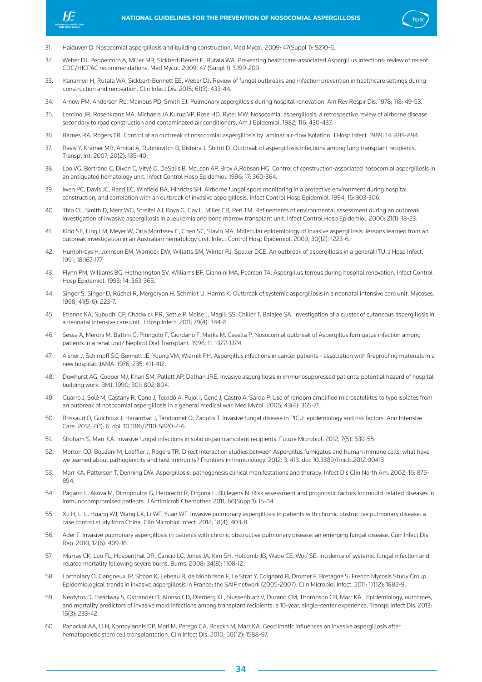



- 31. Haiduven D. Nosocomial aspergillosis and building construction. Med Mycol. 2009; 47(Suppl 1): S210-6.
- 32. Weber DJ, Peppercorn A, Miller MB, Sickbert-Benett E, Rutala WA. Preventing healthcare-associated Aspergillus infections: review of recent CDC/HICPAC recommendations. Med Mycol. 2009; 47 (Suppl 1): S199-209.
- 33. Kanamori H, Rutala WA, Sickbert-Bennett EE, Weber DJ. Review of fungal outbreaks and infection prevention in healthcare settings during construction and renovation. Clin Infect Dis. 2015; 61(3): 433-44.
- 34. Arnow PM, Andersen RL, Mainous PD, Smith EJ. Pulmonary aspergillosis during hospital renovation. Am Rev Respir Dis. 1978; 118: 49-53.
- 35. Lentino JR, Rosenkranz MA, Michaels JA,Kurup VP, Rose HD, Rytel MW. Nosocomial aspergillosis: a retrospective review of airborne disease secondary to road construction and contaminated air conditioners. Am J Epidemiol. 1982; 116: 430-437.
- 36. Barnes RA, Rogers TR. Control of an outbreak of nosocomial aspergillosis by laminar air-flow isolation. J Hosp Infect. 1989; 14: 899-894.
- 37. Raviv Y, Kramer MR, Amital A, Rubinovitch B, Bishara J, Shitrit D. Outbreak of aspergillosis infections among lung transplant recipients. Transpl Int. 2007; 20(2): 135-40.
- 38. Loo VG, Bertrand C, Dixon C, Vityé D, DeSalis B, McLean AP, Brox A,Robson HG. Control of construction-associated nosocomial aspergillosis in an antiquated hematology unit. Infect Control Hosp Epidemiol. 1996; 17: 360-364.
- 39. Iwen PC, Davis JC, Reed EC, Winfield BA, Hinrichs SH. Airborne fungal spore monitoring in a protective environment during hospital construction, and correlation with an outbreak of invasive aspergillosis. Infect Control Hosp Epidemiol. 1994; 15: 303-306.
- 40. Thio CL, Smith D, Merz WG, Streifel AJ, Bova G, Gay L, Miller CB, Perl TM. Refinements of environmental assessment during an outbreak investigation of invasive aspergillosis in a leukemia and bone marrow transplant unit. Infect Control Hosp Epidemiol. 2000; 21(1): 18-23.
- 41. Kidd SE, Ling LM, Meyer W, Orla Morrissey C, Chen SC, Slavin MA. Molecular epidemiology of invasive aspergillosis: lessons learned from an outbreak investigation in an Australian hematology unit. Infect Control Hosp Epidemiol. 2009; 30(12): 1223-6.
- 42. Humphreys H, Johnson EM, Warnock DW, Willatts SM, Winter RJ, Speller DCE. An outbreak of aspergillosis in a general ITU. J Hosp Infect. 1991; 18:167-177.
- 43. Flynn PM, Williams BG, Hetherington SV, Williams BF, Giannini MA, Pearson TA. Aspergillus terreus during hospital renovation. Infect Control Hosp Epidemiol. 1993; 14: 363-365.
- 44. Singer S, Singer D, Rüchel R, Mergeryan H, Schmidt U, Harms K. Outbreak of systemic aspergillosis in a neonatal intensive care unit. Mycoses. 1998; 41(5-6): 223-7.
- 45. Etienne KA, Subudhi CP, Chadwick PR, Settle P, Moise J, Magill SS, Chiller T, Balajee SA. Investigation of a cluster of cutaneous aspergillosis in a neonatal intensive care unit. J Hosp Infect. 2011; 79(4): 344-8.
- 46. Sessa A, Meroni M, Battini G, Pitingolo F, Giordano F, Marks M, Casella P. Nosocomial outbreak of Aspergillus fumigatus infection among patients in a renal unit? Nephrol Dial Transplant. 1996; 11: 1322-1324.
- 47. Aisner J, Schimpff SC, Bennett JE, Young VM, Wiernik PH. Aspergillus infections in cancer patients association with fireproofing materials in a new hospital. JAMA. 1976; 235: 411-412.
- 48. Dewhurst AG, Cooper MJ, Khan SM, Pallett AP, Dathan JRE. Invasive aspergillosis in immunosuppressed patients: potential hazard of hospital building work. BMJ. 1990; 301: 802-804.
- 49. Guarro J, Solé M, Castany R, Cano J, Teixidó A, Pujol I, Gené J, Castro A, Sarda P. Use of random amplified microsatellites to type isolates from an outbreak of nosocomial aspergillosis in a general medical war. Med Mycol. 2005; 43(4): 365-71.
- 50. Brissaud O, Guichoux J, Harambat J, Tandonnet O, Zaoutis T. Invasive fungal disease in PICU: epidemiology and risk factors. Ann Intensive Care. 2012; 2(1): 6. doi: 10.1186/2110-5820-2-6.
- 51. Shoham S, Marr KA. Invasive fungal infections in solid organ transplant recipients. Future Microbiol. 2012; 7(5): 639-55.
- 52. Morton CO, Bouzani M, Loeffler J, Rogers TR. Direct interaction studies between Aspergillus fumigatus and human immune cells; what have we learned about pathogenicity and host immunity? Frontiers in Immunology. 2012; 3: 413. doi: 10.3389/fmicb.2012.00413
- 53. Marr KA, Patterson T, Denning DW. Aspergillosis: pathogenesis clinical manifestations and therapy. Infect Dis Clin North Am. 2002; 16: 875- 894.
- 54. Pagano L, Akova M, Dimopoulos G, Herbrecht R, Drgona L, Blijlevens N. Risk assessment and prognostic factors for mould-related diseases in immunocompromised patients. J Antimicrob Chemother. 2011; 66(Suppl1): i5-i14
- 55. Xu H, Li L, Huang WJ, Wang LX, Li WF, Yuan WF. Invasive pulmonary aspergillosis in patients with chronic obstructive pulmonary disease: a case control study from China. Clin Microbiol Infect. 2012; 18(4): 403-8.
- 56. Ader F. Invasive pulmonary aspergillosis in patients with chronic obstructive pulmonary disease: an emerging fungal disease. Curr Infect Dis Rep. 2010; 12(6): 409-16.
- 57. Murray CK, Loo FL, Hospenthal DR, Cancio LC, Jones JA, Kim SH, Holcomb JB, Wade CE, Wolf SE. Incidence of systemic fungal infection and related mortality following severe burns. Burns. 2008; 34(8): 1108-12.
- 58. Lortholary O, Gangneux JP, Sitbon K, Lebeau B, de Monbrison F, Le Strat Y, Coignard B, Dromer F, Bretagne S; French Mycosis Study Group. Epidemiological trends in invasive aspergillosis in France: the SAIF network (2005-2007). Clin Microbiol Infect. 2011; 17(12): 1882-9.
- 59. Neofytos D, Treadway S, Ostrander D, Alonso CD, Dierberg KL, Nussenblatt V, Durand CM, Thompson CB, Marr KA. Epidemiology, outcomes, and mortality predictors of invasive mold infections among transplant recipients: a 10-year, single-center experience. Transpl Infect Dis. 2013; 15(3): 233-42.
- 60. Panackal AA, Li H, Kontoyiannis DP, Mori M, Perego CA, Boeckh M, Marr KA. Geoclimatic influences on invasive aspergillosis after hematopoietic stem cell transplantation. Clin Infect Dis. 2010; 50(12): 1588-97.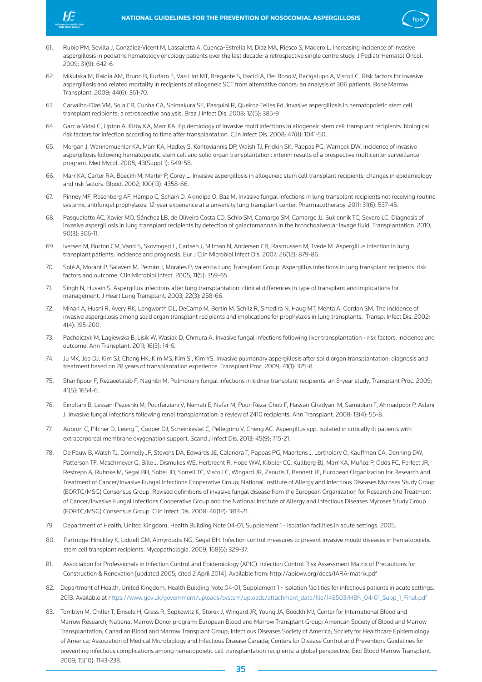



- 61. Rubio PM, Sevilla J, González-Vicent M, Lassaletta A, Cuenca-Estrella M, Díaz MA, Riesco S, Madero L. Increasing incidence of invasive aspergillosis in pediatric hematology oncology patients over the last decade: a retrospective single centre study. J Pediatr Hematol Oncol. 2009; 31(9): 642-6.
- 62. Mikulska M, Raiola AM, Bruno B, Furfaro E, Van Lint MT, Bregante S, Ibatici A, Del Bono V, Bacigalupo A, Viscoli C. Risk factors for invasive aspergillosis and related mortality in recipients of allogeneic SCT from alternative donors: an analysis of 306 patients. Bone Marrow Transplant. 2009; 44(6): 361-70.
- 63. Carvalho-Dias VM, Sola CB, Cunha CA, Shimakura SE, Pasquini R, Queiroz-Telles Fd. Invasive aspergillosis in hematopoietic stem cell transplant recipients: a retrospective analysis. Braz J Infect Dis. 2008; 12(5): 385-9
- 64. Garcia-Vidal C, Upton A, Kirby KA, Marr KA. Epidemiology of invasive mold infections in allogeneic stem cell transplant recipients: biological risk factors for infection according to time after transplantation. Clin Infect Dis. 2008; 47(8): 1041-50.
- 65. Morgan J, Wannemuehler KA, Marr KA, Hadley S, Kontoyiannis DP, Walsh TJ, Fridkin SK, Pappas PG, Warnock DW. Incidence of invasive aspergillosis following hematopoietic stem cell and solid organ transplantation: interim results of a prospective multicenter surveillance program. Med Mycol. 2005; 43(Suppl 1): S49-58.
- 66. Marr KA, Carter RA, Boeckh M, Martin P, Corey L. Invasive aspergillosis in allogeneic stem cell transplant recipients: changes in epidemiology and risk factors. Blood. 2002; 100(13): 4358-66.
- 67. Pinney MF, Rosenberg AF, Hampp C, Schain D, Akindipe O, Baz M. Invasive fungal infections in lung transplant recipients not receiving routine systemic antifungal prophylaxis: 12-year experience at a university lung transplant center. Pharmacotherapy. 2011; 31(6): 537-45.
- 68. Pasqualotto AC, Xavier MO, Sánchez LB, de Oliveira Costa CD, Schio SM, Camargo SM, Camargo JJ, Sukiennik TC, Severo LC. Diagnosis of invasive aspergillosis in lung transplant recipients by detection of galactomannan in the bronchoalveolar lavage fluid. Transplantation. 2010; 90(3): 306-11.
- 69. Iversen M, Burton CM, Vand S, Skovfoged L, Carlsen J, Milman N, Andersen CB, Rasmussen M, Tvede M. Aspergillus infection in lung transplant patients: incidence and prognosis. Eur J Clin Microbiol Infect Dis. 2007; 26(12): 879-86.
- 70. Solé A, Morant P, Salavert M, Pemán J, Morales P; Valencia Lung Transplant Group. Aspergillus infections in lung transplant recipients: risk factors and outcome. Clin Microbiol Infect. 2005; 11(5): 359-65.
- 71. Singh N, Husain S. Aspergillus infections after lung transplantation: clinical differences in type of transplant and implications for management. J Heart Lung Transplant. 2003; 22(3): 258-66.
- 72. Minari A, Husni R, Avery RK, Longworth DL, DeCamp M, Bertin M, Schilz R, Smedira N, Haug MT, Mehta A, Gordon SM. The incidence of invasive aspergillosis among solid organ transplant recipients and implications for prophylaxis in lung transplants. Transpl Infect Dis. 2002; 4(4): 195-200.
- 73. Pacholczyk M, Lagiewska B, Lisik W, Wasiak D, Chmura A. Invasive fungal infections following liver transplantation risk factors, incidence and outcome. Ann Transplant. 2011; 16(3): 14-6.
- 74. Ju MK, Joo DJ, Kim SJ, Chang HK, Kim MS, Kim SI, Kim YS. Invasive pulmonary aspergillosis after solid organ transplantation: diagnosis and treatment based on 28 years of transplantation experience. Transplant Proc. 2009; 41(1): 375-8.
- 75. Sharifipour F, Rezaeetalab F, Naghibi M. Pulmonary fungal infections in kidney transplant recipients: an 8-year study. Transplant Proc. 2009; 41(5): 1654-6.
- 76. Einollahi B, Lessan-Pezeshki M, Pourfarziani V, Nemati E, Nafar M, Pour-Reza-Gholi F, Hassan Ghadyani M, Samadian F, Ahmadpoor P, Aslani J. Invasive fungal infections following renal transplantation: a review of 2410 recipients. Ann Transplant. 2008; 13(4): 55-8.
- 77. Aubron C, Pilcher D, Leong T, Cooper DJ, Scheinkestel C, Pellegrino V, Cheng AC. Aspergillus spp. isolated in critically ill patients with extracorporeal membrane oxygenation support. Scand J Infect Dis. 2013; 45(9): 715-21.
- 78. De Pauw B, Walsh TJ, Donnelly JP, Stevens DA, Edwards JE, Calandra T, Pappas PG, Maertens J, Lortholary O, Kauffman CA, Denning DW, Patterson TF, Maschmeyer G, Bille J, Dismukes WE, Herbrecht R, Hope WW, Kibbler CC, Kullberg BJ, Marr KA, Muñoz P, Odds FC, Perfect JR, Restrepo A, Ruhnke M, Segal BH, Sobel JD, Sorrell TC, Viscoli C, Wingard JR, Zaoutis T, Bennett JE; European Organization for Research and Treatment of Cancer/Invasive Fungal Infections Cooperative Group; National Institute of Allergy and Infectious Diseases Mycoses Study Group (EORTC/MSG) Consensus Group. Revised definitions of invasive fungal disease from the European Organization for Research and Treatment of Cancer/Invasive Fungal Infections Cooperative Group and the National Institute of Allergy and Infectious Diseases Mycoses Study Group (EORTC/MSG) Consensus Group. Clin Infect Dis. 2008; 46(12): 1813-21.
- 79. Department of Health, United Kingdom. Health Building Note 04-01, Supplement 1 Isolation facilities in acute settings. 2005.
- 80. Partridge-Hinckley K, Liddell GM, Almyroudis NG, Segal BH. Infection control measures to prevent invasive mould diseases in hematopoietic stem cell transplant recipients. Mycopathologia. 2009; 168(6): 329-37.
- 81. Association for Professionals in Infection Control and Epidemiology (APIC). Infection Control Risk Assessment Matrix of Precautions for Construction & Renovation [updated 2005; cited 2 April 2014]. Available from: http://apicwv.org/docs/IARA-matrix.pdf
- 82. Department of Health, United Kingdom. Health Building Note 04-01, Supplement 1 Isolation facilities for infectious patients in acute settings. 2013. Available at https://www.gov.uk/government/uploads/system/uploads/attachment\_data/file/148503/HBN\_04-01\_Supp\_1\_Final.pdf
- 83. Tomblyn M, Chiller T, Einsele H, Gress R, Sepkowitz K, Storek J, Wingard JR, Young JA, Boeckh MJ; Center for International Blood and Marrow Research; National Marrow Donor program; European Blood and Marrow Transplant Group; American Society of Blood and Marrow Transplantation; Canadian Blood and Marrow Transplant Group; Infectious Diseases Society of America; Society for Healthcare Epidemiology of America; Association of Medical Microbiology and Infectious Disease Canada; Centers for Disease Control and Prevention. Guidelines for preventing infectious complications among hematopoietic cell transplantation recipients: a global perspective. Biol Blood Marrow Transplant. 2009; 15(10): 1143-238.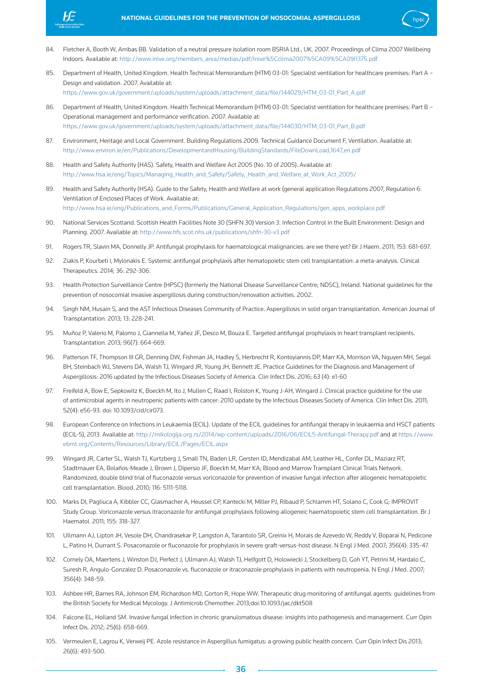



- 84. Fletcher A, Booth W, Arribas BB. Validation of a neutral pressure isolation room BSRIA Ltd., UK. 2007. Proceedings of Clima 2007 Wellbeing Indoors. Available at: http://www.inive.org/members\_area/medias/pdf/Inive%5Cclima2007%5CA09%5CA09I1375.pdf
- 85. Department of Health, United Kingdom. Health Technical Memorandum (HTM) 03-01: Specialist ventilation for healthcare premises: Part A Design and validation. 2007. Available at: https://www.gov.uk/government/uploads/system/uploads/attachment\_data/file/144029/HTM\_03-01\_Part\_A.pdf

86. Department of Health, United Kingdom. Health Technical Memorandum (HTM) 03-01: Specialist ventilation for healthcare premises: Part B – Operational management and performance verification. 2007. Available at: https://www.gov.uk/government/uploads/system/uploads/attachment\_data/file/144030/HTM\_03-01\_Part\_B.pdf

- 87. Environment, Heritage and Local Government. Building Regulations 2009. Technical Guidance Document F, Ventilation. Available at: http://www.environ.ie/en/Publications/DevelopmentandHousing/BuildingStandards/FileDownLoad,1647,en.pdf
- 88. Health and Safety Authority (HAS). Safety, Health and Welfare Act 2005 (No. 10 of 2005). Available at: http://www.hsa.ie/eng/Topics/Managing\_Health\_and\_Safety/Safety,\_Health\_and\_Welfare\_at\_Work\_Act\_2005/
- 89. Health and Safety Authority (HSA). Guide to the Safety, Health and Welfare at work (general application Regulations 2007, Regulation 6: Ventilation of Enclosed Places of Work. Available at: http://www.hsa.ie/eng/Publications\_and\_Forms/Publications/General\_Application\_Regulations/gen\_apps\_workplace.pdf
- 90. National Services Scotland. Scottish Health Facilities Note 30 (SHFN 30) Version 3. Infection Control in the Built Environment: Design and Planning. 2007. Available at: http://www.hfs.scot.nhs.uk/publications/shfn-30-v3.pdf
- 91. Rogers TR, Slavin MA, Donnelly JP. Antifungal prophylaxis for haematological malignancies: are we there yet? Br J Haem. 2011; 153: 681-697.
- 92. Ziakis P, Kourbeti I, Mylonakis E. Systemic antifungal prophylaxis after hematopoietic stem cell transplantation: a meta-analysis. Clinical Therapeutics. 2014; 36: 292-306.
- 93. Health Protection Surveillance Centre (HPSC) (formerly the National Disease Surveillance Centre; NDSC), Ireland. National guidelines for the prevention of nosocomial invasive aspergillosis during construction/renovation activities. 2002.
- 94. Singh NM, Husain S, and the AST Infectious Diseases Community of Practice. Aspergillosis in solid organ transplantation. American Journal of Transplantation. 2013; 13: 228-241.
- 95. Muñoz P, Valerio M, Palomo J, Giannella M, Yañez JF, Desco M, Bouza E. Targeted antifungal prophylaxis in heart transplant recipients. Transplantation. 2013; 96(7): 664-669.
- 96. Patterson TF, Thompson III GR, Denning DW, Fishman JA, Hadley S, Herbrecht R, Kontoyiannis DP, Marr KA, Morrison VA, Nguyen MH, Segal BH, Steinbach WJ, Stevens DA, Walsh TJ, Wingard JR, Young JH, Bennett JE. Practice Guidelines for the Diagnosis and Management of Aspergillosis: 2016 updated by the Infectious Diseases Society of America. Clin Infect Dis. 2016; 63 (4): e1-60
- 97. Freifeld A, Bow E, Sepkowitz K, Boeckh M, Ito J, Mullen C, Raad I, Rolston K, Young J-AH, Wingard J. Clinical practice guideline for the use of antimicrobial agents in neutropenic patients with cancer: 2010 update by the Infectious Diseases Society of America. Clin Infect Dis. 2011; 52(4): e56-93. doi: 10.1093/cid/cir073.
- 98. European Conference on Infections in Leukaemia (ECIL). Update of the ECIL guidelines for antifungal therapy in leukaemia and HSCT patients (ECIL-5), 2013. Available at: http://mikologija.org.rs/2014/wp-content/uploads/2016/06/ECIL5-Antifungal-Therapy.pdf and at https://www. ebmt.org/Contents/Resources/Library/ECIL/Pages/ECIL.aspx
- 99. Wingard JR, Carter SL, Walsh TJ, Kurtzberg J, Small TN, Baden LR, Gersten ID, Mendizabal AM, Leather HL, Confer DL, Maziarz RT, Stadtmauer EA, Bolaños-Meade J, Brown J, Dipersio JF, Boeckh M, Marr KA; Blood and Marrow Transplant Clinical Trials Network. Randomized, double blind trial of fluconazole versus voriconazole for prevention of invasive fungal infection after allogeneic hematopoietic cell transplantation. Blood. 2010; 116: 5111-5118.
- 100. Marks DI, Pagliuca A, Kibbler CC, Glasmacher A, Heussel CP, Kantecki M, Miller PJ, Ribaud P, Schlamm HT, Solano C, Cook G; IMPROVIT Study Group. Voriconazole versus itraconazole for antifungal prophylaxis following allogeneic haematopoietic stem cell transplantation. Br J Haematol. 2011; 155: 318-327.
- 101. Ullmann AJ, Lipton JH, Vesole DH, Chandrasekar P, Langston A, Tarantolo SR, Greinix H, Morais de Azevedo W, Reddy V, Boparai N, Pedicone L, Patino H, Durrant S. Posaconazole or fluconazole for prophylaxis in severe graft-versus-host disease. N Engl J Med. 2007; 356(4): 335-47.
- 102. Cornely OA, Maertens J, Winston DJ, Perfect J, Ullmann AJ, Walsh TJ, Helfgott D, Holowiecki J, Stockelberg D, Goh YT, Petrini M, Hardalo C, Suresh R, Angulo-Gonzalez D. Posaconazole vs. fluconazole or itraconazole prophylaxis in patients with neutropenia. N Engl J Med. 2007; 356(4): 348-59.
- 103. Ashbee HR, Barnes RA, Johnson EM, Richardson MD, Gorton R, Hope WW. Therapeutic drug monitoring of antifungal agents: guidelines from the British Society for Medical Mycology. J Antimicrob Chemother. 2013;doi:10.1093/jac/dkt508
- 104. Falcone EL, Holland SM. Invasive fungal infection in chronic granulomatous disease: insights into pathogenesis and management. Curr Opin Infect Dis. 2012; 25(6): 658-669.
- 105. Vermeulen E, Lagrou K, Verweij PE. Azole resistance in Aspergillus fumigatus: a growing public health concern. Curr Opin Infect Dis 2013; 26(6): 493-500.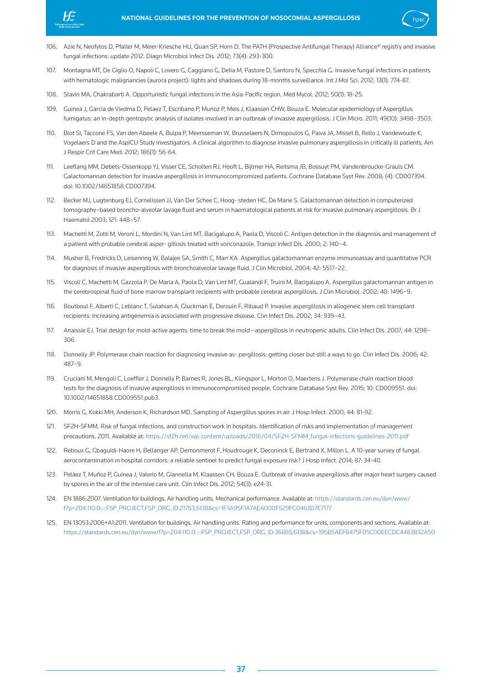



- 107. Montagna MT, De Giglio O, Napoli C, Lovero G, Caggiano G, Delia M, Pastore D, Santoro N, Specchia G. Invasive fungal infections in patients with hematologic malignancies (aurora project): lights and shadows during 18-months surveillance. Int J Mol Sci. 2012; 13(1): 774-87.
- 108. Slavin MA, Chakrabarti A. Opportunistic fungal infections in the Asia-Pacific region. Med Mycol. 2012; 50(1): 18-25.
- 109. Guinea J, Garcia de Viedma D, Pelaez T, Escribano P, Munoz P, Meis J, Klaassen CHW, Bouza E. Molecular epidemiology of Aspergillus fumigatus: an in-depth gentopytic analysis of isolates involved in an outbreak of invasive aspergillosis. J Clin Micro. 2011; 49(10): 3498–3503.
- 110. Blot SI, Taccone FS, Van den Abeele A, Bulpa P, Meersseman W, Brusselaers N, Dimopoulos G, Paiva JA, Misset B, Rello J, Vandewoude K, Vogelaers D and the AspICU Study investigators. A clinical algorithm to diagnose invasive pulmonary aspergillosis in critically ill patients, Am J Respir Crit Care Med. 2012; 186(1): 56-64.
- 111. Leeflang MM, Debets-Ossenkopp YJ, Visser CE, Scholten RJ, Hooft L, Bijlmer HA, Reitsma JB, Bossuyt PM, Vandenbroucke-Grauls CM. Galactomannan detection for invasive aspergillosis in immunocompromized patients. Cochrane Database Syst Rev. 2008; (4): CD007394. doi: 10.1002/14651858.CD007394.
- 112. Becker MJ, Lugtenburg EJ, Cornelissen JJ, Van Der Schee C, Hoog- steden HC, De Marie S. Galactomannan detection in computerized tomography–based broncho-alveolar lavage fluid and serum in haematological patients at risk for invasive pulmonary aspergillosis. Br J Haematol 2003; 121: 448–57.
- 113. Machetti M, Zotti M, Veroni L, Mordini N, Van Lint MT, Bacigalupo A, Paola D, Viscoli C. Antigen detection in the diagnosis and management of a patient with probable cerebral asper- gillosis treated with voriconazole. Transpl Infect Dis. 2000; 2: 140–4.
- 114. Musher B, Fredricks D, Leisenring W, Balajee SA, Smith C, Marr KA. Aspergillus galactomannan enzyme immunoassay and quantitative PCR for diagnosis of invasive aspergillosis with bronchoalveolar lavage fluid. J Clin Microbiol. 2004; 42: 5517–22.
- 115. Viscoli C, Machetti M, Gazzola P, De Maria A, Paola D, Van Lint MT, Gualandi F, Truini M, Bacigalupo A. Aspergillus galactomannan antigen in the cerebrospinal fluid of bone marrow transplant recipients with probable cerebral aspergillosis. J Clin Microbiol. 2002; 40: 1496–9.
- 116. Boutboul F, Alberti C, Leblanc T, Sulahian A, Gluckman E, Derouin F, Ribaud P. Invasive aspergillosis in allogeneic stem cell transplant recipients: Increasing antigenemia is associated with progressive disease. Clin Infect Dis. 2002; 34: 939–43.
- 117. Anaissie EJ. Trial design for mold-active agents: time to break the mold—aspergillosis in neutropenic adults. Clin Infect Dis. 2007; 44: 1298– 306.
- 118. Donnelly JP. Polymerase chain reaction for diagnosing invasive as- pergillosis: getting closer but still a ways to go. Clin Infect Dis. 2006; 42: 487–9.
- 119. Cruciani M, Mengoli C, Loeffler J, Donnelly P, Barnes R, Jones BL, Klingspor L, Morton O, Maertens J. Polymerase chain reaction blood tests for the diagnosis of invasive aspergillosis in immunocompromised people. Cochrane Database Syst Rev. 2015; 10: CD009551. doi: 10.1002/14651858.CD009551.pub3.
- 120. Morris G, Kokki MH, Anderson K, Richardson MD. Sampling of Aspergillus spores in air. J Hosp Infect. 2000; 44: 81-92.
- 121. SF2H-SFMM. Risk of fungal infections, and construction work in hospitals. Identification of risks and implementation of management precautions. 2011. Available at: https://sf2h.net/wp-content/uploads/2016/04/SF2H-SFMM\_fungal-infections-guidelines-2011.pdf
- 122. Reboux G, Gbaguidi-Haore H, Bellanger AP, Demonmerot F, Houdrouge K, Deconinck E, Bertrand X, Millon L. A 10-year survey of fungal aerocontamination in hospital corridors: a reliable sentinel to predict fungal exposure risk? J Hosp Infect. 2014; 87: 34-40.
- 123. Peláez T, Muñoz P, Guinea J, Valerio M, Giannella M, Klaassen CH, Bouza E. Outbreak of invasive aspergillosis after major heart surgery caused by spores in the air of the intensive care unit. Clin Infect Dis. 2012; 54(3): e24-31.
- 124. EN 1886:2007. Ventilation for buildings. Air handling units. Mechanical performance. Available at: https://standards.cen.eu/dyn/www/ f?p=204:110:0::::FSP\_PROJECT,FSP\_ORG\_ID:21763,6138&cs=1F3A95F1A7AEA000F529FC0463D7E7177
- 125. EN 13053:2006+A1:2011. Ventilation for buildings. Air handling units. Rating and performance for units, components and sections. Available at: https://standards.cen.eu/dyn/www/f?p=204:110:0::::FSP\_PROJECT,FSP\_ORG\_ID:36865,6138&cs=195B5AEFB475F05C00EECDC4483B32A50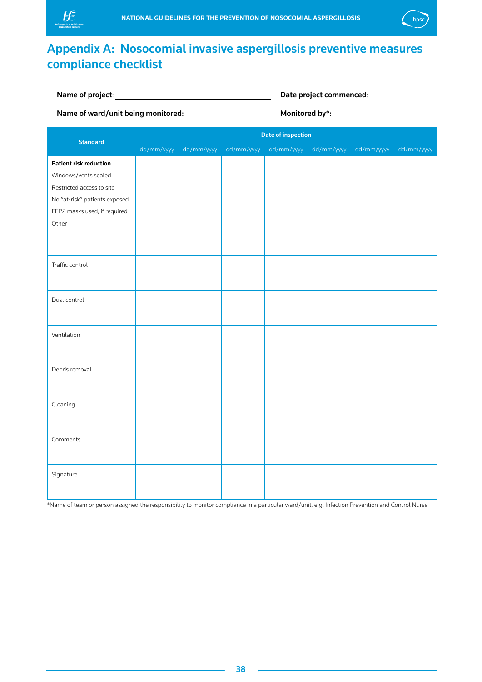<span id="page-38-0"></span>



## Appendix A: Nosocomial invasive aspergillosis preventive measures compliance checklist

| Name of ward/unit being monitored: |                           |            | Date project commenced: ______________ |  |                       |            |            |
|------------------------------------|---------------------------|------------|----------------------------------------|--|-----------------------|------------|------------|
|                                    |                           |            |                                        |  |                       |            |            |
| <b>Standard</b>                    | <b>Date of inspection</b> |            |                                        |  |                       |            |            |
|                                    | dd/mm/yyyy                | dd/mm/yyyy | dd/mm/yyyy                             |  | dd/mm/yyyy dd/mm/yyyy | dd/mm/yyyy | dd/mm/yyyy |
| <b>Patient risk reduction</b>      |                           |            |                                        |  |                       |            |            |
| Windows/vents sealed               |                           |            |                                        |  |                       |            |            |
| Restricted access to site          |                           |            |                                        |  |                       |            |            |
| No "at-risk" patients exposed      |                           |            |                                        |  |                       |            |            |
| FFP2 masks used, if required       |                           |            |                                        |  |                       |            |            |
| Other                              |                           |            |                                        |  |                       |            |            |
|                                    |                           |            |                                        |  |                       |            |            |
|                                    |                           |            |                                        |  |                       |            |            |
| Traffic control                    |                           |            |                                        |  |                       |            |            |
|                                    |                           |            |                                        |  |                       |            |            |
| Dust control                       |                           |            |                                        |  |                       |            |            |
|                                    |                           |            |                                        |  |                       |            |            |
|                                    |                           |            |                                        |  |                       |            |            |
| Ventilation                        |                           |            |                                        |  |                       |            |            |
|                                    |                           |            |                                        |  |                       |            |            |
| Debris removal                     |                           |            |                                        |  |                       |            |            |
|                                    |                           |            |                                        |  |                       |            |            |
|                                    |                           |            |                                        |  |                       |            |            |
| Cleaning                           |                           |            |                                        |  |                       |            |            |
|                                    |                           |            |                                        |  |                       |            |            |
|                                    |                           |            |                                        |  |                       |            |            |
| Comments                           |                           |            |                                        |  |                       |            |            |
|                                    |                           |            |                                        |  |                       |            |            |
| Signature                          |                           |            |                                        |  |                       |            |            |
|                                    |                           |            |                                        |  |                       |            |            |
|                                    |                           |            |                                        |  |                       |            |            |

\*Name of team or person assigned the responsibility to monitor compliance in a particular ward/unit, e.g. Infection Prevention and Control Nurse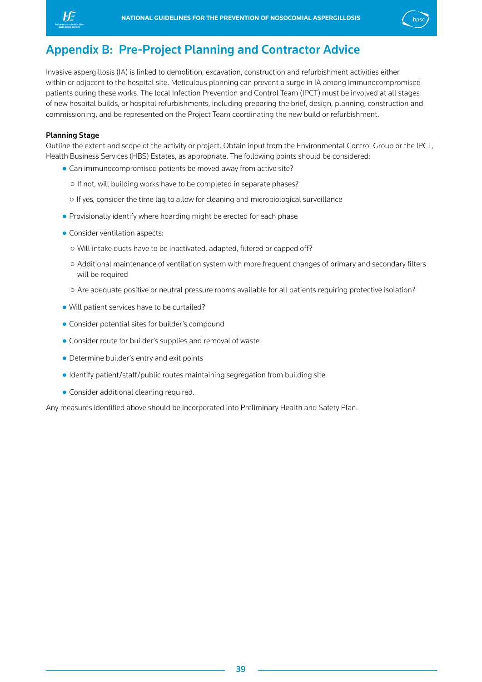<span id="page-39-0"></span>



## Appendix B: Pre-Project Planning and Contractor Advice

Invasive aspergillosis (IA) is linked to demolition, excavation, construction and refurbishment activities either within or adjacent to the hospital site. Meticulous planning can prevent a surge in IA among immunocompromised patients during these works. The local Infection Prevention and Control Team (IPCT) must be involved at all stages of new hospital builds, or hospital refurbishments, including preparing the brief, design, planning, construction and commissioning, and be represented on the Project Team coordinating the new build or refurbishment.

## Planning Stage

Outline the extent and scope of the activity or project. Obtain input from the Environmental Control Group or the IPCT, Health Business Services (HBS) Estates, as appropriate. The following points should be considered:

- Can immunocompromised patients be moved away from active site?
	- If not, will building works have to be completed in separate phases?
	- If yes, consider the time lag to allow for cleaning and microbiological surveillance
- Provisionally identify where hoarding might be erected for each phase
- Consider ventilation aspects:
	- Will intake ducts have to be inactivated, adapted, filtered or capped off?
	- Additional maintenance of ventilation system with more frequent changes of primary and secondary filters will be required
	- Are adequate positive or neutral pressure rooms available for all patients requiring protective isolation?
- Will patient services have to be curtailed?
- Consider potential sites for builder's compound
- Consider route for builder's supplies and removal of waste
- Determine builder's entry and exit points
- Identify patient/staff/public routes maintaining segregation from building site
- Consider additional cleaning required.

Any measures identified above should be incorporated into Preliminary Health and Safety Plan.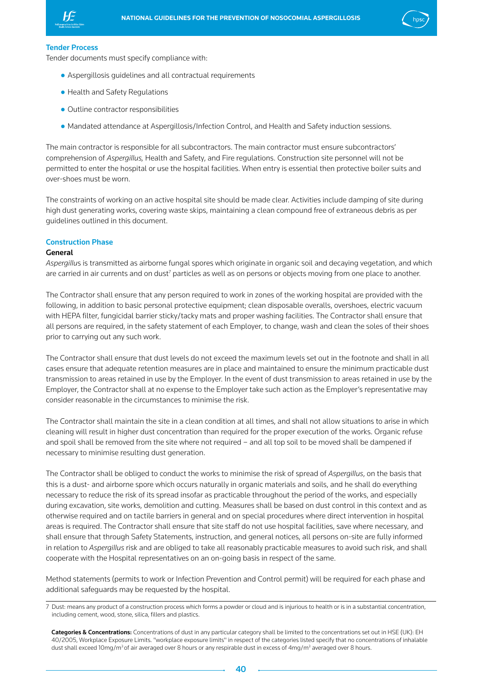



### Tender Process

Tender documents must specify compliance with:

- Aspergillosis guidelines and all contractual requirements
- Health and Safety Regulations
- Outline contractor responsibilities
- Mandated attendance at Aspergillosis/Infection Control, and Health and Safety induction sessions.

The main contractor is responsible for all subcontractors. The main contractor must ensure subcontractors' comprehension of *Aspergillus,* Health and Safety, and Fire regulations. Construction site personnel will not be permitted to enter the hospital or use the hospital facilities. When entry is essential then protective boiler suits and over-shoes must be worn.

The constraints of working on an active hospital site should be made clear. Activities include damping of site during high dust generating works, covering waste skips, maintaining a clean compound free of extraneous debris as per guidelines outlined in this document.

#### Construction Phase

#### General

*Aspergillu*s is transmitted as airborne fungal spores which originate in organic soil and decaying vegetation, and which are carried in air currents and on dust $^7$  particles as well as on persons or objects moving from one place to another.

The Contractor shall ensure that any person required to work in zones of the working hospital are provided with the following, in addition to basic personal protective equipment; clean disposable overalls, overshoes, electric vacuum with HEPA filter, fungicidal barrier sticky/tacky mats and proper washing facilities. The Contractor shall ensure that all persons are required, in the safety statement of each Employer, to change, wash and clean the soles of their shoes prior to carrying out any such work.

The Contractor shall ensure that dust levels do not exceed the maximum levels set out in the footnote and shall in all cases ensure that adequate retention measures are in place and maintained to ensure the minimum practicable dust transmission to areas retained in use by the Employer. In the event of dust transmission to areas retained in use by the Employer, the Contractor shall at no expense to the Employer take such action as the Employer's representative may consider reasonable in the circumstances to minimise the risk.

The Contractor shall maintain the site in a clean condition at all times, and shall not allow situations to arise in which cleaning will result in higher dust concentration than required for the proper execution of the works. Organic refuse and spoil shall be removed from the site where not required – and all top soil to be moved shall be dampened if necessary to minimise resulting dust generation.

The Contractor shall be obliged to conduct the works to minimise the risk of spread of *Aspergillus*, on the basis that this is a dust- and airborne spore which occurs naturally in organic materials and soils, and he shall do everything necessary to reduce the risk of its spread insofar as practicable throughout the period of the works, and especially during excavation, site works, demolition and cutting. Measures shall be based on dust control in this context and as otherwise required and on tactile barriers in general and on special procedures where direct intervention in hospital areas is required. The Contractor shall ensure that site staff do not use hospital facilities, save where necessary, and shall ensure that through Safety Statements, instruction, and general notices, all persons on-site are fully informed in relation to *Aspergillus* risk and are obliged to take all reasonably practicable measures to avoid such risk, and shall cooperate with the Hospital representatives on an on-going basis in respect of the same.

Method statements (permits to work or Infection Prevention and Control permit) will be required for each phase and additional safeguards may be requested by the hospital.

<sup>7</sup> Dust: means any product of a construction process which forms a powder or cloud and is injurious to health or is in a substantial concentration, including cement, wood, stone, silica, fillers and plastics.

Categories & Concentrations: Concentrations of dust in any particular category shall be limited to the concentrations set out in HSE (UK): EH 40/2005, Workplace Exposure Limits. "workplace exposure limits" in respect of the categories listed specify that no concentrations of inhalable dust shall exceed 10mg/m<sup>3</sup> of air averaged over 8 hours or any respirable dust in excess of 4mg/m<sup>3</sup> averaged over 8 hours.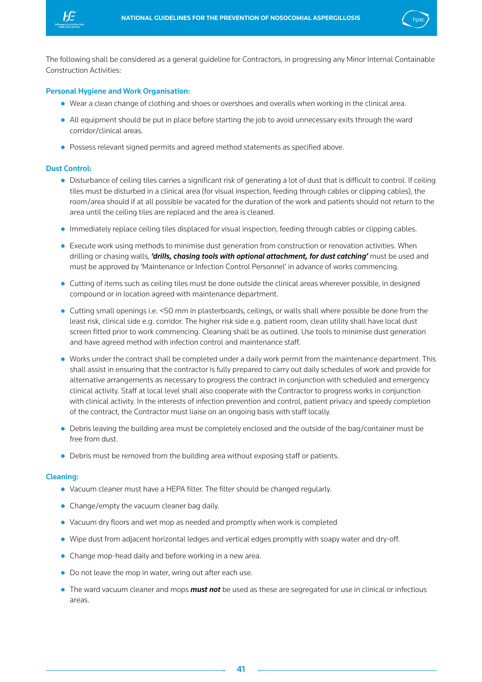



The following shall be considered as a general guideline for Contractors, in progressing any Minor Internal Containable Construction Activities:

#### Personal Hygiene and Work Organisation:

- Wear a clean change of clothing and shoes or overshoes and overalls when working in the clinical area.
- All equipment should be put in place before starting the job to avoid unnecessary exits through the ward corridor/clinical areas.
- Possess relevant signed permits and agreed method statements as specified above.

#### Dust Control:

- Disturbance of ceiling tiles carries a significant risk of generating a lot of dust that is difficult to control. If ceiling tiles must be disturbed in a clinical area (for visual inspection, feeding through cables or clipping cables), the room/area should if at all possible be vacated for the duration of the work and patients should not return to the area until the ceiling tiles are replaced and the area is cleaned.
- Immediately replace ceiling tiles displaced for visual inspection, feeding through cables or clipping cables.
- Execute work using methods to minimise dust generation from construction or renovation activities. When drilling or chasing walls, *'drills, chasing tools with optional attachment, for dust catching'* must be used and must be approved by 'Maintenance or Infection Control Personnel' in advance of works commencing.
- Cutting of items such as ceiling tiles must be done outside the clinical areas wherever possible, in designed compound or in location agreed with maintenance department.
- Cutting small openings i.e. <50 mm in plasterboards, ceilings, or walls shall where possible be done from the least risk, clinical side e.g. corridor. The higher risk side e.g. patient room, clean utility shall have local dust screen fitted prior to work commencing. Cleaning shall be as outlined. Use tools to minimise dust generation and have agreed method with infection control and maintenance staff.
- Works under the contract shall be completed under a daily work permit from the maintenance department. This shall assist in ensuring that the contractor is fully prepared to carry out daily schedules of work and provide for alternative arrangements as necessary to progress the contract in conjunction with scheduled and emergency clinical activity. Staff at local level shall also cooperate with the Contractor to progress works in conjunction with clinical activity. In the interests of infection prevention and control, patient privacy and speedy completion of the contract, the Contractor must liaise on an ongoing basis with staff locally.
- Debris leaving the building area must be completely enclosed and the outside of the bag/container must be free from dust.
- Debris must be removed from the building area without exposing staff or patients.

#### Cleaning:

- Vacuum cleaner must have a HEPA filter. The filter should be changed regularly.
- Change/empty the vacuum cleaner bag daily.
- Vacuum dry floors and wet mop as needed and promptly when work is completed
- Wipe dust from adjacent horizontal ledges and vertical edges promptly with soapy water and dry-off.
- Change mop-head daily and before working in a new area.
- Do not leave the mop in water, wring out after each use.
- The ward vacuum cleaner and mops *must not* be used as these are segregated for use in clinical or infectious areas.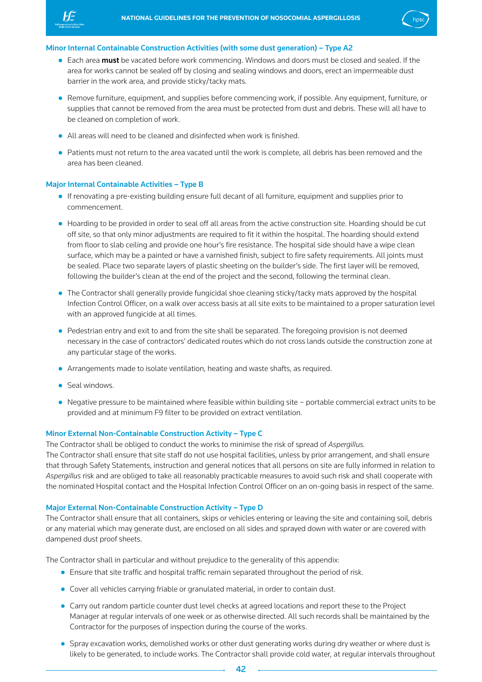



- Each area **must** be vacated before work commencing. Windows and doors must be closed and sealed. If the area for works cannot be sealed off by closing and sealing windows and doors, erect an impermeable dust barrier in the work area, and provide sticky/tacky mats.
- Remove furniture, equipment, and supplies before commencing work, if possible. Any equipment, furniture, or supplies that cannot be removed from the area must be protected from dust and debris. These will all have to be cleaned on completion of work.
- All areas will need to be cleaned and disinfected when work is finished.
- Patients must not return to the area vacated until the work is complete, all debris has been removed and the area has been cleaned.

### Major Internal Containable Activities – Type B

- If renovating a pre-existing building ensure full decant of all furniture, equipment and supplies prior to commencement.
- Hoarding to be provided in order to seal off all areas from the active construction site. Hoarding should be cut off site, so that only minor adjustments are required to fit it within the hospital. The hoarding should extend from floor to slab ceiling and provide one hour's fire resistance. The hospital side should have a wipe clean surface, which may be a painted or have a varnished finish, subject to fire safety requirements. All joints must be sealed. Place two separate layers of plastic sheeting on the builder's side. The first layer will be removed, following the builder's clean at the end of the project and the second, following the terminal clean.
- The Contractor shall generally provide fungicidal shoe cleaning sticky/tacky mats approved by the hospital Infection Control Officer, on a walk over access basis at all site exits to be maintained to a proper saturation level with an approved fungicide at all times.
- Pedestrian entry and exit to and from the site shall be separated. The foregoing provision is not deemed necessary in the case of contractors' dedicated routes which do not cross lands outside the construction zone at any particular stage of the works.
- Arrangements made to isolate ventilation, heating and waste shafts, as required.
- Seal windows.
- Negative pressure to be maintained where feasible within building site portable commercial extract units to be provided and at minimum F9 filter to be provided on extract ventilation.

#### Minor External Non-Containable Construction Activity – Type C

The Contractor shall be obliged to conduct the works to minimise the risk of spread of *Aspergillus.*

The Contractor shall ensure that site staff do not use hospital facilities, unless by prior arrangement, and shall ensure that through Safety Statements, instruction and general notices that all persons on site are fully informed in relation to *Aspergillus* risk and are obliged to take all reasonably practicable measures to avoid such risk and shall cooperate with the nominated Hospital contact and the Hospital Infection Control Officer on an on-going basis in respect of the same.

#### Major External Non-Containable Construction Activity – Type D

The Contractor shall ensure that all containers, skips or vehicles entering or leaving the site and containing soil, debris or any material which may generate dust, are enclosed on all sides and sprayed down with water or are covered with dampened dust proof sheets.

The Contractor shall in particular and without prejudice to the generality of this appendix:

- Ensure that site traffic and hospital traffic remain separated throughout the period of risk.
- Cover all vehicles carrying friable or granulated material, in order to contain dust.
- Carry out random particle counter dust level checks at agreed locations and report these to the Project Manager at regular intervals of one week or as otherwise directed. All such records shall be maintained by the Contractor for the purposes of inspection during the course of the works.
- Spray excavation works, demolished works or other dust generating works during dry weather or where dust is likely to be generated, to include works. The Contractor shall provide cold water, at regular intervals throughout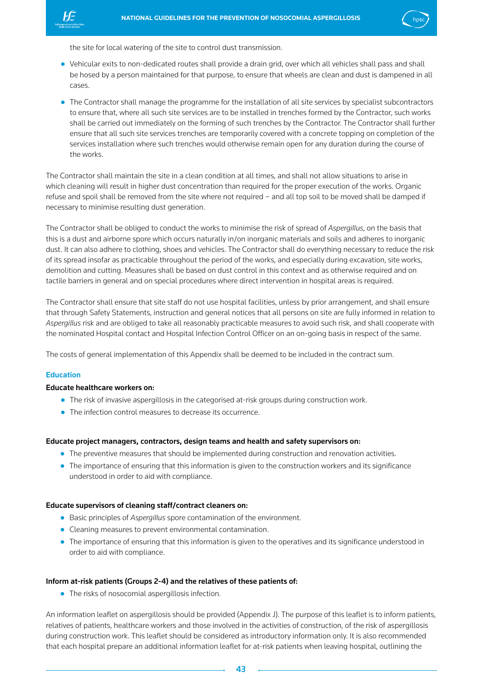

the site for local watering of the site to control dust transmission.

- Vehicular exits to non-dedicated routes shall provide a drain grid, over which all vehicles shall pass and shall be hosed by a person maintained for that purpose, to ensure that wheels are clean and dust is dampened in all cases.
- The Contractor shall manage the programme for the installation of all site services by specialist subcontractors to ensure that, where all such site services are to be installed in trenches formed by the Contractor, such works shall be carried out immediately on the forming of such trenches by the Contractor. The Contractor shall further ensure that all such site services trenches are temporarily covered with a concrete topping on completion of the services installation where such trenches would otherwise remain open for any duration during the course of the works.

The Contractor shall maintain the site in a clean condition at all times, and shall not allow situations to arise in which cleaning will result in higher dust concentration than required for the proper execution of the works. Organic refuse and spoil shall be removed from the site where not required – and all top soil to be moved shall be damped if necessary to minimise resulting dust generation.

The Contractor shall be obliged to conduct the works to minimise the risk of spread of *Aspergillus*, on the basis that this is a dust and airborne spore which occurs naturally in/on inorganic materials and soils and adheres to inorganic dust. It can also adhere to clothing, shoes and vehicles. The Contractor shall do everything necessary to reduce the risk of its spread insofar as practicable throughout the period of the works, and especially during excavation, site works, demolition and cutting. Measures shall be based on dust control in this context and as otherwise required and on tactile barriers in general and on special procedures where direct intervention in hospital areas is required.

The Contractor shall ensure that site staff do not use hospital facilities, unless by prior arrangement, and shall ensure that through Safety Statements, instruction and general notices that all persons on site are fully informed in relation to *Aspergillus* risk and are obliged to take all reasonably practicable measures to avoid such risk, and shall cooperate with the nominated Hospital contact and Hospital Infection Control Officer on an on-going basis in respect of the same.

The costs of general implementation of this Appendix shall be deemed to be included in the contract sum.

## Education

### Educate healthcare workers on:

- The risk of invasive aspergillosis in the categorised at-risk groups during construction work.
- The infection control measures to decrease its occurrence.

#### Educate project managers, contractors, design teams and health and safety supervisors on:

- The preventive measures that should be implemented during construction and renovation activities.
- The importance of ensuring that this information is given to the construction workers and its significance understood in order to aid with compliance.

#### Educate supervisors of cleaning staff/contract cleaners on:

- Basic principles of *Aspergillus* spore contamination of the environment.
- Cleaning measures to prevent environmental contamination.
- The importance of ensuring that this information is given to the operatives and its significance understood in order to aid with compliance.

#### Inform at-risk patients (Groups 2-4) and the relatives of these patients of:

● The risks of nosocomial aspergillosis infection.

An information leaflet on aspergillosis should be provided (Appendix J). The purpose of this leaflet is to inform patients, relatives of patients, healthcare workers and those involved in the activities of construction, of the risk of aspergillosis during construction work. This leaflet should be considered as introductory information only. It is also recommended that each hospital prepare an additional information leaflet for at-risk patients when leaving hospital, outlining the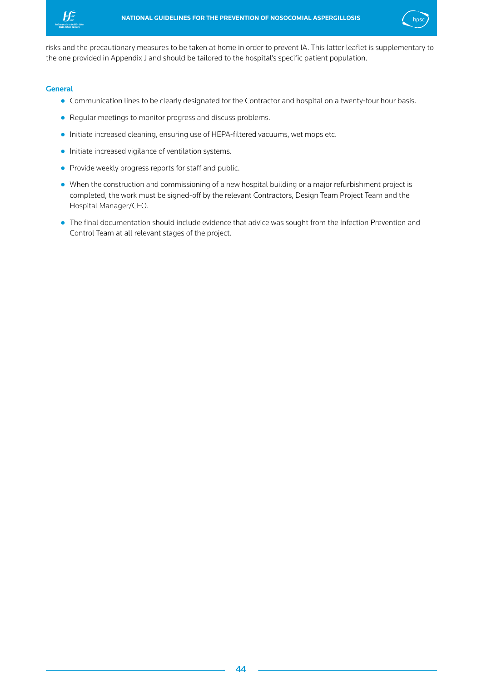



risks and the precautionary measures to be taken at home in order to prevent IA. This latter leaflet is supplementary to the one provided in Appendix J and should be tailored to the hospital's specific patient population.

### **General**

- Communication lines to be clearly designated for the Contractor and hospital on a twenty-four hour basis.
- Regular meetings to monitor progress and discuss problems.
- Initiate increased cleaning, ensuring use of HEPA-filtered vacuums, wet mops etc.
- Initiate increased vigilance of ventilation systems.
- Provide weekly progress reports for staff and public.
- When the construction and commissioning of a new hospital building or a major refurbishment project is completed, the work must be signed-off by the relevant Contractors, Design Team Project Team and the Hospital Manager/CEO.
- The final documentation should include evidence that advice was sought from the Infection Prevention and Control Team at all relevant stages of the project.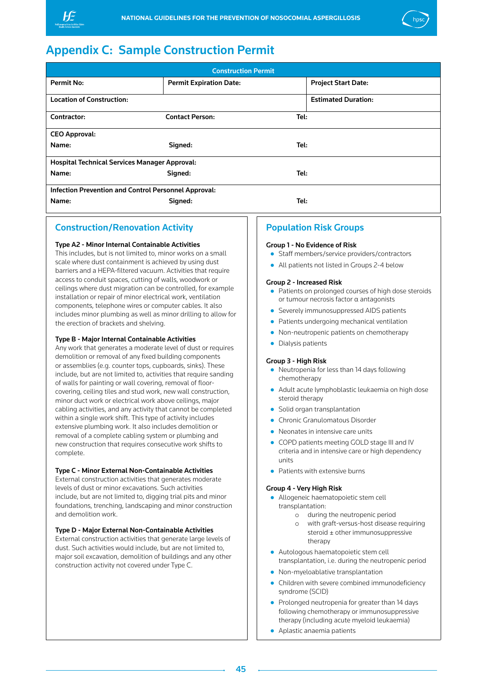<span id="page-45-0"></span>



## Appendix C: Sample Construction Permit

| <b>Construction Permit</b>                                  |                                |                            |  |  |  |  |
|-------------------------------------------------------------|--------------------------------|----------------------------|--|--|--|--|
| Permit No:                                                  | <b>Permit Expiration Date:</b> | <b>Project Start Date:</b> |  |  |  |  |
| <b>Location of Construction:</b>                            |                                | <b>Estimated Duration:</b> |  |  |  |  |
| Contractor:                                                 | <b>Contact Person:</b>         | Tel:                       |  |  |  |  |
| <b>CEO Approval:</b>                                        |                                |                            |  |  |  |  |
| Name:                                                       | Tel:<br>Signed:                |                            |  |  |  |  |
| <b>Hospital Technical Services Manager Approval:</b>        |                                |                            |  |  |  |  |
| Name:<br>Signed:<br>Tel:                                    |                                |                            |  |  |  |  |
| <b>Infection Prevention and Control Personnel Approval:</b> |                                |                            |  |  |  |  |
| Name:                                                       | Tel:                           |                            |  |  |  |  |

## Construction/Renovation Activity

#### Type A2 - Minor Internal Containable Activities

This includes, but is not limited to, minor works on a small scale where dust containment is achieved by using dust barriers and a HEPA-filtered vacuum. Activities that require access to conduit spaces, cutting of walls, woodwork or ceilings where dust migration can be controlled, for example installation or repair of minor electrical work, ventilation components, telephone wires or computer cables. It also includes minor plumbing as well as minor drilling to allow for the erection of brackets and shelving.

#### Type B - Major Internal Containable Activities

Any work that generates a moderate level of dust or requires demolition or removal of any fixed building components or assemblies (e.g. counter tops, cupboards, sinks). These include, but are not limited to, activities that require sanding of walls for painting or wall covering, removal of floorcovering, ceiling tiles and stud work, new wall construction, minor duct work or electrical work above ceilings, major cabling activities, and any activity that cannot be completed within a single work shift. This type of activity includes extensive plumbing work. It also includes demolition or removal of a complete cabling system or plumbing and new construction that requires consecutive work shifts to complete.

## Type C - Minor External Non-Containable Activities

External construction activities that generates moderate levels of dust or minor excavations. Such activities include, but are not limited to, digging trial pits and minor foundations, trenching, landscaping and minor construction and demolition work.

#### Type D - Major External Non-Containable Activities

External construction activities that generate large levels of dust. Such activities would include, but are not limited to, major soil excavation, demolition of buildings and any other construction activity not covered under Type C.

## Population Risk Groups

#### Group 1 - No Evidence of Risk

- Staff members/service providers/contractors
- All patients not listed in Groups 2-4 below

#### Group 2 - Increased Risk

- Patients on prolonged courses of high dose steroids or tumour necrosis factor α antagonists
- Severely immunosuppressed AIDS patients
- Patients undergoing mechanical ventilation
- Non-neutropenic patients on chemotherapy
- Dialysis patients

#### Group 3 - High Risk

- Neutropenia for less than 14 days following chemotherapy
- Adult acute lymphoblastic leukaemia on high dose steroid therapy
- Solid organ transplantation
- Chronic Granulomatous Disorder
- Neonates in intensive care units
- COPD patients meeting GOLD stage III and IV criteria and in intensive care or high dependency units
- Patients with extensive burns

#### Group 4 - Very High Risk

- Allogeneic haematopoietic stem cell transplantation:
	- o during the neutropenic period
	- o with graft-versus-host disease requiring steroid ± other immunosuppressive therapy
- Autologous haematopoietic stem cell
- transplantation, i.e. during the neutropenic period
- Non-myeloablative transplantation
- Children with severe combined immunodeficiency syndrome (SCID)
- Prolonged neutropenia for greater than 14 days following chemotherapy or immunosuppressive therapy (including acute myeloid leukaemia)
- Aplastic anaemia patients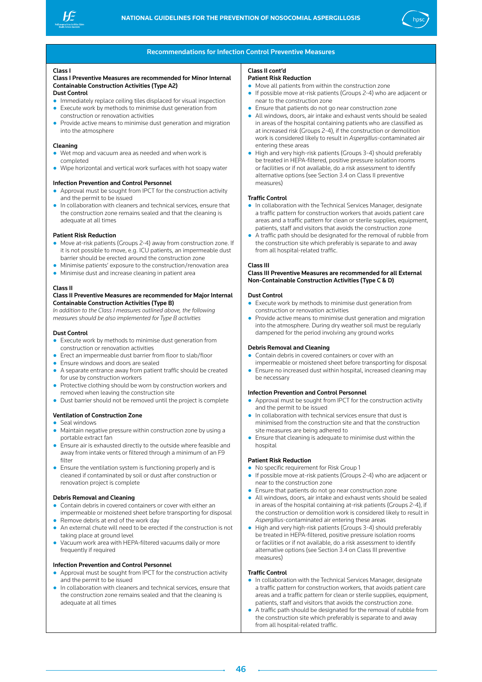



#### Recommendations for Infection Control Preventive Measures

#### Class I

#### Class I Preventive Measures are recommended for Minor Internal Containable Construction Activities (Type A2)

#### Dust Control

- Immediately replace ceiling tiles displaced for visual inspection
- Execute work by methods to minimise dust generation from construction or renovation activities
- Provide active means to minimise dust generation and migration into the atmosphere

#### Cleaning

- Wet mop and vacuum area as needed and when work is completed
- Wipe horizontal and vertical work surfaces with hot soapy water

#### Infection Prevention and Control Personnel

- Approval must be sought from IPCT for the construction activity and the permit to be issued
- In collaboration with cleaners and technical services, ensure that the construction zone remains sealed and that the cleaning is adequate at all times

#### Patient Risk Reduction

- Move at-risk patients (Groups 2-4) away from construction zone. If it is not possible to move, e.g. ICU patients, an impermeable dust barrier should be erected around the construction zone
- Minimise patients' exposure to the construction/renovation area
- Minimise dust and increase cleaning in patient area

#### Class II

#### Class II Preventive Measures are recommended for Major Internal Containable Construction Activities (Type B)

*In addition to the Class I measures outlined above, the following measures should be also implemented for Type B activities*

#### Dust Control

- Execute work by methods to minimise dust generation from construction or renovation activities
- Erect an impermeable dust barrier from floor to slab/floor
- Ensure windows and doors are sealed
- A separate entrance away from patient traffic should be created for use by construction workers
- Protective clothing should be worn by construction workers and removed when leaving the construction site
- Dust barrier should not be removed until the project is complete

#### Ventilation of Construction Zone

#### ● Seal windows

- Maintain negative pressure within construction zone by using a portable extract fan
- Ensure air is exhausted directly to the outside where feasible and away from intake vents or filtered through a minimum of an F9 filter
- Ensure the ventilation system is functioning properly and is cleaned if contaminated by soil or dust after construction or renovation project is complete

#### Debris Removal and Cleaning

- Contain debris in covered containers or cover with either an
- impermeable or moistened sheet before transporting for disposal Remove debris at end of the work day
- An external chute will need to be erected if the construction is not taking place at ground level
- Vacuum work area with HEPA-filtered vacuums daily or more frequently if required

#### Infection Prevention and Control Personnel

- Approval must be sought from IPCT for the construction activity and the permit to be issued
- In collaboration with cleaners and technical services, ensure that the construction zone remains sealed and that the cleaning is adequate at all times

## Class II cont'd

- Patient Risk Reduction
- Move all patients from within the construction zone ● If possible move at-risk patients (Groups 2-4) who are adjacent or near to the construction zone
- Ensure that patients do not go near construction zone
- All windows, doors, air intake and exhaust vents should be sealed in areas of the hospital containing patients who are classified as at increased risk (Groups 2-4), if the construction or demolition work is considered likely to result in *Aspergillus*-contaminated air entering these areas
- High and very high-risk patients (Groups 3-4) should preferably be treated in HEPA-filtered, positive pressure isolation rooms or facilities or if not available, do a risk assessment to identify alternative options (see Section 3.4 on Class II preventive measures)

#### Traffic Control

- In collaboration with the Technical Services Manager, designate a traffic pattern for construction workers that avoids patient care areas and a traffic pattern for clean or sterile supplies, equipment, patients, staff and visitors that avoids the construction zone
- A traffic path should be designated for the removal of rubble from the construction site which preferably is separate to and away from all hospital-related traffic.

#### Class III

#### Class III Preventive Measures are recommended for all External Non-Containable Construction Activities (Type C & D)

#### Dust Control

- Execute work by methods to minimise dust generation from construction or renovation activities
- Provide active means to minimise dust generation and migration into the atmosphere. During dry weather soil must be regularly dampened for the period involving any ground works

#### Debris Removal and Cleaning

- Contain debris in covered containers or cover with an impermeable or moistened sheet before transporting for disposal
- Ensure no increased dust within hospital, increased cleaning may be necessary

#### Infection Prevention and Control Personnel

- Approval must be sought from IPCT for the construction activity and the permit to be issued
- In collaboration with technical services ensure that dust is minimised from the construction site and that the construction site measures are being adhered to
- Ensure that cleaning is adequate to minimise dust within the hospital

#### Patient Risk Reduction

- No specific requirement for Risk Group 1 ● If possible move at-risk patients (Groups 2-4) who are adjacent or near to the construction zone
- Ensure that patients do not go near construction zone
- All windows, doors, air intake and exhaust vents should be sealed in areas of the hospital containing at-risk patients (Groups 2-4), if the construction or demolition work is considered likely to result in *Aspergillus*-contaminated air entering these areas
- High and very high-risk patients (Groups 3-4) should preferably be treated in HEPA-filtered, positive pressure isolation rooms or facilities or if not available, do a risk assessment to identify alternative options (see Section 3.4 on Class III preventive measures)

#### Traffic Control

- In collaboration with the Technical Services Manager, designate a traffic pattern for construction workers, that avoids patient care areas and a traffic pattern for clean or sterile supplies, equipment, patients, staff and visitors that avoids the construction zone.
- A traffic path should be designated for the removal of rubble from the construction site which preferably is separate to and away from all hospital-related traffic.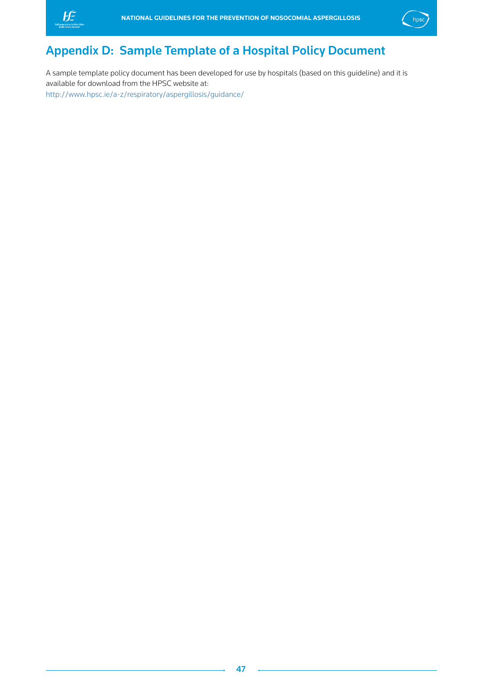<span id="page-47-0"></span>



## Appendix D: Sample Template of a Hospital Policy Document

A sample template policy document has been developed for use by hospitals (based on this guideline) and it is available for download from the HPSC website at: http://www.hpsc.ie/a-z/respiratory/aspergillosis/guidance/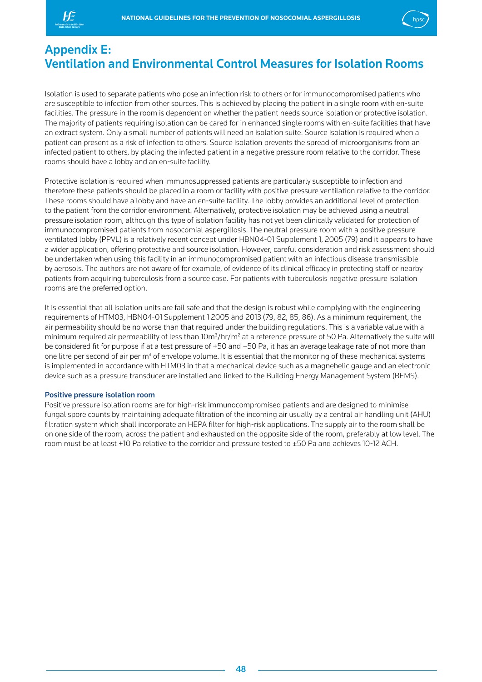<span id="page-48-0"></span>



## Appendix E: Ventilation and Environmental Control Measures for Isolation Rooms

Isolation is used to separate patients who pose an infection risk to others or for immunocompromised patients who are susceptible to infection from other sources. This is achieved by placing the patient in a single room with en-suite facilities. The pressure in the room is dependent on whether the patient needs source isolation or protective isolation. The majority of patients requiring isolation can be cared for in enhanced single rooms with en-suite facilities that have an extract system. Only a small number of patients will need an isolation suite. Source isolation is required when a patient can present as a risk of infection to others. Source isolation prevents the spread of microorganisms from an infected patient to others, by placing the infected patient in a negative pressure room relative to the corridor. These rooms should have a lobby and an en-suite facility.

Protective isolation is required when immunosuppressed patients are particularly susceptible to infection and therefore these patients should be placed in a room or facility with positive pressure ventilation relative to the corridor. These rooms should have a lobby and have an en-suite facility. The lobby provides an additional level of protection to the patient from the corridor environment. Alternatively, protective isolation may be achieved using a neutral pressure isolation room, although this type of isolation facility has not yet been clinically validated for protection of immunocompromised patients from nosocomial aspergillosis. The neutral pressure room with a positive pressure ventilated lobby (PPVL) is a relatively recent concept under HBN04-01 Supplement 1, 2005 (79) and it appears to have a wider application, offering protective and source isolation. However, careful consideration and risk assessment should be undertaken when using this facility in an immunocompromised patient with an infectious disease transmissible by aerosols. The authors are not aware of for example, of evidence of its clinical efficacy in protecting staff or nearby patients from acquiring tuberculosis from a source case. For patients with tuberculosis negative pressure isolation rooms are the preferred option.

It is essential that all isolation units are fail safe and that the design is robust while complying with the engineering requirements of HTM03, HBN04-01 Supplement 1 2005 and 2013 (79, 82, 85, 86). As a minimum requirement, the air permeability should be no worse than that required under the building regulations. This is a variable value with a minimum required air permeability of less than 10m<sup>3</sup>/hr/m<sup>2</sup> at a reference pressure of 50 Pa. Alternatively the suite will be considered fit for purpose if at a test pressure of +50 and –50 Pa, it has an average leakage rate of not more than one litre per second of air per m<sup>3</sup> of envelope volume. It is essential that the monitoring of these mechanical systems is implemented in accordance with HTM03 in that a mechanical device such as a magnehelic gauge and an electronic device such as a pressure transducer are installed and linked to the Building Energy Management System (BEMS).

#### Positive pressure isolation room

Positive pressure isolation rooms are for high-risk immunocompromised patients and are designed to minimise fungal spore counts by maintaining adequate filtration of the incoming air usually by a central air handling unit (AHU) filtration system which shall incorporate an HEPA filter for high-risk applications. The supply air to the room shall be on one side of the room, across the patient and exhausted on the opposite side of the room, preferably at low level. The room must be at least +10 Pa relative to the corridor and pressure tested to ±50 Pa and achieves 10-12 ACH.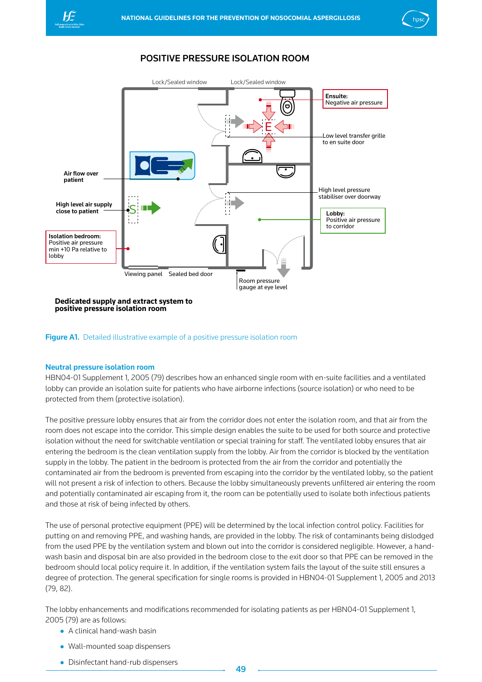<span id="page-49-0"></span>



## Positive Pressure Isolation Room



**positive pressure isolation room**

**Figure A1.** Detailed illustrative example of a positive pressure isolation room

## Neutral pressure isolation room

HBN04-01 Supplement 1, 2005 (79) describes how an enhanced single room with en-suite facilities and a ventilated lobby can provide an isolation suite for patients who have airborne infections (source isolation) or who need to be protected from them (protective isolation).

The positive pressure lobby ensures that air from the corridor does not enter the isolation room, and that air from the room does not escape into the corridor. This simple design enables the suite to be used for both source and protective isolation without the need for switchable ventilation or special training for staff. The ventilated lobby ensures that air entering the bedroom is the clean ventilation supply from the lobby. Air from the corridor is blocked by the ventilation supply in the lobby. The patient in the bedroom is protected from the air from the corridor and potentially the contaminated air from the bedroom is prevented from escaping into the corridor by the ventilated lobby, so the patient will not present a risk of infection to others. Because the lobby simultaneously prevents unfiltered air entering the room and potentially contaminated air escaping from it, the room can be potentially used to isolate both infectious patients and those at risk of being infected by others.

The use of personal protective equipment (PPE) will be determined by the local infection control policy. Facilities for putting on and removing PPE, and washing hands, are provided in the lobby. The risk of contaminants being dislodged from the used PPE by the ventilation system and blown out into the corridor is considered negligible. However, a handwash basin and disposal bin are also provided in the bedroom close to the exit door so that PPE can be removed in the bedroom should local policy require it. In addition, if the ventilation system fails the layout of the suite still ensures a degree of protection. The general specification for single rooms is provided in HBN04-01 Supplement 1, 2005 and 2013 (79, 82).

The lobby enhancements and modifications recommended for isolating patients as per HBN04-01 Supplement 1, 2005 (79) are as follows:

- A clinical hand-wash basin
- Wall-mounted soap dispensers
- Disinfectant hand-rub dispensers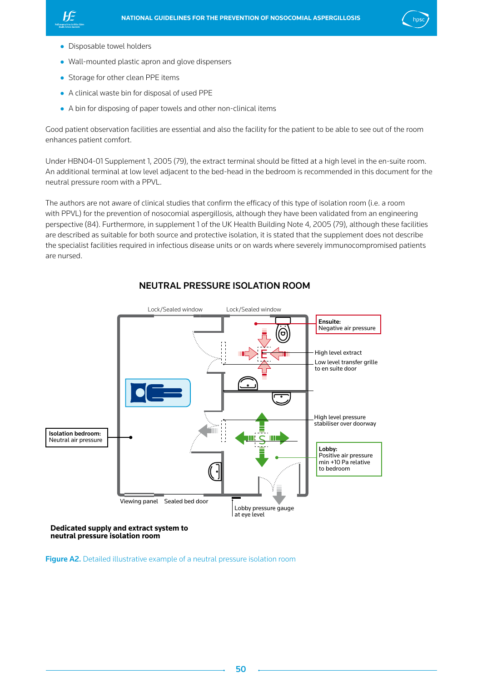<span id="page-50-0"></span>



- Disposable towel holders
- Wall-mounted plastic apron and glove dispensers
- Storage for other clean PPE items
- A clinical waste bin for disposal of used PPE
- A bin for disposing of paper towels and other non-clinical items

Good patient observation facilities are essential and also the facility for the patient to be able to see out of the room enhances patient comfort.

Under HBN04-01 Supplement 1, 2005 (79), the extract terminal should be fitted at a high level in the en-suite room. An additional terminal at low level adjacent to the bed-head in the bedroom is recommended in this document for the neutral pressure room with a PPVL.

The authors are not aware of clinical studies that confirm the efficacy of this type of isolation room (i.e. a room with PPVL) for the prevention of nosocomial aspergillosis, although they have been validated from an engineering perspective (84). Furthermore, in supplement 1 of the UK Health Building Note 4, 2005 (79), although these facilities are described as suitable for both source and protective isolation, it is stated that the supplement does not describe the specialist facilities required in infectious disease units or on wards where severely immunocompromised patients are nursed.



## Neutral Pressure Isolation Room

Figure A2. Detailed illustrative example of a neutral pressure isolation room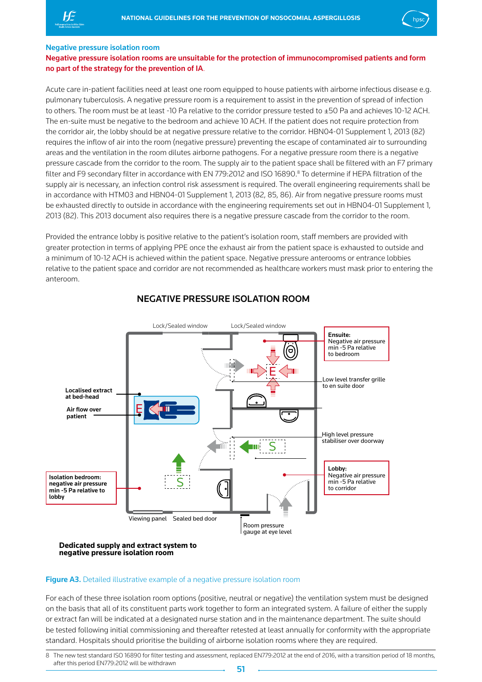<span id="page-51-0"></span>



#### Negative pressure isolation room

## Negative pressure isolation rooms are unsuitable for the protection of immunocompromised patients and form no part of the strategy for the prevention of IA.

Acute care in-patient facilities need at least one room equipped to house patients with airborne infectious disease e.g. pulmonary tuberculosis. A negative pressure room is a requirement to assist in the prevention of spread of infection to others. The room must be at least -10 Pa relative to the corridor pressure tested to ±50 Pa and achieves 10-12 ACH. The en-suite must be negative to the bedroom and achieve 10 ACH. If the patient does not require protection from the corridor air, the lobby should be at negative pressure relative to the corridor. HBN04-01 Supplement 1, 2013 (82) requires the inflow of air into the room (negative pressure) preventing the escape of contaminated air to surrounding areas and the ventilation in the room dilutes airborne pathogens. For a negative pressure room there is a negative pressure cascade from the corridor to the room. The supply air to the patient space shall be filtered with an F7 primary filter and F9 secondary filter in accordance with EN 779:2012 and ISO 16890.<sup>8</sup> To determine if HEPA filtration of the supply air is necessary, an infection control risk assessment is required. The overall engineering requirements shall be in accordance with HTM03 and HBN04-01 Supplement 1, 2013 (82, 85, 86). Air from negative pressure rooms must be exhausted directly to outside in accordance with the engineering requirements set out in HBN04-01 Supplement 1, 2013 (82). This 2013 document also requires there is a negative pressure cascade from the corridor to the room.

Provided the entrance lobby is positive relative to the patient's isolation room, staff members are provided with greater protection in terms of applying PPE once the exhaust air from the patient space is exhausted to outside and a minimum of 10-12 ACH is achieved within the patient space. Negative pressure anterooms or entrance lobbies relative to the patient space and corridor are not recommended as healthcare workers must mask prior to entering the anteroom.



## Negative Pressure Isolation Room

#### **Dedicated supply and extract system to negative pressure isolation room**

## Figure A3. Detailed illustrative example of a negative pressure isolation room

For each of these three isolation room options (positive, neutral or negative) the ventilation system must be designed on the basis that all of its constituent parts work together to form an integrated system. A failure of either the supply or extract fan will be indicated at a designated nurse station and in the maintenance department. The suite should be tested following initial commissioning and thereafter retested at least annually for conformity with the appropriate standard. Hospitals should prioritise the building of airborne isolation rooms where they are required.

<sup>8</sup> The new test standard ISO 16890 for filter testing and assessment, replaced EN779:2012 at the end of 2016, with a transition period of 18 months, after this period EN779:2012 will be withdrawn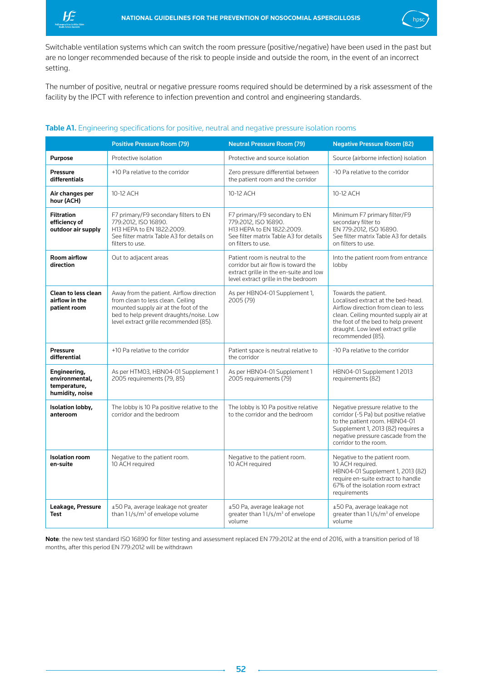<span id="page-52-0"></span>



Switchable ventilation systems which can switch the room pressure (positive/negative) have been used in the past but are no longer recommended because of the risk to people inside and outside the room, in the event of an incorrect setting.

The number of positive, neutral or negative pressure rooms required should be determined by a risk assessment of the facility by the IPCT with reference to infection prevention and control and engineering standards.

### Table A1. Engineering specifications for positive, neutral and negative pressure isolation rooms

|                                                                   | <b>Positive Pressure Room (79)</b>                                                                                                                                                                          | <b>Neutral Pressure Room (79)</b>                                                                                                                      | <b>Negative Pressure Room (82)</b>                                                                                                                                                                                                          |
|-------------------------------------------------------------------|-------------------------------------------------------------------------------------------------------------------------------------------------------------------------------------------------------------|--------------------------------------------------------------------------------------------------------------------------------------------------------|---------------------------------------------------------------------------------------------------------------------------------------------------------------------------------------------------------------------------------------------|
| <b>Purpose</b>                                                    | Protective isolation                                                                                                                                                                                        | Protective and source isolation                                                                                                                        | Source (airborne infection) isolation                                                                                                                                                                                                       |
| Pressure<br>differentials                                         | +10 Pa relative to the corridor                                                                                                                                                                             | Zero pressure differential between<br>the patient room and the corridor                                                                                | -10 Pa relative to the corridor                                                                                                                                                                                                             |
| Air changes per<br>hour (ACH)                                     | 10-12 ACH                                                                                                                                                                                                   | 10-12 ACH                                                                                                                                              | 10-12 ACH                                                                                                                                                                                                                                   |
| <b>Filtration</b><br>efficiency of<br>outdoor air supply          | F7 primary/F9 secondary filters to EN<br>779:2012. ISO 16890.<br>H13 HEPA to EN 1822:2009.<br>See filter matrix Table A3 for details on<br>filters to use.                                                  | F7 primary/F9 secondary to EN<br>779:2012, ISO 16890.<br>H13 HEPA to EN 1822:2009.<br>See filter matrix Table A3 for details<br>on filters to use.     | Minimum F7 primary filter/F9<br>secondary filter to<br>EN 779:2012, ISO 16890.<br>See filter matrix Table A3 for details<br>on filters to use.                                                                                              |
| <b>Room airflow</b><br>direction                                  | Out to adjacent areas                                                                                                                                                                                       | Patient room is neutral to the<br>corridor but air flow is toward the<br>extract grille in the en-suite and low<br>level extract grille in the bedroom | Into the patient room from entrance<br>lobby                                                                                                                                                                                                |
| <b>Clean to less clean</b><br>airflow in the<br>patient room      | Away from the patient. Airflow direction<br>from clean to less clean. Ceiling<br>mounted supply air at the foot of the<br>bed to help prevent draughts/noise. Low<br>level extract grille recommended (85). | As per HBN04-01 Supplement 1,<br>2005 (79)                                                                                                             | Towards the patient.<br>Localised extract at the bed-head.<br>Airflow direction from clean to less<br>clean. Ceiling mounted supply air at<br>the foot of the bed to help prevent<br>draught. Low level extract grille<br>recommended (85). |
| <b>Pressure</b><br>differential                                   | +10 Pa relative to the corridor                                                                                                                                                                             | Patient space is neutral relative to<br>the corridor                                                                                                   | -10 Pa relative to the corridor                                                                                                                                                                                                             |
| Engineering,<br>environmental,<br>temperature,<br>humidity, noise | As per HTM03, HBN04-01 Supplement 1<br>2005 requirements (79, 85)                                                                                                                                           | As per HBN04-01 Supplement 1<br>2005 requirements (79)                                                                                                 | HBN04-01 Supplement 12013<br>requirements (82)                                                                                                                                                                                              |
| Isolation lobby,<br>anteroom                                      | The lobby is 10 Pa positive relative to the<br>corridor and the bedroom                                                                                                                                     | The lobby is 10 Pa positive relative<br>to the corridor and the bedroom                                                                                | Negative pressure relative to the<br>corridor (-5 Pa) but positive relative<br>to the patient room. HBN04-01<br>Supplement 1, 2013 (82) requires a<br>negative pressure cascade from the<br>corridor to the room.                           |
| <b>Isolation room</b><br>en-suite                                 | Negative to the patient room.<br>10 ACH required                                                                                                                                                            | Negative to the patient room.<br>10 ACH required                                                                                                       | Negative to the patient room.<br>10 ACH required.<br>HBN04-01 Supplement 1, 2013 (82)<br>require en-suite extract to handle<br>67% of the isolation room extract<br>requirements                                                            |
| Leakage, Pressure<br><b>Test</b>                                  | ±50 Pa, average leakage not greater<br>than $11/s/m3$ of envelope volume                                                                                                                                    | ±50 Pa, average leakage not<br>greater than 1 l/s/m <sup>3</sup> of envelope<br>volume                                                                 | ±50 Pa, average leakage not<br>greater than 1 l/s/m <sup>3</sup> of envelope<br>volume                                                                                                                                                      |

Note: the new test standard ISO 16890 for filter testing and assessment replaced EN 779:2012 at the end of 2016, with a transition period of 18 months, after this period EN 779:2012 will be withdrawn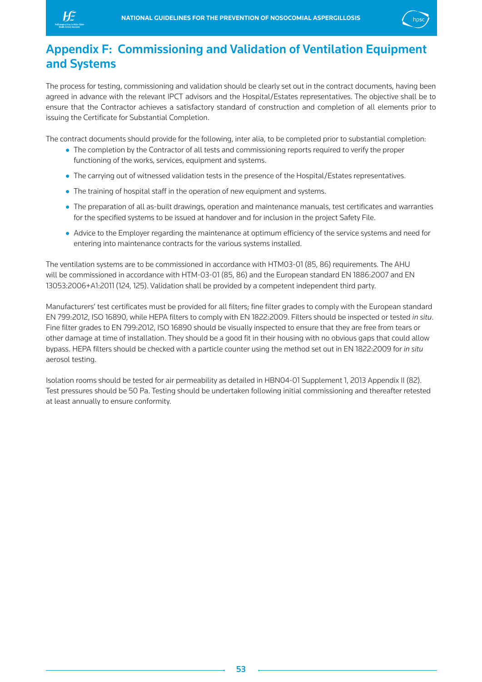<span id="page-53-0"></span>



## Appendix F: Commissioning and Validation of Ventilation Equipment and Systems

The process for testing, commissioning and validation should be clearly set out in the contract documents, having been agreed in advance with the relevant IPCT advisors and the Hospital/Estates representatives. The objective shall be to ensure that the Contractor achieves a satisfactory standard of construction and completion of all elements prior to issuing the Certificate for Substantial Completion.

The contract documents should provide for the following, inter alia, to be completed prior to substantial completion:

- The completion by the Contractor of all tests and commissioning reports required to verify the proper functioning of the works, services, equipment and systems.
- The carrying out of witnessed validation tests in the presence of the Hospital/Estates representatives.
- The training of hospital staff in the operation of new equipment and systems.
- The preparation of all as-built drawings, operation and maintenance manuals, test certificates and warranties for the specified systems to be issued at handover and for inclusion in the project Safety File.
- Advice to the Employer regarding the maintenance at optimum efficiency of the service systems and need for entering into maintenance contracts for the various systems installed.

The ventilation systems are to be commissioned in accordance with HTM03-01 (85, 86) requirements. The AHU will be commissioned in accordance with HTM-03-01 (85, 86) and the European standard EN 1886:2007 and EN 13053:2006+A1:2011 (124, 125). Validation shall be provided by a competent independent third party.

Manufacturers' test certificates must be provided for all filters; fine filter grades to comply with the European standard EN 799:2012, ISO 16890, while HEPA filters to comply with EN 1822:2009. Filters should be inspected or tested *in situ*. Fine filter grades to EN 799:2012, ISO 16890 should be visually inspected to ensure that they are free from tears or other damage at time of installation. They should be a good fit in their housing with no obvious gaps that could allow bypass. HEPA filters should be checked with a particle counter using the method set out in EN 1822:2009 for *in situ* aerosol testing.

Isolation rooms should be tested for air permeability as detailed in HBN04-01 Supplement 1, 2013 Appendix II (82). Test pressures should be 50 Pa. Testing should be undertaken following initial commissioning and thereafter retested at least annually to ensure conformity.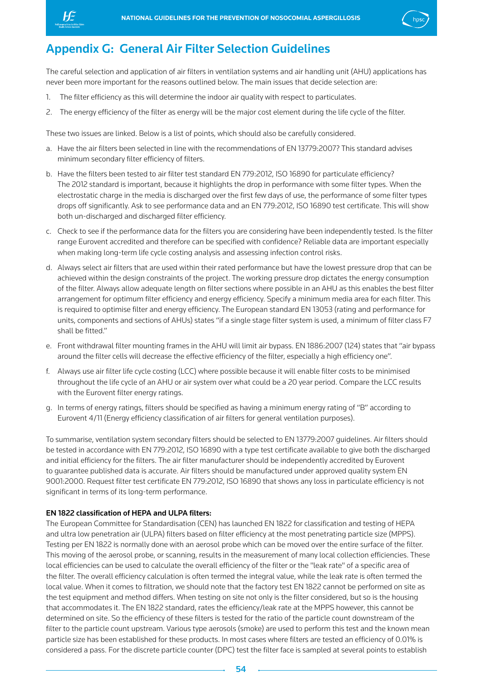<span id="page-54-0"></span>



## Appendix G: General Air Filter Selection Guidelines

The careful selection and application of air filters in ventilation systems and air handling unit (AHU) applications has never been more important for the reasons outlined below. The main issues that decide selection are:

- 1. The filter efficiency as this will determine the indoor air quality with respect to particulates.
- 2. The energy efficiency of the filter as energy will be the major cost element during the life cycle of the filter.

These two issues are linked. Below is a list of points, which should also be carefully considered.

- a. Have the air filters been selected in line with the recommendations of EN 13779:2007? This standard advises minimum secondary filter efficiency of filters.
- b. Have the filters been tested to air filter test standard EN 779:2012, ISO 16890 for particulate efficiency? The 2012 standard is important, because it highlights the drop in performance with some filter types. When the electrostatic charge in the media is discharged over the first few days of use, the performance of some filter types drops off significantly. Ask to see performance data and an EN 779:2012, ISO 16890 test certificate. This will show both un-discharged and discharged filter efficiency.
- c. Check to see if the performance data for the filters you are considering have been independently tested. Is the filter range Eurovent accredited and therefore can be specified with confidence? Reliable data are important especially when making long-term life cycle costing analysis and assessing infection control risks.
- d. Always select air filters that are used within their rated performance but have the lowest pressure drop that can be achieved within the design constraints of the project. The working pressure drop dictates the energy consumption of the filter. Always allow adequate length on filter sections where possible in an AHU as this enables the best filter arrangement for optimum filter efficiency and energy efficiency. Specify a minimum media area for each filter. This is required to optimise filter and energy efficiency. The European standard EN 13053 (rating and performance for units, components and sections of AHUs) states "if a single stage filter system is used, a minimum of filter class F7 shall be fitted."
- e. Front withdrawal filter mounting frames in the AHU will limit air bypass. EN 1886:2007 (124) states that "air bypass around the filter cells will decrease the effective efficiency of the filter, especially a high efficiency one".
- f. Always use air filter life cycle costing (LCC) where possible because it will enable filter costs to be minimised throughout the life cycle of an AHU or air system over what could be a 20 year period. Compare the LCC results with the Eurovent filter energy ratings.
- g. In terms of energy ratings, filters should be specified as having a minimum energy rating of "B" according to Eurovent 4/11 (Energy efficiency classification of air filters for general ventilation purposes).

To summarise, ventilation system secondary filters should be selected to EN 13779:2007 guidelines. Air filters should be tested in accordance with EN 779:2012, ISO 16890 with a type test certificate available to give both the discharged and initial efficiency for the filters. The air filter manufacturer should be independently accredited by Eurovent to guarantee published data is accurate. Air filters should be manufactured under approved quality system EN 9001:2000. Request filter test certificate EN 779:2012, ISO 16890 that shows any loss in particulate efficiency is not significant in terms of its long-term performance.

## EN 1822 classification of HEPA and ULPA filters:

The European Committee for Standardisation (CEN) has launched EN 1822 for classification and testing of HEPA and ultra low penetration air (ULPA) filters based on filter efficiency at the most penetrating particle size (MPPS). Testing per EN 1822 is normally done with an aerosol probe which can be moved over the entire surface of the filter. This moving of the aerosol probe, or scanning, results in the measurement of many local collection efficiencies. These local efficiencies can be used to calculate the overall efficiency of the filter or the "leak rate" of a specific area of the filter. The overall efficiency calculation is often termed the integral value, while the leak rate is often termed the local value. When it comes to filtration, we should note that the factory test EN 1822 cannot be performed on site as the test equipment and method differs. When testing on site not only is the filter considered, but so is the housing that accommodates it. The EN 1822 standard, rates the efficiency/leak rate at the MPPS however, this cannot be determined on site. So the efficiency of these filters is tested for the ratio of the particle count downstream of the filter to the particle count upstream. Various type aerosols (smoke) are used to perform this test and the known mean particle size has been established for these products. In most cases where filters are tested an efficiency of 0.01% is considered a pass. For the discrete particle counter (DPC) test the filter face is sampled at several points to establish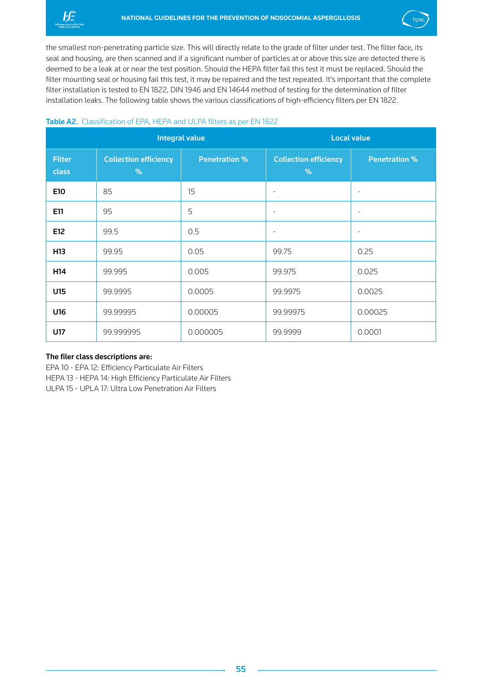<span id="page-55-0"></span>



the smallest non-penetrating particle size. This will directly relate to the grade of filter under test. The filter face, its seal and housing, are then scanned and if a significant number of particles at or above this size are detected there is deemed to be a leak at or near the test position. Should the HEPA filter fail this test it must be replaced. Should the filter mounting seal or housing fail this test, it may be repaired and the test repeated. It's important that the complete filter installation is tested to EN 1822, DIN 1946 and EN 14644 method of testing for the determination of filter installation leaks. The following table shows the various classifications of high-efficiency filters per EN 1822.

## Table A2. Classification of EPA, HEPA and ULPA filters as per EN 1822

|                        |                                   | <b>Integral value</b> | <b>Local value</b>                |                          |  |
|------------------------|-----------------------------------|-----------------------|-----------------------------------|--------------------------|--|
| <b>Filter</b><br>class | <b>Collection efficiency</b><br>% | <b>Penetration %</b>  | <b>Collection efficiency</b><br>% | <b>Penetration %</b>     |  |
| E10                    | 85                                | 15                    | $\overline{a}$                    | $\overline{\phantom{0}}$ |  |
| E11                    | 95                                | 5                     | $\overline{\phantom{0}}$          | $\overline{\phantom{a}}$ |  |
| E12                    | 99.5                              | 0.5                   | $\overline{\phantom{0}}$          | $\overline{\phantom{a}}$ |  |
| H13                    | 99.95                             | 0.05                  | 99.75                             | 0.25                     |  |
| H <sub>14</sub>        | 99.995                            | 0.005                 | 99.975                            | 0.025                    |  |
| U15                    | 99.9995                           | 0.0005                | 99.9975                           | 0.0025                   |  |
| U16                    | 99.99995                          | 0.00005               | 99.99975                          | 0.00025                  |  |
| U17                    | 99.999995                         | 0.000005              | 99.9999                           | 0.0001                   |  |

## The filer class descriptions are:

EPA 10 - EPA 12: Efficiency Particulate Air Filters HEPA 13 - HEPA 14: High Efficiency Particulate Air Filters ULPA 15 - UPLA 17: Ultra Low Penetration Air Filters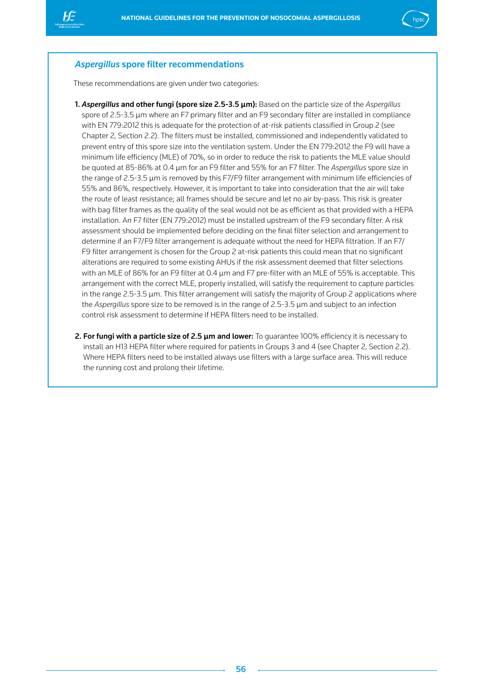

## *Aspergillus* spore filter recommendations

These recommendations are given under two categories:

- 1. *Aspergillus* and other fungi (spore size 2.5-3.5 μm): Based on the particle size of the *Aspergillus* spore of 2.5-3.5 μm where an F7 primary filter and an F9 secondary filter are installed in compliance with EN 779:2012 this is adequate for the protection of at-risk patients classified in Group 2 (see Chapter 2, Section 2.2). The filters must be installed, commissioned and independently validated to prevent entry of this spore size into the ventilation system. Under the EN 779:2012 the F9 will have a minimum life efficiency (MLE) of 70%, so in order to reduce the risk to patients the MLE value should be quoted at 85-86% at 0.4 μm for an F9 filter and 55% for an F7 filter. The *Aspergillus* spore size in the range of 2.5-3.5 μm is removed by this F7/F9 filter arrangement with minimum life efficiencies of 55% and 86%, respectively. However, it is important to take into consideration that the air will take the route of least resistance; all frames should be secure and let no air by-pass. This risk is greater with bag filter frames as the quality of the seal would not be as efficient as that provided with a HEPA installation. An F7 filter (EN 779:2012) must be installed upstream of the F9 secondary filter. A risk assessment should be implemented before deciding on the final filter selection and arrangement to determine if an F7/F9 filter arrangement is adequate without the need for HEPA filtration. If an F7/ F9 filter arrangement is chosen for the Group 2 at-risk patients this could mean that no significant alterations are required to some existing AHUs if the risk assessment deemed that filter selections with an MLE of 86% for an F9 filter at 0.4 μm and F7 pre-filter with an MLE of 55% is acceptable. This arrangement with the correct MLE, properly installed, will satisfy the requirement to capture particles in the range 2.5-3.5 μm. This filter arrangement will satisfy the majority of Group 2 applications where the *Aspergillus* spore size to be removed is in the range of 2.5-3.5 μm and subject to an infection control risk assessment to determine if HEPA filters need to be installed.
- **2. For fungi with a particle size of 2.5 μm and lower:** To quarantee 100% efficiency it is necessary to install an H13 HEPA filter where required for patients in Groups 3 and 4 (see Chapter 2, Section 2.2). Where HEPA filters need to be installed always use filters with a large surface area. This will reduce the running cost and prolong their lifetime.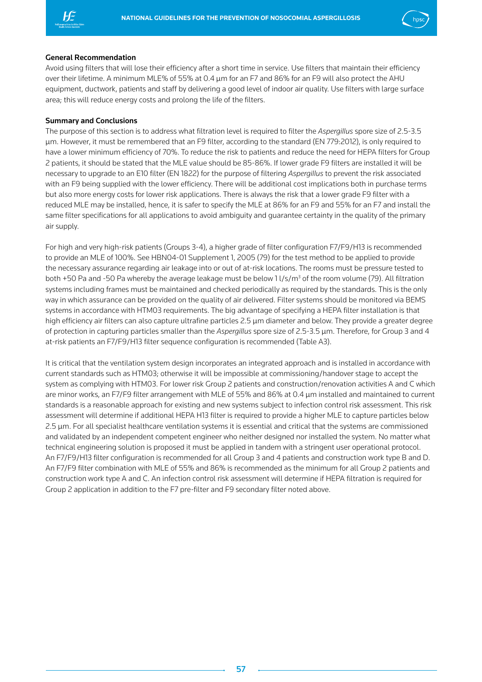



#### General Recommendation

Avoid using filters that will lose their efficiency after a short time in service. Use filters that maintain their efficiency over their lifetime. A minimum MLE% of 55% at 0.4 μm for an F7 and 86% for an F9 will also protect the AHU equipment, ductwork, patients and staff by delivering a good level of indoor air quality. Use filters with large surface area; this will reduce energy costs and prolong the life of the filters.

### Summary and Conclusions

The purpose of this section is to address what filtration level is required to filter the *Aspergillus* spore size of 2.5-3.5 μm. However, it must be remembered that an F9 filter, according to the standard (EN 779:2012), is only required to have a lower minimum efficiency of 70%. To reduce the risk to patients and reduce the need for HEPA filters for Group 2 patients, it should be stated that the MLE value should be 85-86%. If lower grade F9 filters are installed it will be necessary to upgrade to an E10 filter (EN 1822) for the purpose of filtering *Aspergillus* to prevent the risk associated with an F9 being supplied with the lower efficiency. There will be additional cost implications both in purchase terms but also more energy costs for lower risk applications. There is always the risk that a lower grade F9 filter with a reduced MLE may be installed, hence, it is safer to specify the MLE at 86% for an F9 and 55% for an F7 and install the same filter specifications for all applications to avoid ambiguity and guarantee certainty in the quality of the primary air supply.

For high and very high-risk patients (Groups 3-4), a higher grade of filter configuration F7/F9/H13 is recommended to provide an MLE of 100%. See HBN04-01 Supplement 1, 2005 (79) for the test method to be applied to provide the necessary assurance regarding air leakage into or out of at-risk locations. The rooms must be pressure tested to both +50 Pa and -50 Pa whereby the average leakage must be below  $11/s/m^3$  of the room volume (79). All filtration systems including frames must be maintained and checked periodically as required by the standards. This is the only way in which assurance can be provided on the quality of air delivered. Filter systems should be monitored via BEMS systems in accordance with HTM03 requirements. The big advantage of specifying a HEPA filter installation is that high efficiency air filters can also capture ultrafine particles 2.5 μm diameter and below. They provide a greater degree of protection in capturing particles smaller than the *Aspergillus* spore size of 2.5-3.5 μm. Therefore, for Group 3 and 4 at-risk patients an F7/F9/H13 filter sequence configuration is recommended (Table A3).

It is critical that the ventilation system design incorporates an integrated approach and is installed in accordance with current standards such as HTM03; otherwise it will be impossible at commissioning/handover stage to accept the system as complying with HTM03. For lower risk Group 2 patients and construction/renovation activities A and C which are minor works, an F7/F9 filter arrangement with MLE of 55% and 86% at 0.4 μm installed and maintained to current standards is a reasonable approach for existing and new systems subject to infection control risk assessment. This risk assessment will determine if additional HEPA H13 filter is required to provide a higher MLE to capture particles below 2.5 μm. For all specialist healthcare ventilation systems it is essential and critical that the systems are commissioned and validated by an independent competent engineer who neither designed nor installed the system. No matter what technical engineering solution is proposed it must be applied in tandem with a stringent user operational protocol. An F7/F9/H13 filter configuration is recommended for all Group 3 and 4 patients and construction work type B and D. An F7/F9 filter combination with MLE of 55% and 86% is recommended as the minimum for all Group 2 patients and construction work type A and C. An infection control risk assessment will determine if HEPA filtration is required for Group 2 application in addition to the F7 pre-filter and F9 secondary filter noted above.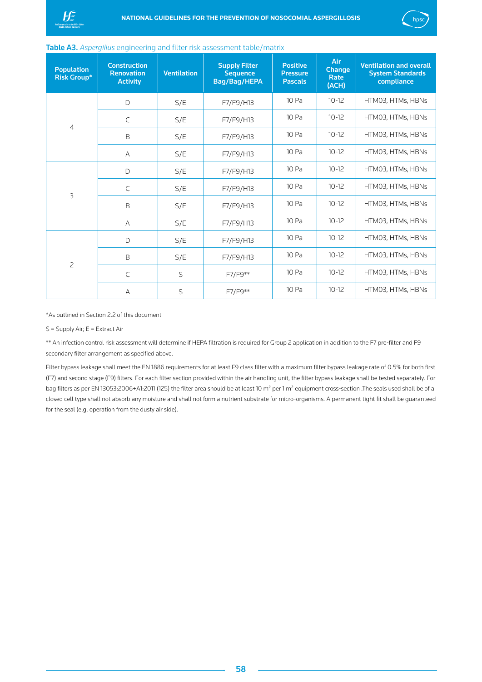<span id="page-58-0"></span>



### Table A3. *Aspergillus* engineering and filter risk assessment table/matrix

| <b>Population</b><br><b>Risk Group*</b> | <b>Construction</b><br><b>Renovation</b><br><b>Activity</b> | <b>Ventilation</b> | <b>Supply Filter</b><br><b>Sequence</b><br>Bag/Bag/HEPA | <b>Positive</b><br><b>Pressure</b><br><b>Pascals</b> | Air<br><b>Change</b><br>Rate<br>(ACH) | <b>Ventilation and overall</b><br><b>System Standards</b><br>compliance |
|-----------------------------------------|-------------------------------------------------------------|--------------------|---------------------------------------------------------|------------------------------------------------------|---------------------------------------|-------------------------------------------------------------------------|
| $\overline{4}$                          | D                                                           | S/E                | F7/F9/H13                                               | 10 Pa                                                | $10-12$                               | HTM03, HTMs, HBNs                                                       |
|                                         | $\mathsf{C}$                                                | S/E                | F7/F9/H13                                               | 10 Pa                                                | $10 - 12$                             | HTM03, HTMs, HBNs                                                       |
|                                         | B                                                           | S/E                | F7/F9/H13                                               | 10 Pa                                                | $10 - 12$                             | HTM03, HTMs, HBNs                                                       |
|                                         | $\overline{A}$                                              | S/E                | F7/F9/H13                                               | 10 Pa                                                | $10 - 12$                             | HTM03, HTMs, HBNs                                                       |
| $\overline{3}$                          | D                                                           | S/E                | F7/F9/H13                                               | 10 Pa                                                | $10 - 12$                             | HTM03, HTMs, HBNs                                                       |
|                                         | $\mathsf{C}$                                                | S/E                | F7/F9/H13                                               | 10 Pa                                                | $10 - 12$                             | HTM03, HTMs, HBNs                                                       |
|                                         | B                                                           | S/E                | F7/F9/H13                                               | 10 Pa                                                | $10 - 12$                             | HTM03, HTMs, HBNs                                                       |
|                                         | $\overline{A}$                                              | S/E                | F7/F9/H13                                               | 10 Pa                                                | $10 - 12$                             | HTM03, HTMs, HBNs                                                       |
| $\overline{c}$                          | D                                                           | S/E                | F7/F9/H13                                               | 10 Pa                                                | $10 - 12$                             | HTM03, HTMs, HBNs                                                       |
|                                         | B                                                           | S/E                | F7/F9/H13                                               | 10 Pa                                                | $10 - 12$                             | HTM03, HTMs, HBNs                                                       |
|                                         | $\mathsf{C}$                                                | $\mathsf{S}$       | F7/F9**                                                 | 10 Pa                                                | $10 - 12$                             | HTM03, HTMs, HBNs                                                       |
|                                         | $\overline{A}$                                              | S                  | F7/F9**                                                 | 10 Pa                                                | $10 - 12$                             | HTM03, HTMs, HBNs                                                       |

\*As outlined in Section 2.2 of this document

#### S = Supply Air; E = Extract Air

\*\* An infection control risk assessment will determine if HEPA filtration is required for Group 2 application in addition to the F7 pre-filter and F9 secondary filter arrangement as specified above.

Filter bypass leakage shall meet the EN 1886 requirements for at least F9 class filter with a maximum filter bypass leakage rate of 0.5% for both first (F7) and second stage (F9) filters. For each filter section provided within the air handling unit, the filter bypass leakage shall be tested separately. For bag filters as per EN 13053:2006+A1:2011 (125) the filter area should be at least 10 m<sup>2</sup> per 1 m<sup>2</sup> equipment cross-section .The seals used shall be of a closed cell type shall not absorb any moisture and shall not form a nutrient substrate for micro-organisms. A permanent tight fit shall be guaranteed for the seal (e.g. operation from the dusty air side).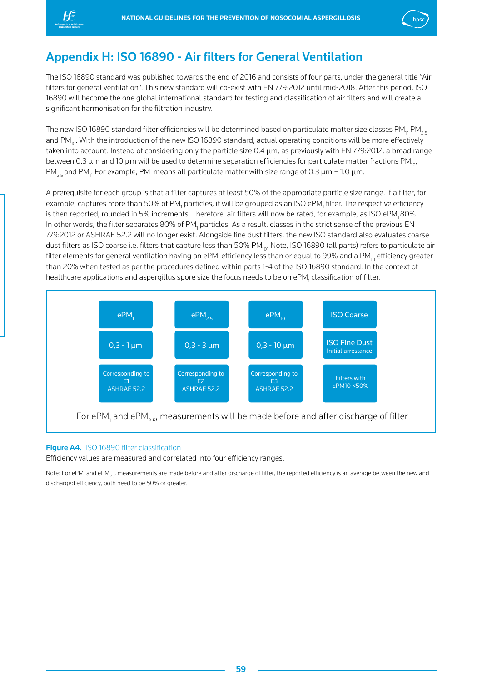<span id="page-59-0"></span>



## Appendix H: ISO 16890 - Air filters for General Ventilation

The ISO 16890 standard was published towards the end of 2016 and consists of four parts, under the general title "Air filters for general ventilation". This new standard will co-exist with EN 779:2012 until mid-2018. After this period, ISO 16890 will become the one global international standard for testing and classification of air filters and will create a significant harmonisation for the filtration industry.

The new ISO 16890 standard filter efficiencies will be determined based on particulate matter size classes PM<sub>1</sub>, PM<sub>2.5</sub> and PM<sub>10</sub>. With the introduction of the new ISO 16890 standard, actual operating conditions will be more effectively taken into account. Instead of considering only the particle size 0.4 μm, as previously with EN 779:2012, a broad range between 0.3  $\mu$ m and 10  $\mu$ m will be used to determine separation efficiencies for particulate matter fractions PM<sub>10</sub> PM $_{2.5}$ and PM $_{\rm l}$ . For example, PM $_{\rm l}$  means all particulate matter with size range of 0.3 μm – 1.0 μm.

A prerequisite for each group is that a filter captures at least 50% of the appropriate particle size range. If a filter, for example, captures more than 50% of PM<sub>1</sub> particles, it will be grouped as an ISO ePM<sub>1</sub> filter. The respective efficiency is then reported, rounded in 5% increments. Therefore, air filters will now be rated, for example, as ISO ePM, 80%. In other words, the filter separates 80% of PM<sub>1</sub> particles. As a result, classes in the strict sense of the previous EN 779:2012 or ASHRAE 52.2 will no longer exist. Alongside fine dust filters, the new ISO standard also evaluates coarse dust filters as ISO coarse i.e. filters that capture less than 50% PM<sub>10</sub>. Note, ISO 16890 (all parts) refers to particulate air filter elements for general ventilation having an ePM<sub>1</sub> efficiency less than or equal to 99% and a PM<sub>10</sub> efficiency greater than 20% when tested as per the procedures defined within parts 1-4 of the ISO 16890 standard. In the context of healthcare applications and aspergillus spore size the focus needs to be on ePM<sub>1</sub> classification of filter.



## Figure A4. ISO 16890 filter classification

Efficiency values are measured and correlated into four efficiency ranges.

Note: For ePM<sub>1</sub> and ePM<sub>2.5</sub>, measurements are made before <u>and</u> after discharge of filter, the reported efficiency is an average between the new and discharged efficiency, both need to be 50% or greater.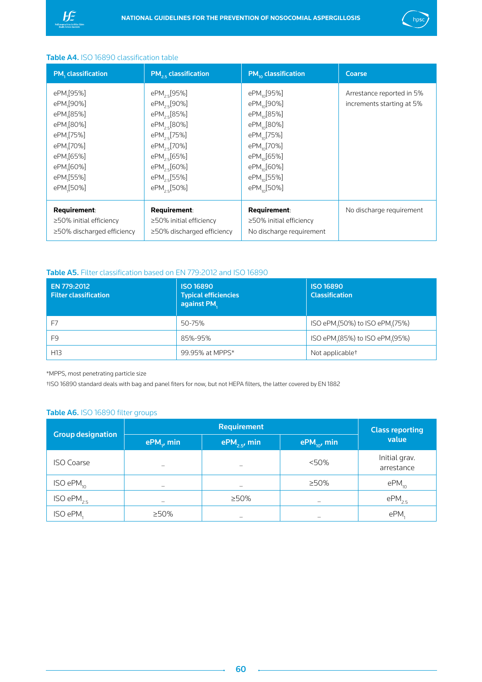<span id="page-60-0"></span>



## Table A4. ISO 16890 classification table

| PM, classification                                                                                                                                                                                                                     | $PM_{25}$ classification                                                                                                                                                                                                                                                   | $PM_{10}$ classification                                                                                                                                                                                                                                                   | Coarse                                                 |
|----------------------------------------------------------------------------------------------------------------------------------------------------------------------------------------------------------------------------------------|----------------------------------------------------------------------------------------------------------------------------------------------------------------------------------------------------------------------------------------------------------------------------|----------------------------------------------------------------------------------------------------------------------------------------------------------------------------------------------------------------------------------------------------------------------------|--------------------------------------------------------|
| ePM <sub>1</sub> [95%]<br>ePM <sub>1</sub> [90%]<br>ePM <sub>1</sub> [85%]<br>ePM <sub>1</sub> [80%]<br>ePM,[75%]<br>ePM <sub>1</sub> [70%]<br>ePM <sub>1</sub> [65%]<br>ePM <sub>1</sub> [60%]<br>ePM <sub>1</sub> [55%]<br>ePM,[50%] | ePM <sub>25</sub> [95%]<br>ePM <sub>25</sub> [90%]<br>ePM <sub>25</sub> [85%]<br>ePM <sub>25</sub> [80%]<br>ePM <sub>25</sub> [75%]<br>ePM <sub>25</sub> [70%]<br>ePM <sub>25</sub> [65%]<br>ePM <sub>25</sub> [60%]<br>ePM <sub>25</sub> [55%]<br>ePM <sub>25</sub> [50%] | ePM <sub>10</sub> [95%]<br>ePM <sub>10</sub> [90%]<br>ePM <sub>10</sub> [85%]<br>ePM <sub>10</sub> [80%]<br>ePM <sub>10</sub> [75%]<br>ePM <sub>10</sub> [70%]<br>ePM <sub>10</sub> [65%]<br>ePM <sub>10</sub> [60%]<br>ePM <sub>10</sub> [55%]<br>ePM <sub>10</sub> [50%] | Arrestance reported in 5%<br>increments starting at 5% |
| <b>Requirement:</b><br>$\geq$ 50% initial efficiency<br>$\geq$ 50% discharged efficiency                                                                                                                                               | <b>Requirement:</b><br>$\geq$ 50% initial efficiency<br>$\geq$ 50% discharged efficiency                                                                                                                                                                                   | <b>Requirement:</b><br>$\geq$ 50% initial efficiency<br>No discharge requirement                                                                                                                                                                                           | No discharge requirement                               |

## Table A5. Filter classification based on EN 779:2012 and ISO 16890

| EN 779:2012<br><b>Filter classification</b> | <b>ISO 16890</b><br><b>Typical efficiencies</b><br>against PM, | <b>ISO 16890</b><br><b>Classification</b> |
|---------------------------------------------|----------------------------------------------------------------|-------------------------------------------|
| F7                                          | 50-75%                                                         | ISO ePM, (50%) to ISO ePM, (75%)          |
| F9                                          | 85%-95%                                                        | ISO ePM, (85%) to ISO ePM, (95%)          |
| H <sub>13</sub>                             | 99.95% at MPPS*                                                | Not applicable <sup>+</sup>               |

\*MPPS, most penetrating particle size

†ISO 16890 standard deals with bag and panel fiters for now, but not HEPA filters, the latter covered by EN 1882

## Table A6. ISO 16890 filter groups

|                          |                          | <b>Class reporting</b>   |                                |                             |  |
|--------------------------|--------------------------|--------------------------|--------------------------------|-----------------------------|--|
| <b>Group designation</b> | ePM <sub>y</sub> min     | $ePM_{2.5}$ , min        | $\text{ePM}_{\text{no}}$ , min | value                       |  |
| <b>ISO Coarse</b>        |                          |                          | < 50%                          | Initial grav.<br>arrestance |  |
| ISO ePM <sub>10</sub>    | $\overline{\phantom{0}}$ | $\overline{\phantom{0}}$ | $>50\%$                        | $ePM$ <sub>10</sub>         |  |
| ISO ePM <sub>2.5</sub>   |                          | $>50\%$                  |                                | ePM <sub>2.5</sub>          |  |
| ISO ePM,                 | $>50\%$                  | -                        |                                | ePM.                        |  |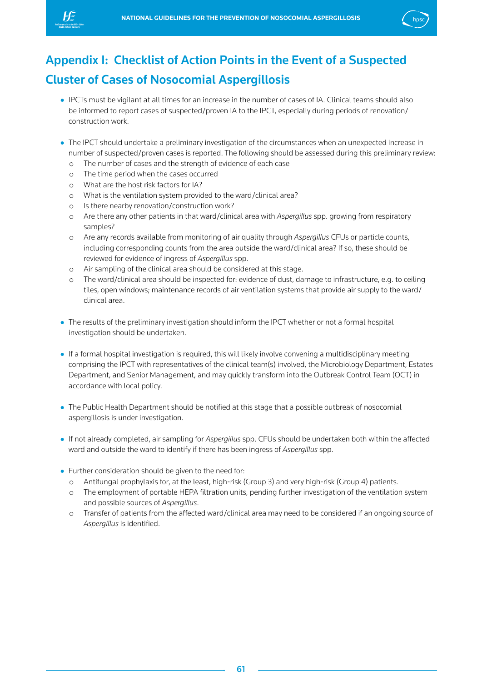<span id="page-61-0"></span>



## Appendix I: Checklist of Action Points in the Event of a Suspected Cluster of Cases of Nosocomial Aspergillosis

- IPCTs must be vigilant at all times for an increase in the number of cases of IA. Clinical teams should also be informed to report cases of suspected/proven IA to the IPCT, especially during periods of renovation/ construction work.
- The IPCT should undertake a preliminary investigation of the circumstances when an unexpected increase in number of suspected/proven cases is reported. The following should be assessed during this preliminary review:
	- o The number of cases and the strength of evidence of each case
	- o The time period when the cases occurred
	- o What are the host risk factors for IA?
	- o What is the ventilation system provided to the ward/clinical area?
	- o Is there nearby renovation/construction work?
	- o Are there any other patients in that ward/clinical area with *Aspergillus* spp. growing from respiratory samples?
	- o Are any records available from monitoring of air quality through *Aspergillus* CFUs or particle counts, including corresponding counts from the area outside the ward/clinical area? If so, these should be reviewed for evidence of ingress of *Aspergillus* spp.
	- o Air sampling of the clinical area should be considered at this stage.
	- o The ward/clinical area should be inspected for: evidence of dust, damage to infrastructure, e.g. to ceiling tiles, open windows; maintenance records of air ventilation systems that provide air supply to the ward/ clinical area.
- The results of the preliminary investigation should inform the IPCT whether or not a formal hospital investigation should be undertaken.
- If a formal hospital investigation is required, this will likely involve convening a multidisciplinary meeting comprising the IPCT with representatives of the clinical team(s) involved, the Microbiology Department, Estates Department, and Senior Management, and may quickly transform into the Outbreak Control Team (OCT) in accordance with local policy.
- The Public Health Department should be notified at this stage that a possible outbreak of nosocomial aspergillosis is under investigation.
- If not already completed, air sampling for *Aspergillus* spp. CFUs should be undertaken both within the affected ward and outside the ward to identify if there has been ingress of *Aspergillus* spp.
- Further consideration should be given to the need for:
	- o Antifungal prophylaxis for, at the least, high-risk (Group 3) and very high-risk (Group 4) patients.
	- o The employment of portable HEPA filtration units, pending further investigation of the ventilation system and possible sources of *Aspergillus*.
	- o Transfer of patients from the affected ward/clinical area may need to be considered if an ongoing source of *Aspergillus* is identified.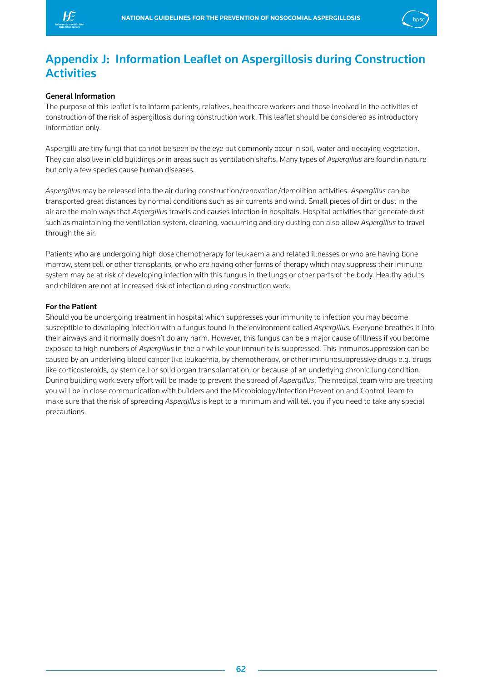<span id="page-62-0"></span>



## Appendix J: Information Leaflet on Aspergillosis during Construction **Activities**

### General Information

The purpose of this leaflet is to inform patients, relatives, healthcare workers and those involved in the activities of construction of the risk of aspergillosis during construction work. This leaflet should be considered as introductory information only.

Aspergilli are tiny fungi that cannot be seen by the eye but commonly occur in soil, water and decaying vegetation. They can also live in old buildings or in areas such as ventilation shafts. Many types of *Aspergillus* are found in nature but only a few species cause human diseases.

*Aspergillus* may be released into the air during construction/renovation/demolition activities. *Aspergillus* can be transported great distances by normal conditions such as air currents and wind. Small pieces of dirt or dust in the air are the main ways that *Aspergillus* travels and causes infection in hospitals. Hospital activities that generate dust such as maintaining the ventilation system, cleaning, vacuuming and dry dusting can also allow *Aspergillus* to travel through the air.

Patients who are undergoing high dose chemotherapy for leukaemia and related illnesses or who are having bone marrow, stem cell or other transplants, or who are having other forms of therapy which may suppress their immune system may be at risk of developing infection with this fungus in the lungs or other parts of the body. Healthy adults and children are not at increased risk of infection during construction work.

#### For the Patient

Should you be undergoing treatment in hospital which suppresses your immunity to infection you may become susceptible to developing infection with a fungus found in the environment called *Aspergillus.* Everyone breathes it into their airways and it normally doesn't do any harm. However, this fungus can be a major cause of illness if you become exposed to high numbers of *Aspergillus* in the air while your immunity is suppressed. This immunosuppression can be caused by an underlying blood cancer like leukaemia, by chemotherapy, or other immunosuppressive drugs e.g. drugs like corticosteroids, by stem cell or solid organ transplantation, or because of an underlying chronic lung condition. During building work every effort will be made to prevent the spread of *Aspergillus*. The medical team who are treating you will be in close communication with builders and the Microbiology/Infection Prevention and Control Team to make sure that the risk of spreading *Aspergillus* is kept to a minimum and will tell you if you need to take any special precautions.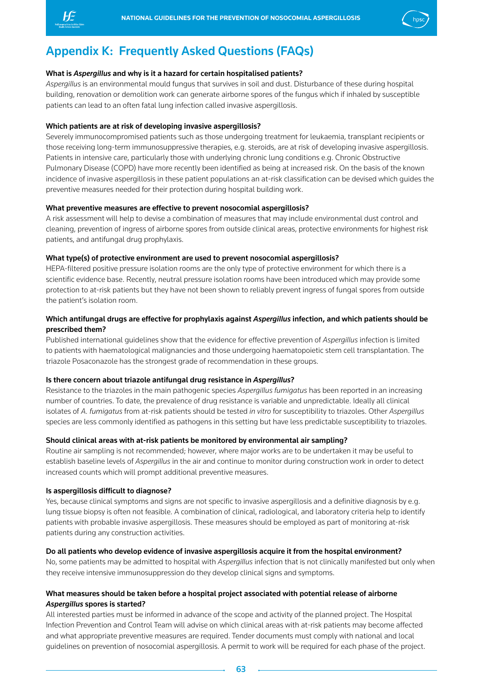



## Appendix K: Frequently Asked Questions (FAQs)

## What is *Aspergillus* and why is it a hazard for certain hospitalised patients?

*Aspergillus* is an environmental mould fungus that survives in soil and dust. Disturbance of these during hospital building, renovation or demolition work can generate airborne spores of the fungus which if inhaled by susceptible patients can lead to an often fatal lung infection called invasive aspergillosis.

## Which patients are at risk of developing invasive aspergillosis?

Severely immunocompromised patients such as those undergoing treatment for leukaemia, transplant recipients or those receiving long-term immunosuppressive therapies, e.g. steroids, are at risk of developing invasive aspergillosis. Patients in intensive care, particularly those with underlying chronic lung conditions e.g. Chronic Obstructive Pulmonary Disease (COPD) have more recently been identified as being at increased risk. On the basis of the known incidence of invasive aspergillosis in these patient populations an at-risk classification can be devised which guides the preventive measures needed for their protection during hospital building work.

## What preventive measures are effective to prevent nosocomial aspergillosis?

A risk assessment will help to devise a combination of measures that may include environmental dust control and cleaning, prevention of ingress of airborne spores from outside clinical areas, protective environments for highest risk patients, and antifungal drug prophylaxis.

## What type(s) of protective environment are used to prevent nosocomial aspergillosis?

HEPA-filtered positive pressure isolation rooms are the only type of protective environment for which there is a scientific evidence base. Recently, neutral pressure isolation rooms have been introduced which may provide some protection to at-risk patients but they have not been shown to reliably prevent ingress of fungal spores from outside the patient's isolation room.

## Which antifungal drugs are effective for prophylaxis against *Aspergillus* infection, and which patients should be prescribed them?

Published international guidelines show that the evidence for effective prevention of *Aspergillus* infection is limited to patients with haematological malignancies and those undergoing haematopoietic stem cell transplantation. The triazole Posaconazole has the strongest grade of recommendation in these groups.

## Is there concern about triazole antifungal drug resistance in *Aspergillus*?

Resistance to the triazoles in the main pathogenic species *Aspergillus fumigatus* has been reported in an increasing number of countries. To date, the prevalence of drug resistance is variable and unpredictable. Ideally all clinical isolates of *A. fumigatus* from at-risk patients should be tested *in vitro* for susceptibility to triazoles. Other *Aspergillus* species are less commonly identified as pathogens in this setting but have less predictable susceptibility to triazoles.

## Should clinical areas with at-risk patients be monitored by environmental air sampling?

Routine air sampling is not recommended; however, where major works are to be undertaken it may be useful to establish baseline levels of *Aspergillus* in the air and continue to monitor during construction work in order to detect increased counts which will prompt additional preventive measures.

## Is aspergillosis difficult to diagnose?

Yes, because clinical symptoms and signs are not specific to invasive aspergillosis and a definitive diagnosis by e.g. lung tissue biopsy is often not feasible. A combination of clinical, radiological, and laboratory criteria help to identify patients with probable invasive aspergillosis. These measures should be employed as part of monitoring at-risk patients during any construction activities.

## Do all patients who develop evidence of invasive aspergillosis acquire it from the hospital environment?

No, some patients may be admitted to hospital with *Aspergillus* infection that is not clinically manifested but only when they receive intensive immunosuppression do they develop clinical signs and symptoms.

## What measures should be taken before a hospital project associated with potential release of airborne *Aspergillus* spores is started?

All interested parties must be informed in advance of the scope and activity of the planned project. The Hospital Infection Prevention and Control Team will advise on which clinical areas with at-risk patients may become affected and what appropriate preventive measures are required. Tender documents must comply with national and local guidelines on prevention of nosocomial aspergillosis. A permit to work will be required for each phase of the project.